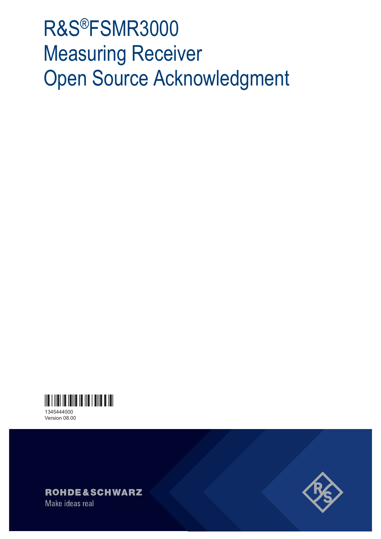# R&S®FSMR3000 Measuring Receiver Open Source Acknowledgment



Version 08.00





Make ideas real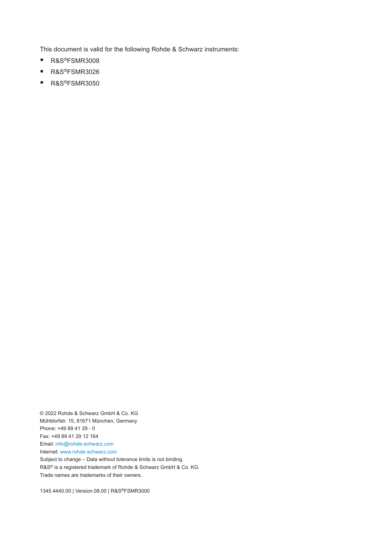This document is valid for the following Rohde & Schwarz instruments:

- R&S<sup>®</sup>FSMR3008
- R&S<sup>®</sup>FSMR3026
- R&S<sup>®</sup>FSMR3050

© 2022 Rohde & Schwarz GmbH & Co. KG Mühldorfstr. 15, 81671 München, Germany Phone: +49 89 41 29 - 0 Fax: +49 89 41 29 12 164 Email: [info@rohde-schwarz.com](mailto:info@rohde-schwarz.com) Internet: [www.rohde-schwarz.com](http://www.rohde-schwarz.com) Subject to change – Data without tolerance limits is not binding. R&S® is a registered trademark of Rohde & Schwarz GmbH & Co. KG.

Trade names are trademarks of their owners.

1345.4440.00 | Version 08.00 | R&S®FSMR3000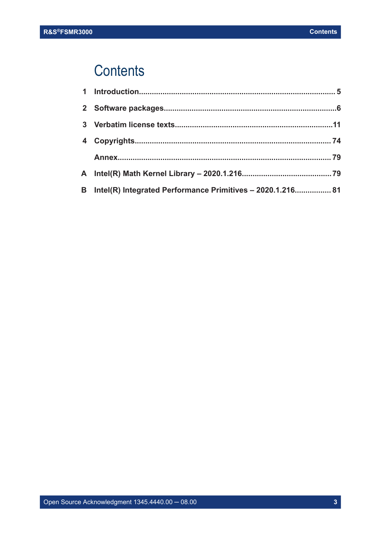## **Contents**

| B Intel(R) Integrated Performance Primitives - 2020.1.216 81 |  |
|--------------------------------------------------------------|--|
|                                                              |  |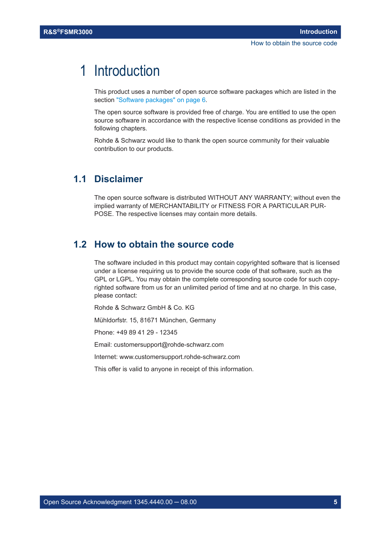## <span id="page-4-0"></span>1 Introduction

This product uses a number of open source software packages which are listed in the section ["Software packages" on page 6](#page-5-0).

The open source software is provided free of charge. You are entitled to use the open source software in accordance with the respective license conditions as provided in the following chapters.

Rohde & Schwarz would like to thank the open source community for their valuable contribution to our products.

## **1.1 Disclaimer**

The open source software is distributed WITHOUT ANY WARRANTY; without even the implied warranty of MERCHANTABILITY or FITNESS FOR A PARTICULAR PUR-POSE. The respective licenses may contain more details.

## **1.2 How to obtain the source code**

The software included in this product may contain copyrighted software that is licensed under a license requiring us to provide the source code of that software, such as the GPL or LGPL. You may obtain the complete corresponding source code for such copyrighted software from us for an unlimited period of time and at no charge. In this case, please contact:

Rohde & Schwarz GmbH & Co. KG

Mühldorfstr. 15, 81671 München, Germany

Phone: +49 89 41 29 - 12345

Email: customersupport@rohde-schwarz.com

Internet: www.customersupport.rohde-schwarz.com

This offer is valid to anyone in receipt of this information.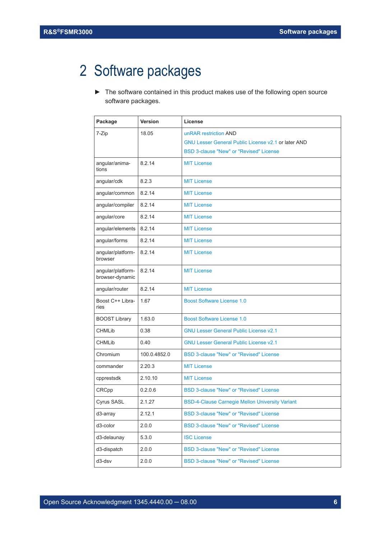## <span id="page-5-0"></span>2 Software packages

► The software contained in this product makes use of the following open source software packages.

| Package                              | <b>Version</b> | License                                                    |
|--------------------------------------|----------------|------------------------------------------------------------|
| 7-Zip                                | 18.05          | unRAR restriction AND                                      |
|                                      |                | <b>GNU Lesser General Public License v2.1 or later AND</b> |
|                                      |                | <b>BSD 3-clause "New" or "Revised" License</b>             |
| angular/anima-<br>tions              | 8.2.14         | <b>MIT License</b>                                         |
| angular/cdk                          | 8.2.3          | <b>MIT License</b>                                         |
| angular/common                       | 8.2.14         | <b>MIT License</b>                                         |
| angular/compiler                     | 8.2.14         | <b>MIT License</b>                                         |
| angular/core                         | 8.2.14         | <b>MIT License</b>                                         |
| angular/elements                     | 8.2.14         | <b>MIT License</b>                                         |
| angular/forms                        | 8.2.14         | <b>MIT License</b>                                         |
| angular/platform-<br>browser         | 8.2.14         | <b>MIT License</b>                                         |
| angular/platform-<br>browser-dynamic | 8.2.14         | <b>MIT License</b>                                         |
| angular/router                       | 8.2.14         | <b>MIT License</b>                                         |
| Boost C++ Libra-<br>ries             | 1.67           | <b>Boost Software License 1.0</b>                          |
| <b>BOOST Library</b>                 | 1.63.0         | Boost Software License 1.0                                 |
| <b>CHMLib</b>                        | 0.38           | <b>GNU Lesser General Public License v2.1</b>              |
| <b>CHMLib</b>                        | 0.40           | <b>GNU Lesser General Public License v2.1</b>              |
| Chromium                             | 100.0.4852.0   | <b>BSD 3-clause "New" or "Revised" License</b>             |
| commander                            | 2.20.3         | <b>MIT License</b>                                         |
| cpprestsdk                           | 2.10.10        | <b>MIT License</b>                                         |
| <b>CRCpp</b>                         | 0.2.0.6        | <b>BSD 3-clause "New" or "Revised" License</b>             |
| <b>Cyrus SASL</b>                    | 2.1.27         | <b>BSD-4-Clause Carnegie Mellon University Variant</b>     |
| d3-array                             | 2.12.1         | BSD 3-clause "New" or "Revised" License                    |
| d3-color                             | 2.0.0          | BSD 3-clause "New" or "Revised" License                    |
| d3-delaunay                          | 5.3.0          | <b>ISC License</b>                                         |
| d3-dispatch                          | 2.0.0          | BSD 3-clause "New" or "Revised" License                    |
| d3-dsv                               | 2.0.0          | BSD 3-clause "New" or "Revised" License                    |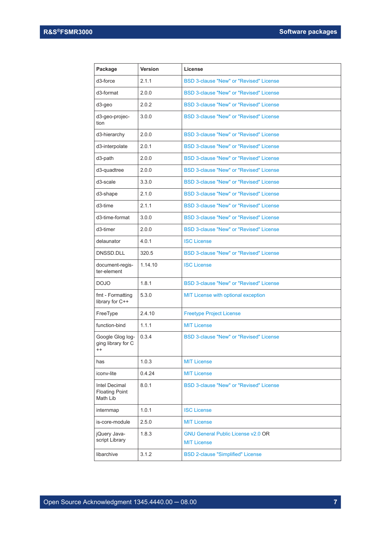| Package                                            | <b>Version</b> | License                                                         |
|----------------------------------------------------|----------------|-----------------------------------------------------------------|
| d3-force                                           | 2.1.1          | <b>BSD 3-clause "New" or "Revised" License</b>                  |
| d3-format                                          | 2.0.0          | <b>BSD 3-clause "New" or "Revised" License</b>                  |
| d3-geo                                             | 2.0.2          | <b>BSD 3-clause "New" or "Revised" License</b>                  |
| d3-geo-projec-<br>tion                             | 3.0.0          | <b>BSD 3-clause "New" or "Revised" License</b>                  |
| d3-hierarchy                                       | 2.0.0          | <b>BSD 3-clause "New" or "Revised" License</b>                  |
| d3-interpolate                                     | 2.0.1          | BSD 3-clause "New" or "Revised" License                         |
| d3-path                                            | 2.0.0          | <b>BSD 3-clause "New" or "Revised" License</b>                  |
| d3-quadtree                                        | 2.0.0          | <b>BSD 3-clause "New" or "Revised" License</b>                  |
| d3-scale                                           | 3.3.0          | <b>BSD 3-clause "New" or "Revised" License</b>                  |
| d3-shape                                           | 2.1.0          | <b>BSD 3-clause "New" or "Revised" License</b>                  |
| d3-time                                            | 2.1.1          | <b>BSD 3-clause "New" or "Revised" License</b>                  |
| d3-time-format                                     | 3.0.0          | <b>BSD 3-clause "New" or "Revised" License</b>                  |
| d3-timer                                           | 2.0.0          | <b>BSD 3-clause "New" or "Revised" License</b>                  |
| delaunator                                         | 4.0.1          | <b>ISC License</b>                                              |
| DNSSD.DLL                                          | 320.5          | <b>BSD 3-clause "New" or "Revised" License</b>                  |
| document-regis-<br>ter-element                     | 1.14.10        | <b>ISC License</b>                                              |
| <b>DOJO</b>                                        | 1.8.1          | <b>BSD 3-clause "New" or "Revised" License</b>                  |
| fmt - Formatting<br>library for C++                | 5.3.0          | MIT License with optional exception                             |
| FreeType                                           | 2.4.10         | <b>Freetype Project License</b>                                 |
| function-bind                                      | 1.1.1          | <b>MIT License</b>                                              |
| Google Glog log-<br>ging library for C<br>$^{++}$  | 0.3.4          | <b>BSD 3-clause "New" or "Revised" License</b>                  |
| has                                                | 1.0.3          | <b>MIT License</b>                                              |
| iconv-lite                                         | 0.4.24         | <b>MIT License</b>                                              |
| Intel Decimal<br><b>Floating Point</b><br>Math Lib | 8.0.1          | BSD 3-clause "New" or "Revised" License                         |
| internmap                                          | 1.0.1          | <b>ISC License</b>                                              |
| is-core-module                                     | 2.5.0          | <b>MIT License</b>                                              |
| jQuery Java-<br>script Library                     | 1.8.3          | <b>GNU General Public License v2.0 OR</b><br><b>MIT License</b> |
| libarchive                                         | 3.1.2          | <b>BSD 2-clause "Simplified" License</b>                        |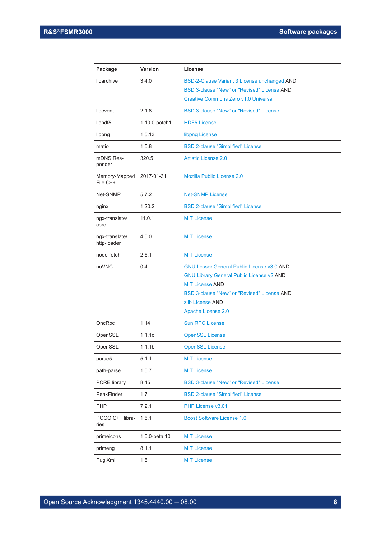| Package                       | <b>Version</b>     | License                                                                                                                                                                                                                  |
|-------------------------------|--------------------|--------------------------------------------------------------------------------------------------------------------------------------------------------------------------------------------------------------------------|
| libarchive                    | 3.4.0              | BSD-2-Clause Variant 3 License unchanged AND                                                                                                                                                                             |
|                               |                    | BSD 3-clause "New" or "Revised" License AND                                                                                                                                                                              |
|                               |                    | <b>Creative Commons Zero v1.0 Universal</b>                                                                                                                                                                              |
| libevent                      | 2.1.8              | <b>BSD 3-clause "New" or "Revised" License</b>                                                                                                                                                                           |
| libhdf <sub>5</sub>           | 1.10.0-patch1      | <b>HDF5 License</b>                                                                                                                                                                                                      |
| libpng                        | 1.5.13             | libpng License                                                                                                                                                                                                           |
| matio                         | 1.5.8              | <b>BSD 2-clause "Simplified" License</b>                                                                                                                                                                                 |
| mDNS Res-<br>ponder           | 320.5              | <b>Artistic License 2.0</b>                                                                                                                                                                                              |
| Memory-Mapped<br>File C++     | 2017-01-31         | <b>Mozilla Public License 2.0</b>                                                                                                                                                                                        |
| Net-SNMP                      | 5.7.2              | <b>Net-SNMP License</b>                                                                                                                                                                                                  |
| nginx                         | 1.20.2             | <b>BSD 2-clause "Simplified" License</b>                                                                                                                                                                                 |
| ngx-translate/<br>core        | 11.0.1             | <b>MIT License</b>                                                                                                                                                                                                       |
| ngx-translate/<br>http-loader | 4.0.0              | <b>MIT License</b>                                                                                                                                                                                                       |
| node-fetch                    | 2.6.1              | <b>MIT License</b>                                                                                                                                                                                                       |
| noVNC                         | 0.4                | <b>GNU Lesser General Public License v3.0 AND</b><br><b>GNU Library General Public License v2 AND</b><br><b>MIT License AND</b><br>BSD 3-clause "New" or "Revised" License AND<br>zlib License AND<br>Apache License 2.0 |
| OncRpc                        | 1.14               | <b>Sun RPC License</b>                                                                                                                                                                                                   |
| OpenSSL                       | 1.1.1c             | <b>OpenSSL License</b>                                                                                                                                                                                                   |
| OpenSSL                       | 1.1.1 <sub>b</sub> | <b>OpenSSL License</b>                                                                                                                                                                                                   |
| parse5                        | 5.1.1              | <b>MIT License</b>                                                                                                                                                                                                       |
| path-parse                    | 1.0.7              | <b>MIT License</b>                                                                                                                                                                                                       |
| PCRE library                  | 8.45               | <b>BSD 3-clause "New" or "Revised" License</b>                                                                                                                                                                           |
| PeakFinder                    | 1.7                | <b>BSD 2-clause "Simplified" License</b>                                                                                                                                                                                 |
| PHP                           | 7.2.11             | PHP License v3.01                                                                                                                                                                                                        |
| POCO C++ libra-<br>ries       | 1.6.1              | <b>Boost Software License 1.0</b>                                                                                                                                                                                        |
| primeicons                    | 1.0.0-beta.10      | <b>MIT License</b>                                                                                                                                                                                                       |
| primeng                       | 8.1.1              | <b>MIT License</b>                                                                                                                                                                                                       |
| PugiXml                       | 1.8                | <b>MIT License</b>                                                                                                                                                                                                       |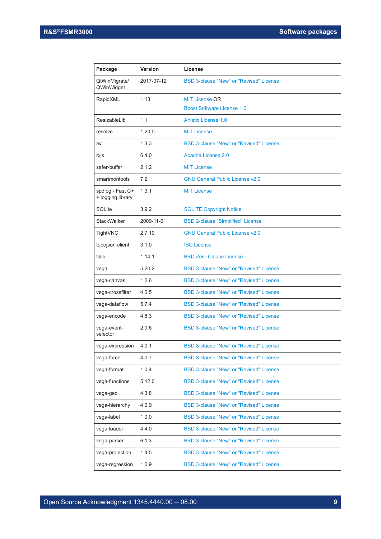| Package                               | <b>Version</b> | License                                        |
|---------------------------------------|----------------|------------------------------------------------|
| QtWinMigrate/<br>QWinWidget           | 2017-07-12     | <b>BSD 3-clause "New" or "Revised" License</b> |
| RapidXML                              | 1.13           | <b>MIT License OR</b>                          |
|                                       |                | <b>Boost Software License 1.0</b>              |
| ResizableLib                          | 1.1            | Artistic License 1.0                           |
| resolve                               | 1.20.0         | <b>MIT License</b>                             |
| rw                                    | 1.3.3          | <b>BSD 3-clause "New" or "Revised" License</b> |
| rxjs                                  | 6.4.0          | Apache License 2.0                             |
| safer-buffer                          | 2.1.2          | <b>MIT License</b>                             |
| smartmontools                         | 7.2            | <b>GNU General Public License v2.0</b>         |
| spdlog - Fast C+<br>+ logging library | 1.3.1          | <b>MIT License</b>                             |
| SQLite                                | 3.9.2          | <b>SQLITE Copyright Notice</b>                 |
| <b>StackWalker</b>                    | 2009-11-01     | <b>BSD 2-clause "Simplified" License</b>       |
| TightVNC                              | 2.7.10         | <b>GNU General Public License v2.0</b>         |
| topojson-client                       | 3.1.0          | <b>ISC License</b>                             |
| tslib                                 | 1.14.1         | <b>BSD Zero Clause License</b>                 |
| vega                                  | 5.20.2         | <b>BSD 3-clause "New" or "Revised" License</b> |
| vega-canvas                           | 1.2.6          | <b>BSD 3-clause "New" or "Revised" License</b> |
| vega-crossfilter                      | 4.0.5          | <b>BSD 3-clause "New" or "Revised" License</b> |
| vega-dataflow                         | 5.7.4          | <b>BSD 3-clause "New" or "Revised" License</b> |
| vega-encode                           | 4.8.3          | <b>BSD 3-clause "New" or "Revised" License</b> |
| vega-event-<br>selector               | 2.0.6          | <b>BSD 3-clause "New" or "Revised" License</b> |
| vega-expression                       | 4.0.1          | <b>BSD 3-clause "New" or "Revised" License</b> |
| vega-force                            | 4.0.7          | BSD 3-clause "New" or "Revised" License        |
| vega-format                           | 1.0.4          | BSD 3-clause "New" or "Revised" License        |
| vega-functions                        | 5.12.0         | BSD 3-clause "New" or "Revised" License        |
| vega-geo                              | 4.3.8          | BSD 3-clause "New" or "Revised" License        |
| vega-hierarchy                        | 4.0.9          | BSD 3-clause "New" or "Revised" License        |
| vega-label                            | 1.0.0          | BSD 3-clause "New" or "Revised" License        |
| vega-loader                           | 4.4.0          | <b>BSD 3-clause "New" or "Revised" License</b> |
| vega-parser                           | 6.1.3          | BSD 3-clause "New" or "Revised" License        |
| vega-projection                       | 1.4.5          | <b>BSD 3-clause "New" or "Revised" License</b> |
| vega-regression                       | 1.0.9          | BSD 3-clause "New" or "Revised" License        |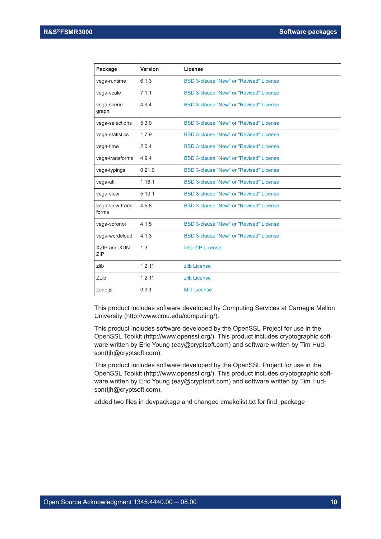| Package                   | Version | License                                        |
|---------------------------|---------|------------------------------------------------|
| vega-runtime              | 6.1.3   | BSD 3-clause "New" or "Revised" License        |
| vega-scale                | 7.1.1   | <b>BSD 3-clause "New" or "Revised" License</b> |
| vega-scene-<br>graph      | 4.9.4   | <b>BSD 3-clause "New" or "Revised" License</b> |
| vega-selections           | 5.3.0   | <b>BSD 3-clause "New" or "Revised" License</b> |
| vega-statistics           | 1.7.9   | BSD 3-clause "New" or "Revised" License        |
| vega-time                 | 2.0.4   | <b>BSD 3-clause "New" or "Revised" License</b> |
| vega-transforms           | 4.9.4   | BSD 3-clause "New" or "Revised" License        |
| vega-typings              | 0.21.0  | BSD 3-clause "New" or "Revised" License        |
| vega-util                 | 1.16.1  | <b>BSD 3-clause "New" or "Revised" License</b> |
| vega-view                 | 5.10.1  | <b>BSD 3-clause "New" or "Revised" License</b> |
| vega-view-trans-<br>forms | 4.5.8   | <b>BSD 3-clause "New" or "Revised" License</b> |
| vega-voronoi              | 4.1.5   | <b>BSD 3-clause "New" or "Revised" License</b> |
| vega-wordcloud            | 4.1.3   | <b>BSD 3-clause "New" or "Revised" License</b> |
| XZIP and XUN-<br>7IP      | 1.3     | Info-ZIP License                               |
| zlib                      | 1.2.11  | zlib License                                   |
| ZLib                      | 1.2.11  | zlib License                                   |
| zone.js                   | 0.9.1   | <b>MIT License</b>                             |

This product includes software developed by Computing Services at Carnegie Mellon University (http://www.cmu.edu/computing/).

This product includes software developed by the OpenSSL Project for use in the OpenSSL Toolkit (http://www.openssl.org/). This product includes cryptographic software written by Eric Young (eay@cryptsoft.com) and software written by Tim Hudson(tjh@cryptsoft.com).

This product includes software developed by the OpenSSL Project for use in the OpenSSL Toolkit (http://www.openssl.org/). This product includes cryptographic software written by Eric Young (eay@cryptsoft.com) and software written by Tim Hudson(tjh@cryptsoft.com).

added two files in devpackage and changed cmakelist.txt for find\_package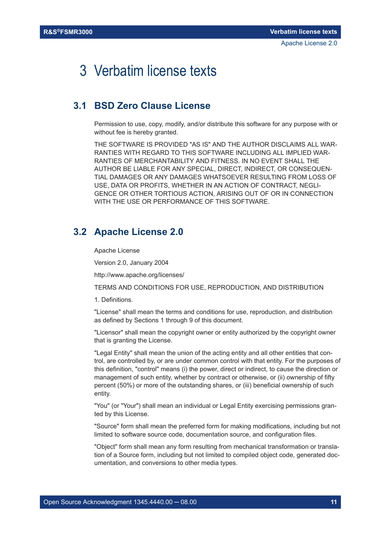## <span id="page-10-0"></span>3 Verbatim license texts

## **3.1 BSD Zero Clause License**

Permission to use, copy, modify, and/or distribute this software for any purpose with or without fee is hereby granted.

THE SOFTWARE IS PROVIDED "AS IS" AND THE AUTHOR DISCLAIMS ALL WAR-RANTIES WITH REGARD TO THIS SOFTWARE INCLUDING ALL IMPLIED WAR-RANTIES OF MERCHANTABILITY AND FITNESS. IN NO EVENT SHALL THE AUTHOR BE LIABLE FOR ANY SPECIAL, DIRECT, INDIRECT, OR CONSEQUEN-TIAL DAMAGES OR ANY DAMAGES WHATSOEVER RESULTING FROM LOSS OF USE, DATA OR PROFITS, WHETHER IN AN ACTION OF CONTRACT, NEGLI-GENCE OR OTHER TORTIOUS ACTION, ARISING OUT OF OR IN CONNECTION WITH THE USE OR PERFORMANCE OF THIS SOFTWARE.

## **3.2 Apache License 2.0**

Apache License

Version 2.0, January 2004

http://www.apache.org/licenses/

TERMS AND CONDITIONS FOR USE, REPRODUCTION, AND DISTRIBUTION

1. Definitions.

"License" shall mean the terms and conditions for use, reproduction, and distribution as defined by Sections 1 through 9 of this document.

"Licensor" shall mean the copyright owner or entity authorized by the copyright owner that is granting the License.

"Legal Entity" shall mean the union of the acting entity and all other entities that control, are controlled by, or are under common control with that entity. For the purposes of this definition, "control" means (i) the power, direct or indirect, to cause the direction or management of such entity, whether by contract or otherwise, or (ii) ownership of fifty percent (50%) or more of the outstanding shares, or (iii) beneficial ownership of such entity.

"You" (or "Your") shall mean an individual or Legal Entity exercising permissions granted by this License.

"Source" form shall mean the preferred form for making modifications, including but not limited to software source code, documentation source, and configuration files.

"Object" form shall mean any form resulting from mechanical transformation or translation of a Source form, including but not limited to compiled object code, generated documentation, and conversions to other media types.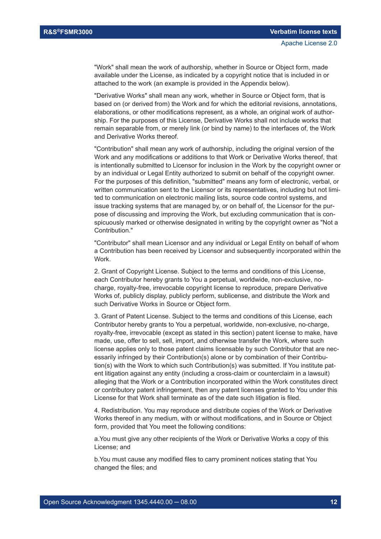"Work" shall mean the work of authorship, whether in Source or Object form, made available under the License, as indicated by a copyright notice that is included in or attached to the work (an example is provided in the Appendix below).

"Derivative Works" shall mean any work, whether in Source or Object form, that is based on (or derived from) the Work and for which the editorial revisions, annotations, elaborations, or other modifications represent, as a whole, an original work of authorship. For the purposes of this License, Derivative Works shall not include works that remain separable from, or merely link (or bind by name) to the interfaces of, the Work and Derivative Works thereof.

"Contribution" shall mean any work of authorship, including the original version of the Work and any modifications or additions to that Work or Derivative Works thereof, that is intentionally submitted to Licensor for inclusion in the Work by the copyright owner or by an individual or Legal Entity authorized to submit on behalf of the copyright owner. For the purposes of this definition, "submitted" means any form of electronic, verbal, or written communication sent to the Licensor or its representatives, including but not limited to communication on electronic mailing lists, source code control systems, and issue tracking systems that are managed by, or on behalf of, the Licensor for the purpose of discussing and improving the Work, but excluding communication that is conspicuously marked or otherwise designated in writing by the copyright owner as "Not a Contribution."

"Contributor" shall mean Licensor and any individual or Legal Entity on behalf of whom a Contribution has been received by Licensor and subsequently incorporated within the Work.

2. Grant of Copyright License. Subject to the terms and conditions of this License, each Contributor hereby grants to You a perpetual, worldwide, non-exclusive, nocharge, royalty-free, irrevocable copyright license to reproduce, prepare Derivative Works of, publicly display, publicly perform, sublicense, and distribute the Work and such Derivative Works in Source or Object form.

3. Grant of Patent License. Subject to the terms and conditions of this License, each Contributor hereby grants to You a perpetual, worldwide, non-exclusive, no-charge, royalty-free, irrevocable (except as stated in this section) patent license to make, have made, use, offer to sell, sell, import, and otherwise transfer the Work, where such license applies only to those patent claims licensable by such Contributor that are necessarily infringed by their Contribution(s) alone or by combination of their Contribution(s) with the Work to which such Contribution(s) was submitted. If You institute patent litigation against any entity (including a cross-claim or counterclaim in a lawsuit) alleging that the Work or a Contribution incorporated within the Work constitutes direct or contributory patent infringement, then any patent licenses granted to You under this License for that Work shall terminate as of the date such litigation is filed.

4. Redistribution. You may reproduce and distribute copies of the Work or Derivative Works thereof in any medium, with or without modifications, and in Source or Object form, provided that You meet the following conditions:

a.You must give any other recipients of the Work or Derivative Works a copy of this License; and

b.You must cause any modified files to carry prominent notices stating that You changed the files; and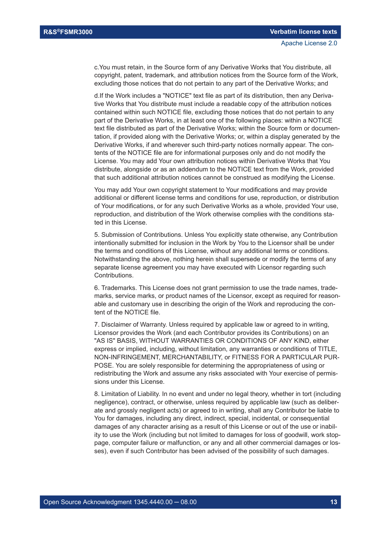c.You must retain, in the Source form of any Derivative Works that You distribute, all copyright, patent, trademark, and attribution notices from the Source form of the Work, excluding those notices that do not pertain to any part of the Derivative Works; and

d.If the Work includes a "NOTICE" text file as part of its distribution, then any Derivative Works that You distribute must include a readable copy of the attribution notices contained within such NOTICE file, excluding those notices that do not pertain to any part of the Derivative Works, in at least one of the following places: within a NOTICE text file distributed as part of the Derivative Works; within the Source form or documentation, if provided along with the Derivative Works; or, within a display generated by the Derivative Works, if and wherever such third-party notices normally appear. The contents of the NOTICE file are for informational purposes only and do not modify the License. You may add Your own attribution notices within Derivative Works that You distribute, alongside or as an addendum to the NOTICE text from the Work, provided that such additional attribution notices cannot be construed as modifying the License.

You may add Your own copyright statement to Your modifications and may provide additional or different license terms and conditions for use, reproduction, or distribution of Your modifications, or for any such Derivative Works as a whole, provided Your use, reproduction, and distribution of the Work otherwise complies with the conditions stated in this License.

5. Submission of Contributions. Unless You explicitly state otherwise, any Contribution intentionally submitted for inclusion in the Work by You to the Licensor shall be under the terms and conditions of this License, without any additional terms or conditions. Notwithstanding the above, nothing herein shall supersede or modify the terms of any separate license agreement you may have executed with Licensor regarding such Contributions.

6. Trademarks. This License does not grant permission to use the trade names, trademarks, service marks, or product names of the Licensor, except as required for reasonable and customary use in describing the origin of the Work and reproducing the content of the NOTICE file.

7. Disclaimer of Warranty. Unless required by applicable law or agreed to in writing, Licensor provides the Work (and each Contributor provides its Contributions) on an "AS IS" BASIS, WITHOUT WARRANTIES OR CONDITIONS OF ANY KIND, either express or implied, including, without limitation, any warranties or conditions of TITLE, NON-INFRINGEMENT, MERCHANTABILITY, or FITNESS FOR A PARTICULAR PUR-POSE. You are solely responsible for determining the appropriateness of using or redistributing the Work and assume any risks associated with Your exercise of permissions under this License.

8. Limitation of Liability. In no event and under no legal theory, whether in tort (including negligence), contract, or otherwise, unless required by applicable law (such as deliberate and grossly negligent acts) or agreed to in writing, shall any Contributor be liable to You for damages, including any direct, indirect, special, incidental, or consequential damages of any character arising as a result of this License or out of the use or inability to use the Work (including but not limited to damages for loss of goodwill, work stoppage, computer failure or malfunction, or any and all other commercial damages or losses), even if such Contributor has been advised of the possibility of such damages.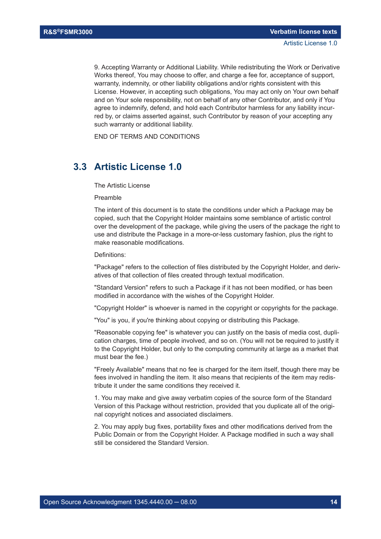<span id="page-13-0"></span>9. Accepting Warranty or Additional Liability. While redistributing the Work or Derivative Works thereof, You may choose to offer, and charge a fee for, acceptance of support, warranty, indemnity, or other liability obligations and/or rights consistent with this License. However, in accepting such obligations, You may act only on Your own behalf and on Your sole responsibility, not on behalf of any other Contributor, and only if You agree to indemnify, defend, and hold each Contributor harmless for any liability incurred by, or claims asserted against, such Contributor by reason of your accepting any such warranty or additional liability.

END OF TERMS AND CONDITIONS

## **3.3 Artistic License 1.0**

The Artistic License

#### Preamble

The intent of this document is to state the conditions under which a Package may be copied, such that the Copyright Holder maintains some semblance of artistic control over the development of the package, while giving the users of the package the right to use and distribute the Package in a more-or-less customary fashion, plus the right to make reasonable modifications.

Definitions:

"Package" refers to the collection of files distributed by the Copyright Holder, and derivatives of that collection of files created through textual modification.

"Standard Version" refers to such a Package if it has not been modified, or has been modified in accordance with the wishes of the Copyright Holder.

"Copyright Holder" is whoever is named in the copyright or copyrights for the package.

"You" is you, if you're thinking about copying or distributing this Package.

"Reasonable copying fee" is whatever you can justify on the basis of media cost, duplication charges, time of people involved, and so on. (You will not be required to justify it to the Copyright Holder, but only to the computing community at large as a market that must bear the fee.)

"Freely Available" means that no fee is charged for the item itself, though there may be fees involved in handling the item. It also means that recipients of the item may redistribute it under the same conditions they received it.

1. You may make and give away verbatim copies of the source form of the Standard Version of this Package without restriction, provided that you duplicate all of the original copyright notices and associated disclaimers.

2. You may apply bug fixes, portability fixes and other modifications derived from the Public Domain or from the Copyright Holder. A Package modified in such a way shall still be considered the Standard Version.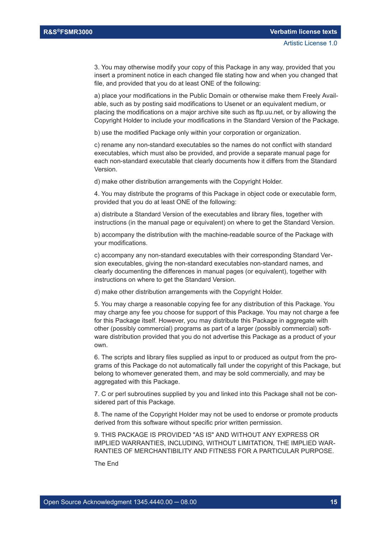3. You may otherwise modify your copy of this Package in any way, provided that you insert a prominent notice in each changed file stating how and when you changed that file, and provided that you do at least ONE of the following:

a) place your modifications in the Public Domain or otherwise make them Freely Available, such as by posting said modifications to Usenet or an equivalent medium, or placing the modifications on a major archive site such as ftp.uu.net, or by allowing the Copyright Holder to include your modifications in the Standard Version of the Package.

b) use the modified Package only within your corporation or organization.

c) rename any non-standard executables so the names do not conflict with standard executables, which must also be provided, and provide a separate manual page for each non-standard executable that clearly documents how it differs from the Standard Version.

d) make other distribution arrangements with the Copyright Holder.

4. You may distribute the programs of this Package in object code or executable form, provided that you do at least ONE of the following:

a) distribute a Standard Version of the executables and library files, together with instructions (in the manual page or equivalent) on where to get the Standard Version.

b) accompany the distribution with the machine-readable source of the Package with your modifications.

c) accompany any non-standard executables with their corresponding Standard Version executables, giving the non-standard executables non-standard names, and clearly documenting the differences in manual pages (or equivalent), together with instructions on where to get the Standard Version.

d) make other distribution arrangements with the Copyright Holder.

5. You may charge a reasonable copying fee for any distribution of this Package. You may charge any fee you choose for support of this Package. You may not charge a fee for this Package itself. However, you may distribute this Package in aggregate with other (possibly commercial) programs as part of a larger (possibly commercial) software distribution provided that you do not advertise this Package as a product of your own.

6. The scripts and library files supplied as input to or produced as output from the programs of this Package do not automatically fall under the copyright of this Package, but belong to whomever generated them, and may be sold commercially, and may be aggregated with this Package.

7. C or perl subroutines supplied by you and linked into this Package shall not be considered part of this Package.

8. The name of the Copyright Holder may not be used to endorse or promote products derived from this software without specific prior written permission.

9. THIS PACKAGE IS PROVIDED "AS IS" AND WITHOUT ANY EXPRESS OR IMPLIED WARRANTIES, INCLUDING, WITHOUT LIMITATION, THE IMPLIED WAR-RANTIES OF MERCHANTIBILITY AND FITNESS FOR A PARTICULAR PURPOSE.

The End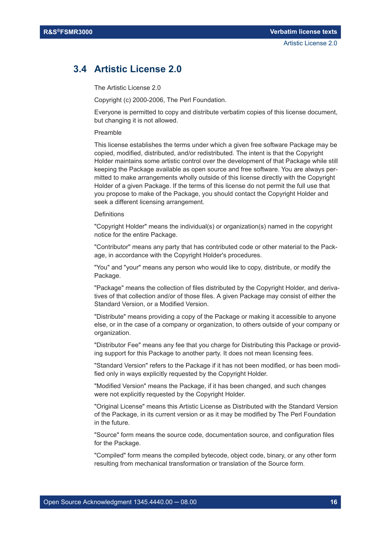## <span id="page-15-0"></span>**3.4 Artistic License 2.0**

The Artistic License 2.0

Copyright (c) 2000-2006, The Perl Foundation.

Everyone is permitted to copy and distribute verbatim copies of this license document, but changing it is not allowed.

#### Preamble

This license establishes the terms under which a given free software Package may be copied, modified, distributed, and/or redistributed. The intent is that the Copyright Holder maintains some artistic control over the development of that Package while still keeping the Package available as open source and free software. You are always permitted to make arrangements wholly outside of this license directly with the Copyright Holder of a given Package. If the terms of this license do not permit the full use that you propose to make of the Package, you should contact the Copyright Holder and seek a different licensing arrangement.

#### Definitions

"Copyright Holder" means the individual(s) or organization(s) named in the copyright notice for the entire Package.

"Contributor" means any party that has contributed code or other material to the Package, in accordance with the Copyright Holder's procedures.

"You" and "your" means any person who would like to copy, distribute, or modify the Package.

"Package" means the collection of files distributed by the Copyright Holder, and derivatives of that collection and/or of those files. A given Package may consist of either the Standard Version, or a Modified Version.

"Distribute" means providing a copy of the Package or making it accessible to anyone else, or in the case of a company or organization, to others outside of your company or organization.

"Distributor Fee" means any fee that you charge for Distributing this Package or providing support for this Package to another party. It does not mean licensing fees.

"Standard Version" refers to the Package if it has not been modified, or has been modified only in ways explicitly requested by the Copyright Holder.

"Modified Version" means the Package, if it has been changed, and such changes were not explicitly requested by the Copyright Holder.

"Original License" means this Artistic License as Distributed with the Standard Version of the Package, in its current version or as it may be modified by The Perl Foundation in the future.

"Source" form means the source code, documentation source, and configuration files for the Package.

"Compiled" form means the compiled bytecode, object code, binary, or any other form resulting from mechanical transformation or translation of the Source form.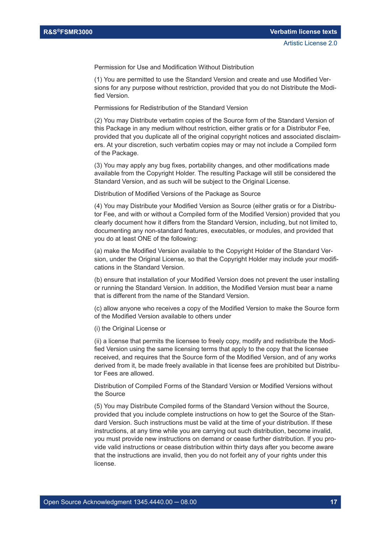Permission for Use and Modification Without Distribution

(1) You are permitted to use the Standard Version and create and use Modified Versions for any purpose without restriction, provided that you do not Distribute the Modified Version.

Permissions for Redistribution of the Standard Version

(2) You may Distribute verbatim copies of the Source form of the Standard Version of this Package in any medium without restriction, either gratis or for a Distributor Fee, provided that you duplicate all of the original copyright notices and associated disclaimers. At your discretion, such verbatim copies may or may not include a Compiled form of the Package.

(3) You may apply any bug fixes, portability changes, and other modifications made available from the Copyright Holder. The resulting Package will still be considered the Standard Version, and as such will be subject to the Original License.

Distribution of Modified Versions of the Package as Source

(4) You may Distribute your Modified Version as Source (either gratis or for a Distributor Fee, and with or without a Compiled form of the Modified Version) provided that you clearly document how it differs from the Standard Version, including, but not limited to, documenting any non-standard features, executables, or modules, and provided that you do at least ONE of the following:

(a) make the Modified Version available to the Copyright Holder of the Standard Version, under the Original License, so that the Copyright Holder may include your modifications in the Standard Version.

(b) ensure that installation of your Modified Version does not prevent the user installing or running the Standard Version. In addition, the Modified Version must bear a name that is different from the name of the Standard Version.

(c) allow anyone who receives a copy of the Modified Version to make the Source form of the Modified Version available to others under

(i) the Original License or

(ii) a license that permits the licensee to freely copy, modify and redistribute the Modified Version using the same licensing terms that apply to the copy that the licensee received, and requires that the Source form of the Modified Version, and of any works derived from it, be made freely available in that license fees are prohibited but Distributor Fees are allowed.

Distribution of Compiled Forms of the Standard Version or Modified Versions without the Source

(5) You may Distribute Compiled forms of the Standard Version without the Source, provided that you include complete instructions on how to get the Source of the Standard Version. Such instructions must be valid at the time of your distribution. If these instructions, at any time while you are carrying out such distribution, become invalid, you must provide new instructions on demand or cease further distribution. If you provide valid instructions or cease distribution within thirty days after you become aware that the instructions are invalid, then you do not forfeit any of your rights under this license.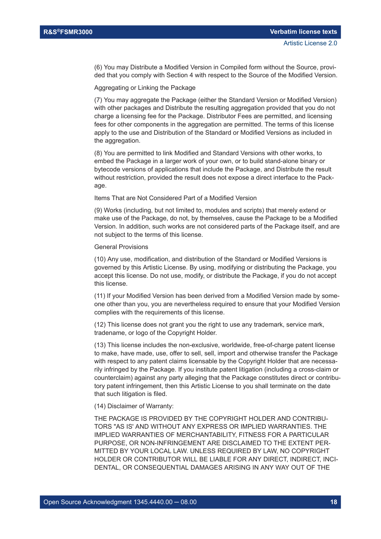(6) You may Distribute a Modified Version in Compiled form without the Source, provided that you comply with Section 4 with respect to the Source of the Modified Version.

Aggregating or Linking the Package

(7) You may aggregate the Package (either the Standard Version or Modified Version) with other packages and Distribute the resulting aggregation provided that you do not charge a licensing fee for the Package. Distributor Fees are permitted, and licensing fees for other components in the aggregation are permitted. The terms of this license apply to the use and Distribution of the Standard or Modified Versions as included in the aggregation.

(8) You are permitted to link Modified and Standard Versions with other works, to embed the Package in a larger work of your own, or to build stand-alone binary or bytecode versions of applications that include the Package, and Distribute the result without restriction, provided the result does not expose a direct interface to the Package.

Items That are Not Considered Part of a Modified Version

(9) Works (including, but not limited to, modules and scripts) that merely extend or make use of the Package, do not, by themselves, cause the Package to be a Modified Version. In addition, such works are not considered parts of the Package itself, and are not subject to the terms of this license.

#### General Provisions

(10) Any use, modification, and distribution of the Standard or Modified Versions is governed by this Artistic License. By using, modifying or distributing the Package, you accept this license. Do not use, modify, or distribute the Package, if you do not accept this license.

(11) If your Modified Version has been derived from a Modified Version made by someone other than you, you are nevertheless required to ensure that your Modified Version complies with the requirements of this license.

(12) This license does not grant you the right to use any trademark, service mark, tradename, or logo of the Copyright Holder.

(13) This license includes the non-exclusive, worldwide, free-of-charge patent license to make, have made, use, offer to sell, sell, import and otherwise transfer the Package with respect to any patent claims licensable by the Copyright Holder that are necessarily infringed by the Package. If you institute patent litigation (including a cross-claim or counterclaim) against any party alleging that the Package constitutes direct or contributory patent infringement, then this Artistic License to you shall terminate on the date that such litigation is filed.

#### (14) Disclaimer of Warranty:

THE PACKAGE IS PROVIDED BY THE COPYRIGHT HOLDER AND CONTRIBU-TORS "AS IS' AND WITHOUT ANY EXPRESS OR IMPLIED WARRANTIES. THE IMPLIED WARRANTIES OF MERCHANTABILITY, FITNESS FOR A PARTICULAR PURPOSE, OR NON-INFRINGEMENT ARE DISCLAIMED TO THE EXTENT PER-MITTED BY YOUR LOCAL LAW. UNLESS REQUIRED BY LAW, NO COPYRIGHT HOLDER OR CONTRIBUTOR WILL BE LIABLE FOR ANY DIRECT, INDIRECT, INCI-DENTAL, OR CONSEQUENTIAL DAMAGES ARISING IN ANY WAY OUT OF THE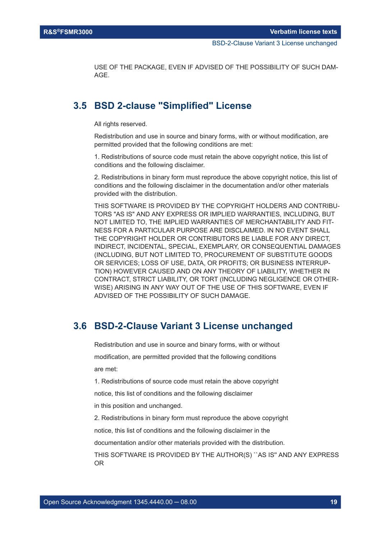<span id="page-18-0"></span>USE OF THE PACKAGE, EVEN IF ADVISED OF THE POSSIBILITY OF SUCH DAM-AGE.

## **3.5 BSD 2-clause "Simplified" License**

All rights reserved.

Redistribution and use in source and binary forms, with or without modification, are permitted provided that the following conditions are met:

1. Redistributions of source code must retain the above copyright notice, this list of conditions and the following disclaimer.

2. Redistributions in binary form must reproduce the above copyright notice, this list of conditions and the following disclaimer in the documentation and/or other materials provided with the distribution.

THIS SOFTWARE IS PROVIDED BY THE COPYRIGHT HOLDERS AND CONTRIBU-TORS "AS IS" AND ANY EXPRESS OR IMPLIED WARRANTIES, INCLUDING, BUT NOT LIMITED TO, THE IMPLIED WARRANTIES OF MERCHANTABILITY AND FIT-NESS FOR A PARTICULAR PURPOSE ARE DISCLAIMED. IN NO EVENT SHALL THE COPYRIGHT HOLDER OR CONTRIBUTORS BE LIABLE FOR ANY DIRECT, INDIRECT, INCIDENTAL, SPECIAL, EXEMPLARY, OR CONSEQUENTIAL DAMAGES (INCLUDING, BUT NOT LIMITED TO, PROCUREMENT OF SUBSTITUTE GOODS OR SERVICES; LOSS OF USE, DATA, OR PROFITS; OR BUSINESS INTERRUP-TION) HOWEVER CAUSED AND ON ANY THEORY OF LIABILITY, WHETHER IN CONTRACT, STRICT LIABILITY, OR TORT (INCLUDING NEGLIGENCE OR OTHER-WISE) ARISING IN ANY WAY OUT OF THE USE OF THIS SOFTWARE, EVEN IF ADVISED OF THE POSSIBILITY OF SUCH DAMAGE.

#### **3.6 BSD-2-Clause Variant 3 License unchanged**

Redistribution and use in source and binary forms, with or without modification, are permitted provided that the following conditions are met:

1. Redistributions of source code must retain the above copyright

notice, this list of conditions and the following disclaimer

in this position and unchanged.

2. Redistributions in binary form must reproduce the above copyright

notice, this list of conditions and the following disclaimer in the

documentation and/or other materials provided with the distribution.

THIS SOFTWARE IS PROVIDED BY THE AUTHOR(S) ``AS IS'' AND ANY EXPRESS OR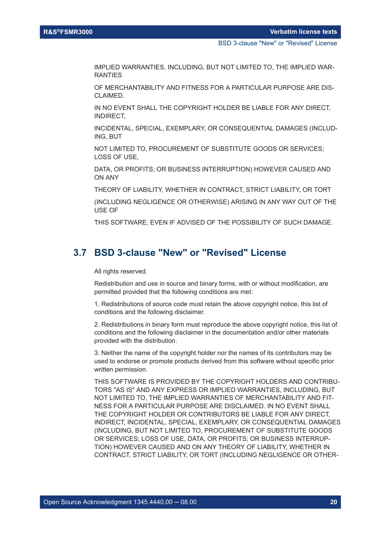<span id="page-19-0"></span>IMPLIED WARRANTIES, INCLUDING, BUT NOT LIMITED TO, THE IMPLIED WAR-RANTIES

OF MERCHANTABILITY AND FITNESS FOR A PARTICULAR PURPOSE ARE DIS-CLAIMED.

IN NO EVENT SHALL THE COPYRIGHT HOLDER BE LIABLE FOR ANY DIRECT, INDIRECT,

INCIDENTAL, SPECIAL, EXEMPLARY, OR CONSEQUENTIAL DAMAGES (INCLUD-ING, BUT

NOT LIMITED TO, PROCUREMENT OF SUBSTITUTE GOODS OR SERVICES; LOSS OF USE,

DATA, OR PROFITS; OR BUSINESS INTERRUPTION) HOWEVER CAUSED AND ON ANY

THEORY OF LIABILITY, WHETHER IN CONTRACT, STRICT LIABILITY, OR TORT

(INCLUDING NEGLIGENCE OR OTHERWISE) ARISING IN ANY WAY OUT OF THE USE OF

THIS SOFTWARE, EVEN IF ADVISED OF THE POSSIBILITY OF SUCH DAMAGE.

### **3.7 BSD 3-clause "New" or "Revised" License**

All rights reserved.

Redistribution and use in source and binary forms, with or without modification, are permitted provided that the following conditions are met:

1. Redistributions of source code must retain the above copyright notice, this list of conditions and the following disclaimer.

2. Redistributions in binary form must reproduce the above copyright notice, this list of conditions and the following disclaimer in the documentation and/or other materials provided with the distribution.

3. Neither the name of the copyright holder nor the names of its contributors may be used to endorse or promote products derived from this software without specific prior written permission.

THIS SOFTWARE IS PROVIDED BY THE COPYRIGHT HOLDERS AND CONTRIBU-TORS "AS IS" AND ANY EXPRESS OR IMPLIED WARRANTIES, INCLUDING, BUT NOT LIMITED TO, THE IMPLIED WARRANTIES OF MERCHANTABILITY AND FIT-NESS FOR A PARTICULAR PURPOSE ARE DISCLAIMED. IN NO EVENT SHALL THE COPYRIGHT HOLDER OR CONTRIBUTORS BE LIABLE FOR ANY DIRECT, INDIRECT, INCIDENTAL, SPECIAL, EXEMPLARY, OR CONSEQUENTIAL DAMAGES (INCLUDING, BUT NOT LIMITED TO, PROCUREMENT OF SUBSTITUTE GOODS OR SERVICES; LOSS OF USE, DATA, OR PROFITS; OR BUSINESS INTERRUP-TION) HOWEVER CAUSED AND ON ANY THEORY OF LIABILITY, WHETHER IN CONTRACT, STRICT LIABILITY, OR TORT (INCLUDING NEGLIGENCE OR OTHER-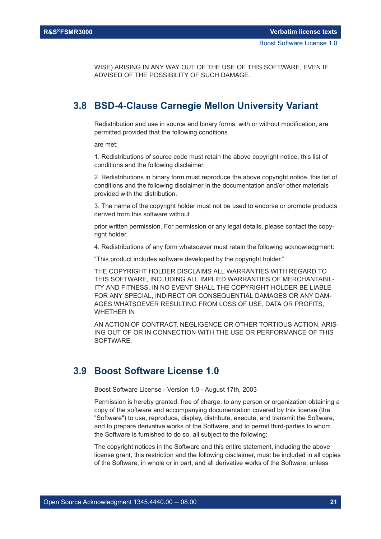<span id="page-20-0"></span>WISE) ARISING IN ANY WAY OUT OF THE USE OF THIS SOFTWARE, EVEN IF ADVISED OF THE POSSIBILITY OF SUCH DAMAGE.

### **3.8 BSD-4-Clause Carnegie Mellon University Variant**

Redistribution and use in source and binary forms, with or without modification, are permitted provided that the following conditions

are met:

1. Redistributions of source code must retain the above copyright notice, this list of conditions and the following disclaimer.

2. Redistributions in binary form must reproduce the above copyright notice, this list of conditions and the following disclaimer in the documentation and/or other materials provided with the distribution.

3. The name of the copyright holder must not be used to endorse or promote products derived from this software without

prior written permission. For permission or any legal details, please contact the copyright holder.

4. Redistributions of any form whatsoever must retain the following acknowledgment:

"This product includes software developed by the copyright holder."

THE COPYRIGHT HOLDER DISCLAIMS ALL WARRANTIES WITH REGARD TO THIS SOFTWARE, INCLUDING ALL IMPLIED WARRANTIES OF MERCHANTABIL-ITY AND FITNESS, IN NO EVENT SHALL THE COPYRIGHT HOLDER BE LIABLE FOR ANY SPECIAL, INDIRECT OR CONSEQUENTIAL DAMAGES OR ANY DAM-AGES WHATSOEVER RESULTING FROM LOSS OF USE, DATA OR PROFITS, WHETHER IN

AN ACTION OF CONTRACT, NEGLIGENCE OR OTHER TORTIOUS ACTION, ARIS-ING OUT OF OR IN CONNECTION WITH THE USE OR PERFORMANCE OF THIS SOFTWARE.

## **3.9 Boost Software License 1.0**

Boost Software License - Version 1.0 - August 17th, 2003

Permission is hereby granted, free of charge, to any person or organization obtaining a copy of the software and accompanying documentation covered by this license (the "Software") to use, reproduce, display, distribute, execute, and transmit the Software, and to prepare derivative works of the Software, and to permit third-parties to whom the Software is furnished to do so, all subject to the following:

The copyright notices in the Software and this entire statement, including the above license grant, this restriction and the following disclaimer, must be included in all copies of the Software, in whole or in part, and all derivative works of the Software, unless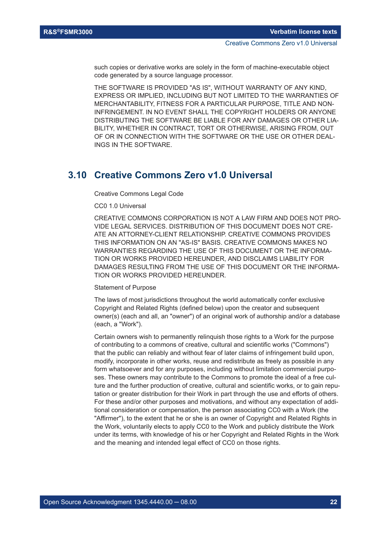<span id="page-21-0"></span>such copies or derivative works are solely in the form of machine-executable object code generated by a source language processor.

THE SOFTWARE IS PROVIDED "AS IS", WITHOUT WARRANTY OF ANY KIND, EXPRESS OR IMPLIED, INCLUDING BUT NOT LIMITED TO THE WARRANTIES OF MERCHANTABILITY, FITNESS FOR A PARTICULAR PURPOSE, TITLE AND NON-INFRINGEMENT. IN NO EVENT SHALL THE COPYRIGHT HOLDERS OR ANYONE DISTRIBUTING THE SOFTWARE BE LIABLE FOR ANY DAMAGES OR OTHER LIA-BILITY, WHETHER IN CONTRACT, TORT OR OTHERWISE, ARISING FROM, OUT OF OR IN CONNECTION WITH THE SOFTWARE OR THE USE OR OTHER DEAL-INGS IN THE SOFTWARE.

#### **3.10 Creative Commons Zero v1.0 Universal**

Creative Commons Legal Code

CC0 1.0 Universal

CREATIVE COMMONS CORPORATION IS NOT A LAW FIRM AND DOES NOT PRO-VIDE LEGAL SERVICES. DISTRIBUTION OF THIS DOCUMENT DOES NOT CRE-ATE AN ATTORNEY-CLIENT RELATIONSHIP. CREATIVE COMMONS PROVIDES THIS INFORMATION ON AN "AS-IS" BASIS. CREATIVE COMMONS MAKES NO WARRANTIES REGARDING THE USE OF THIS DOCUMENT OR THE INFORMA-TION OR WORKS PROVIDED HEREUNDER, AND DISCLAIMS LIABILITY FOR DAMAGES RESULTING FROM THE USE OF THIS DOCUMENT OR THE INFORMA-TION OR WORKS PROVIDED HEREUNDER.

Statement of Purpose

The laws of most jurisdictions throughout the world automatically confer exclusive Copyright and Related Rights (defined below) upon the creator and subsequent owner(s) (each and all, an "owner") of an original work of authorship and/or a database (each, a "Work").

Certain owners wish to permanently relinquish those rights to a Work for the purpose of contributing to a commons of creative, cultural and scientific works ("Commons") that the public can reliably and without fear of later claims of infringement build upon, modify, incorporate in other works, reuse and redistribute as freely as possible in any form whatsoever and for any purposes, including without limitation commercial purposes. These owners may contribute to the Commons to promote the ideal of a free culture and the further production of creative, cultural and scientific works, or to gain reputation or greater distribution for their Work in part through the use and efforts of others. For these and/or other purposes and motivations, and without any expectation of additional consideration or compensation, the person associating CC0 with a Work (the "Affirmer"), to the extent that he or she is an owner of Copyright and Related Rights in the Work, voluntarily elects to apply CC0 to the Work and publicly distribute the Work under its terms, with knowledge of his or her Copyright and Related Rights in the Work and the meaning and intended legal effect of CC0 on those rights.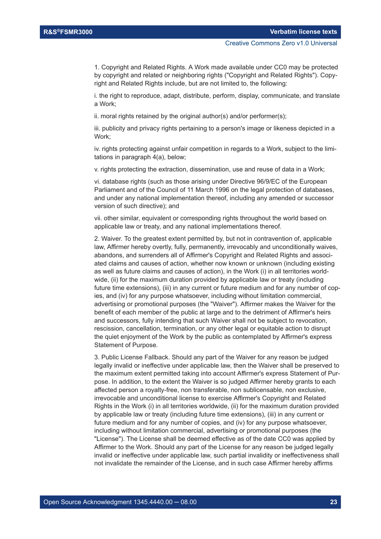1. Copyright and Related Rights. A Work made available under CC0 may be protected by copyright and related or neighboring rights ("Copyright and Related Rights"). Copyright and Related Rights include, but are not limited to, the following:

i. the right to reproduce, adapt, distribute, perform, display, communicate, and translate a Work;

ii. moral rights retained by the original author(s) and/or performer(s);

iii. publicity and privacy rights pertaining to a person's image or likeness depicted in a Work;

iv. rights protecting against unfair competition in regards to a Work, subject to the limitations in paragraph 4(a), below;

v. rights protecting the extraction, dissemination, use and reuse of data in a Work;

vi. database rights (such as those arising under Directive 96/9/EC of the European Parliament and of the Council of 11 March 1996 on the legal protection of databases, and under any national implementation thereof, including any amended or successor version of such directive); and

vii. other similar, equivalent or corresponding rights throughout the world based on applicable law or treaty, and any national implementations thereof.

2. Waiver. To the greatest extent permitted by, but not in contravention of, applicable law, Affirmer hereby overtly, fully, permanently, irrevocably and unconditionally waives, abandons, and surrenders all of Affirmer's Copyright and Related Rights and associated claims and causes of action, whether now known or unknown (including existing as well as future claims and causes of action), in the Work (i) in all territories worldwide, (ii) for the maximum duration provided by applicable law or treaty (including future time extensions), (iii) in any current or future medium and for any number of copies, and (iv) for any purpose whatsoever, including without limitation commercial, advertising or promotional purposes (the "Waiver"). Affirmer makes the Waiver for the benefit of each member of the public at large and to the detriment of Affirmer's heirs and successors, fully intending that such Waiver shall not be subject to revocation, rescission, cancellation, termination, or any other legal or equitable action to disrupt the quiet enjoyment of the Work by the public as contemplated by Affirmer's express Statement of Purpose.

3. Public License Fallback. Should any part of the Waiver for any reason be judged legally invalid or ineffective under applicable law, then the Waiver shall be preserved to the maximum extent permitted taking into account Affirmer's express Statement of Purpose. In addition, to the extent the Waiver is so judged Affirmer hereby grants to each affected person a royalty-free, non transferable, non sublicensable, non exclusive, irrevocable and unconditional license to exercise Affirmer's Copyright and Related Rights in the Work (i) in all territories worldwide, (ii) for the maximum duration provided by applicable law or treaty (including future time extensions), (iii) in any current or future medium and for any number of copies, and (iv) for any purpose whatsoever, including without limitation commercial, advertising or promotional purposes (the "License"). The License shall be deemed effective as of the date CC0 was applied by Affirmer to the Work. Should any part of the License for any reason be judged legally invalid or ineffective under applicable law, such partial invalidity or ineffectiveness shall not invalidate the remainder of the License, and in such case Affirmer hereby affirms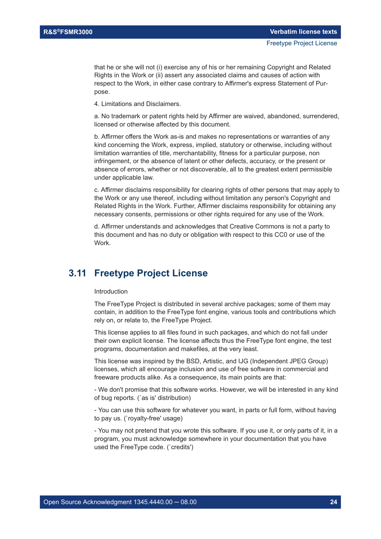<span id="page-23-0"></span>that he or she will not (i) exercise any of his or her remaining Copyright and Related Rights in the Work or (ii) assert any associated claims and causes of action with respect to the Work, in either case contrary to Affirmer's express Statement of Purpose.

4. Limitations and Disclaimers.

a. No trademark or patent rights held by Affirmer are waived, abandoned, surrendered, licensed or otherwise affected by this document.

b. Affirmer offers the Work as-is and makes no representations or warranties of any kind concerning the Work, express, implied, statutory or otherwise, including without limitation warranties of title, merchantability, fitness for a particular purpose, non infringement, or the absence of latent or other defects, accuracy, or the present or absence of errors, whether or not discoverable, all to the greatest extent permissible under applicable law.

c. Affirmer disclaims responsibility for clearing rights of other persons that may apply to the Work or any use thereof, including without limitation any person's Copyright and Related Rights in the Work. Further, Affirmer disclaims responsibility for obtaining any necessary consents, permissions or other rights required for any use of the Work.

d. Affirmer understands and acknowledges that Creative Commons is not a party to this document and has no duty or obligation with respect to this CC0 or use of the Work.

## **3.11 Freetype Project License**

#### Introduction

The FreeType Project is distributed in several archive packages; some of them may contain, in addition to the FreeType font engine, various tools and contributions which rely on, or relate to, the FreeType Project.

This license applies to all files found in such packages, and which do not fall under their own explicit license. The license affects thus the FreeType font engine, the test programs, documentation and makefiles, at the very least.

This license was inspired by the BSD, Artistic, and IJG (Independent JPEG Group) licenses, which all encourage inclusion and use of free software in commercial and freeware products alike. As a consequence, its main points are that:

- We don't promise that this software works. However, we will be interested in any kind of bug reports. (`as is' distribution)

- You can use this software for whatever you want, in parts or full form, without having to pay us. (`royalty-free' usage)

- You may not pretend that you wrote this software. If you use it, or only parts of it, in a program, you must acknowledge somewhere in your documentation that you have used the FreeType code. (`credits')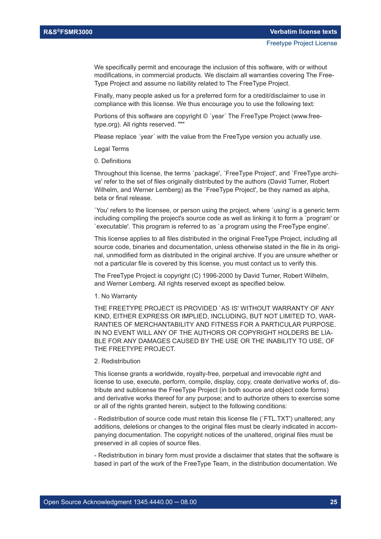We specifically permit and encourage the inclusion of this software, with or without modifications, in commercial products. We disclaim all warranties covering The Free-Type Project and assume no liability related to The FreeType Project.

Finally, many people asked us for a preferred form for a credit/disclaimer to use in compliance with this license. We thus encourage you to use the following text:

Portions of this software are copyright © ´year´ The FreeType Project (www.freetype.org). All rights reserved. """

Please replace 'year' with the value from the FreeType version you actually use.

Legal Terms

0. Definitions

Throughout this license, the terms `package', `FreeType Project', and `FreeType archive' refer to the set of files originally distributed by the authors (David Turner, Robert Wilhelm, and Werner Lemberg) as the `FreeType Project', be they named as alpha, beta or final release.

`You' refers to the licensee, or person using the project, where `using' is a generic term including compiling the project's source code as well as linking it to form a `program' or `executable'. This program is referred to as `a program using the FreeType engine'.

This license applies to all files distributed in the original FreeType Project, including all source code, binaries and documentation, unless otherwise stated in the file in its original, unmodified form as distributed in the original archive. If you are unsure whether or not a particular file is covered by this license, you must contact us to verify this.

The FreeType Project is copyright (C) 1996-2000 by David Turner, Robert Wilhelm, and Werner Lemberg. All rights reserved except as specified below.

#### 1. No Warranty

THE FREETYPE PROJECT IS PROVIDED `AS IS' WITHOUT WARRANTY OF ANY KIND, EITHER EXPRESS OR IMPLIED, INCLUDING, BUT NOT LIMITED TO, WAR-RANTIES OF MERCHANTABILITY AND FITNESS FOR A PARTICULAR PURPOSE. IN NO EVENT WILL ANY OF THE AUTHORS OR COPYRIGHT HOLDERS BE LIA-BLE FOR ANY DAMAGES CAUSED BY THE USE OR THE INABILITY TO USE, OF THE FREETYPE PROJECT.

#### 2. Redistribution

This license grants a worldwide, royalty-free, perpetual and irrevocable right and license to use, execute, perform, compile, display, copy, create derivative works of, distribute and sublicense the FreeType Project (in both source and object code forms) and derivative works thereof for any purpose; and to authorize others to exercise some or all of the rights granted herein, subject to the following conditions:

- Redistribution of source code must retain this license file (`FTL.TXT') unaltered; any additions, deletions or changes to the original files must be clearly indicated in accompanying documentation. The copyright notices of the unaltered, original files must be preserved in all copies of source files.

- Redistribution in binary form must provide a disclaimer that states that the software is based in part of the work of the FreeType Team, in the distribution documentation. We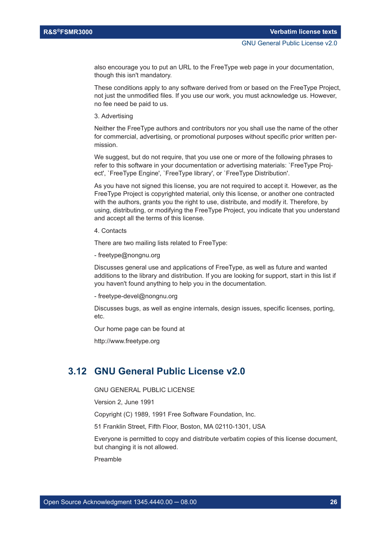<span id="page-25-0"></span>also encourage you to put an URL to the FreeType web page in your documentation, though this isn't mandatory.

These conditions apply to any software derived from or based on the FreeType Project, not just the unmodified files. If you use our work, you must acknowledge us. However, no fee need be paid to us.

3. Advertising

Neither the FreeType authors and contributors nor you shall use the name of the other for commercial, advertising, or promotional purposes without specific prior written permission.

We suggest, but do not require, that you use one or more of the following phrases to refer to this software in your documentation or advertising materials: `FreeType Project', `FreeType Engine', `FreeType library', or `FreeType Distribution'.

As you have not signed this license, you are not required to accept it. However, as the FreeType Project is copyrighted material, only this license, or another one contracted with the authors, grants you the right to use, distribute, and modify it. Therefore, by using, distributing, or modifying the FreeType Project, you indicate that you understand and accept all the terms of this license.

4. Contacts

There are two mailing lists related to FreeType:

- freetype@nongnu.org

Discusses general use and applications of FreeType, as well as future and wanted additions to the library and distribution. If you are looking for support, start in this list if you haven't found anything to help you in the documentation.

- freetype-devel@nongnu.org

Discusses bugs, as well as engine internals, design issues, specific licenses, porting, etc.

Our home page can be found at

http://www.freetype.org

## **3.12 GNU General Public License v2.0**

GNU GENERAL PUBLIC LICENSE

Version 2, June 1991

Copyright (C) 1989, 1991 Free Software Foundation, Inc.

51 Franklin Street, Fifth Floor, Boston, MA 02110-1301, USA

Everyone is permitted to copy and distribute verbatim copies of this license document, but changing it is not allowed.

Preamble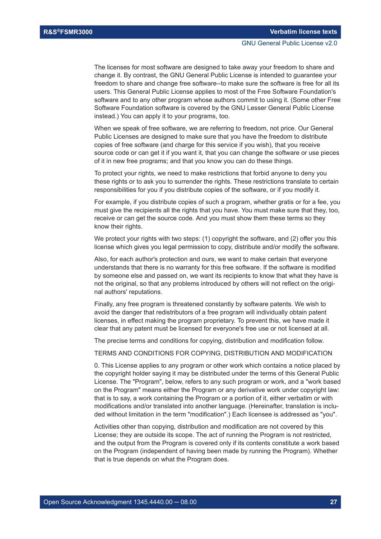The licenses for most software are designed to take away your freedom to share and change it. By contrast, the GNU General Public License is intended to guarantee your freedom to share and change free software--to make sure the software is free for all its users. This General Public License applies to most of the Free Software Foundation's software and to any other program whose authors commit to using it. (Some other Free Software Foundation software is covered by the GNU Lesser General Public License instead.) You can apply it to your programs, too.

When we speak of free software, we are referring to freedom, not price. Our General Public Licenses are designed to make sure that you have the freedom to distribute copies of free software (and charge for this service if you wish), that you receive source code or can get it if you want it, that you can change the software or use pieces of it in new free programs; and that you know you can do these things.

To protect your rights, we need to make restrictions that forbid anyone to deny you these rights or to ask you to surrender the rights. These restrictions translate to certain responsibilities for you if you distribute copies of the software, or if you modify it.

For example, if you distribute copies of such a program, whether gratis or for a fee, you must give the recipients all the rights that you have. You must make sure that they, too, receive or can get the source code. And you must show them these terms so they know their rights.

We protect your rights with two steps: (1) copyright the software, and (2) offer you this license which gives you legal permission to copy, distribute and/or modify the software.

Also, for each author's protection and ours, we want to make certain that everyone understands that there is no warranty for this free software. If the software is modified by someone else and passed on, we want its recipients to know that what they have is not the original, so that any problems introduced by others will not reflect on the original authors' reputations.

Finally, any free program is threatened constantly by software patents. We wish to avoid the danger that redistributors of a free program will individually obtain patent licenses, in effect making the program proprietary. To prevent this, we have made it clear that any patent must be licensed for everyone's free use or not licensed at all.

The precise terms and conditions for copying, distribution and modification follow.

TERMS AND CONDITIONS FOR COPYING, DISTRIBUTION AND MODIFICATION

0. This License applies to any program or other work which contains a notice placed by the copyright holder saying it may be distributed under the terms of this General Public License. The "Program", below, refers to any such program or work, and a "work based on the Program" means either the Program or any derivative work under copyright law: that is to say, a work containing the Program or a portion of it, either verbatim or with modifications and/or translated into another language. (Hereinafter, translation is included without limitation in the term "modification".) Each licensee is addressed as "you".

Activities other than copying, distribution and modification are not covered by this License; they are outside its scope. The act of running the Program is not restricted, and the output from the Program is covered only if its contents constitute a work based on the Program (independent of having been made by running the Program). Whether that is true depends on what the Program does.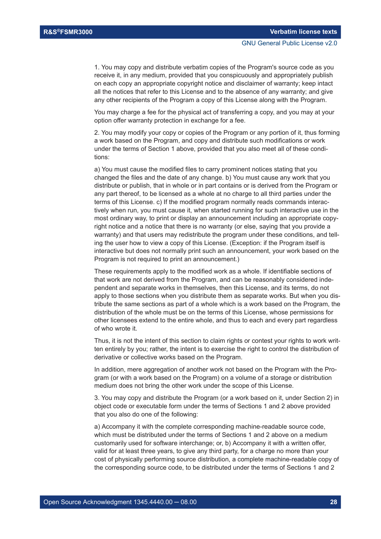1. You may copy and distribute verbatim copies of the Program's source code as you receive it, in any medium, provided that you conspicuously and appropriately publish on each copy an appropriate copyright notice and disclaimer of warranty; keep intact all the notices that refer to this License and to the absence of any warranty; and give any other recipients of the Program a copy of this License along with the Program.

You may charge a fee for the physical act of transferring a copy, and you may at your option offer warranty protection in exchange for a fee.

2. You may modify your copy or copies of the Program or any portion of it, thus forming a work based on the Program, and copy and distribute such modifications or work under the terms of Section 1 above, provided that you also meet all of these conditions:

a) You must cause the modified files to carry prominent notices stating that you changed the files and the date of any change. b) You must cause any work that you distribute or publish, that in whole or in part contains or is derived from the Program or any part thereof, to be licensed as a whole at no charge to all third parties under the terms of this License. c) If the modified program normally reads commands interactively when run, you must cause it, when started running for such interactive use in the most ordinary way, to print or display an announcement including an appropriate copyright notice and a notice that there is no warranty (or else, saying that you provide a warranty) and that users may redistribute the program under these conditions, and telling the user how to view a copy of this License. (Exception: if the Program itself is interactive but does not normally print such an announcement, your work based on the Program is not required to print an announcement.)

These requirements apply to the modified work as a whole. If identifiable sections of that work are not derived from the Program, and can be reasonably considered independent and separate works in themselves, then this License, and its terms, do not apply to those sections when you distribute them as separate works. But when you distribute the same sections as part of a whole which is a work based on the Program, the distribution of the whole must be on the terms of this License, whose permissions for other licensees extend to the entire whole, and thus to each and every part regardless of who wrote it.

Thus, it is not the intent of this section to claim rights or contest your rights to work written entirely by you; rather, the intent is to exercise the right to control the distribution of derivative or collective works based on the Program.

In addition, mere aggregation of another work not based on the Program with the Program (or with a work based on the Program) on a volume of a storage or distribution medium does not bring the other work under the scope of this License.

3. You may copy and distribute the Program (or a work based on it, under Section 2) in object code or executable form under the terms of Sections 1 and 2 above provided that you also do one of the following:

a) Accompany it with the complete corresponding machine-readable source code, which must be distributed under the terms of Sections 1 and 2 above on a medium customarily used for software interchange; or, b) Accompany it with a written offer, valid for at least three years, to give any third party, for a charge no more than your cost of physically performing source distribution, a complete machine-readable copy of the corresponding source code, to be distributed under the terms of Sections 1 and 2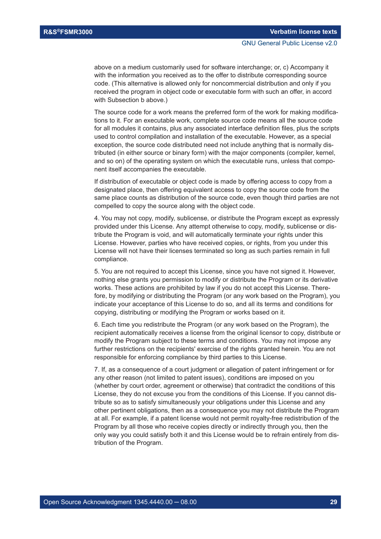above on a medium customarily used for software interchange; or, c) Accompany it with the information you received as to the offer to distribute corresponding source code. (This alternative is allowed only for noncommercial distribution and only if you received the program in object code or executable form with such an offer, in accord with Subsection b above.)

The source code for a work means the preferred form of the work for making modifications to it. For an executable work, complete source code means all the source code for all modules it contains, plus any associated interface definition files, plus the scripts used to control compilation and installation of the executable. However, as a special exception, the source code distributed need not include anything that is normally distributed (in either source or binary form) with the major components (compiler, kernel, and so on) of the operating system on which the executable runs, unless that component itself accompanies the executable.

If distribution of executable or object code is made by offering access to copy from a designated place, then offering equivalent access to copy the source code from the same place counts as distribution of the source code, even though third parties are not compelled to copy the source along with the object code.

4. You may not copy, modify, sublicense, or distribute the Program except as expressly provided under this License. Any attempt otherwise to copy, modify, sublicense or distribute the Program is void, and will automatically terminate your rights under this License. However, parties who have received copies, or rights, from you under this License will not have their licenses terminated so long as such parties remain in full compliance.

5. You are not required to accept this License, since you have not signed it. However, nothing else grants you permission to modify or distribute the Program or its derivative works. These actions are prohibited by law if you do not accept this License. Therefore, by modifying or distributing the Program (or any work based on the Program), you indicate your acceptance of this License to do so, and all its terms and conditions for copying, distributing or modifying the Program or works based on it.

6. Each time you redistribute the Program (or any work based on the Program), the recipient automatically receives a license from the original licensor to copy, distribute or modify the Program subject to these terms and conditions. You may not impose any further restrictions on the recipients' exercise of the rights granted herein. You are not responsible for enforcing compliance by third parties to this License.

7. If, as a consequence of a court judgment or allegation of patent infringement or for any other reason (not limited to patent issues), conditions are imposed on you (whether by court order, agreement or otherwise) that contradict the conditions of this License, they do not excuse you from the conditions of this License. If you cannot distribute so as to satisfy simultaneously your obligations under this License and any other pertinent obligations, then as a consequence you may not distribute the Program at all. For example, if a patent license would not permit royalty-free redistribution of the Program by all those who receive copies directly or indirectly through you, then the only way you could satisfy both it and this License would be to refrain entirely from distribution of the Program.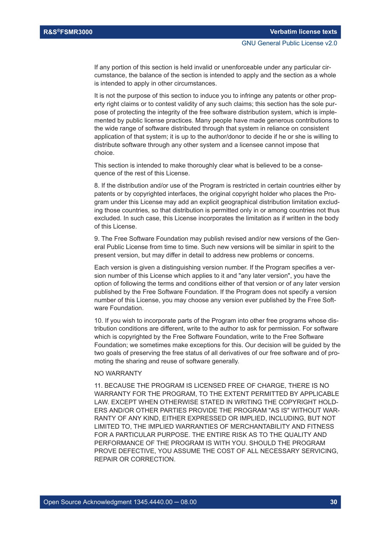If any portion of this section is held invalid or unenforceable under any particular circumstance, the balance of the section is intended to apply and the section as a whole is intended to apply in other circumstances.

It is not the purpose of this section to induce you to infringe any patents or other property right claims or to contest validity of any such claims; this section has the sole purpose of protecting the integrity of the free software distribution system, which is implemented by public license practices. Many people have made generous contributions to the wide range of software distributed through that system in reliance on consistent application of that system; it is up to the author/donor to decide if he or she is willing to distribute software through any other system and a licensee cannot impose that choice.

This section is intended to make thoroughly clear what is believed to be a consequence of the rest of this License.

8. If the distribution and/or use of the Program is restricted in certain countries either by patents or by copyrighted interfaces, the original copyright holder who places the Program under this License may add an explicit geographical distribution limitation excluding those countries, so that distribution is permitted only in or among countries not thus excluded. In such case, this License incorporates the limitation as if written in the body of this License.

9. The Free Software Foundation may publish revised and/or new versions of the General Public License from time to time. Such new versions will be similar in spirit to the present version, but may differ in detail to address new problems or concerns.

Each version is given a distinguishing version number. If the Program specifies a version number of this License which applies to it and "any later version", you have the option of following the terms and conditions either of that version or of any later version published by the Free Software Foundation. If the Program does not specify a version number of this License, you may choose any version ever published by the Free Software Foundation.

10. If you wish to incorporate parts of the Program into other free programs whose distribution conditions are different, write to the author to ask for permission. For software which is copyrighted by the Free Software Foundation, write to the Free Software Foundation; we sometimes make exceptions for this. Our decision will be guided by the two goals of preserving the free status of all derivatives of our free software and of promoting the sharing and reuse of software generally.

#### NO WARRANTY

11. BECAUSE THE PROGRAM IS LICENSED FREE OF CHARGE, THERE IS NO WARRANTY FOR THE PROGRAM, TO THE EXTENT PERMITTED BY APPLICABLE LAW. EXCEPT WHEN OTHERWISE STATED IN WRITING THE COPYRIGHT HOLD-ERS AND/OR OTHER PARTIES PROVIDE THE PROGRAM "AS IS" WITHOUT WAR-RANTY OF ANY KIND, EITHER EXPRESSED OR IMPLIED, INCLUDING, BUT NOT LIMITED TO, THE IMPLIED WARRANTIES OF MERCHANTABILITY AND FITNESS FOR A PARTICULAR PURPOSE. THE ENTIRE RISK AS TO THE QUALITY AND PERFORMANCE OF THE PROGRAM IS WITH YOU. SHOULD THE PROGRAM PROVE DEFECTIVE, YOU ASSUME THE COST OF ALL NECESSARY SERVICING, REPAIR OR CORRECTION.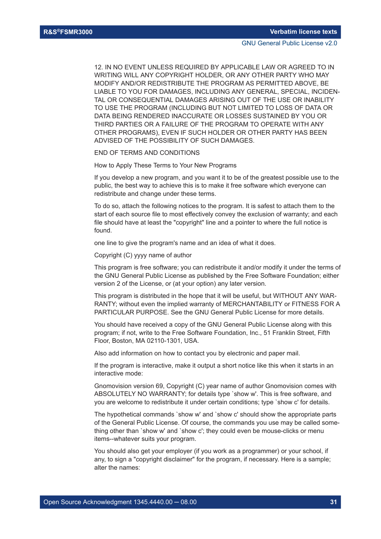12. IN NO EVENT UNLESS REQUIRED BY APPLICABLE LAW OR AGREED TO IN WRITING WILL ANY COPYRIGHT HOLDER, OR ANY OTHER PARTY WHO MAY MODIFY AND/OR REDISTRIBUTE THE PROGRAM AS PERMITTED ABOVE, BE LIABLE TO YOU FOR DAMAGES, INCLUDING ANY GENERAL, SPECIAL, INCIDEN-TAL OR CONSEQUENTIAL DAMAGES ARISING OUT OF THE USE OR INABILITY TO USE THE PROGRAM (INCLUDING BUT NOT LIMITED TO LOSS OF DATA OR DATA BEING RENDERED INACCURATE OR LOSSES SUSTAINED BY YOU OR THIRD PARTIES OR A FAILURE OF THE PROGRAM TO OPERATE WITH ANY OTHER PROGRAMS), EVEN IF SUCH HOLDER OR OTHER PARTY HAS BEEN ADVISED OF THE POSSIBILITY OF SUCH DAMAGES.

END OF TERMS AND CONDITIONS

How to Apply These Terms to Your New Programs

If you develop a new program, and you want it to be of the greatest possible use to the public, the best way to achieve this is to make it free software which everyone can redistribute and change under these terms.

To do so, attach the following notices to the program. It is safest to attach them to the start of each source file to most effectively convey the exclusion of warranty; and each file should have at least the "copyright" line and a pointer to where the full notice is found.

one line to give the program's name and an idea of what it does.

Copyright (C) yyyy name of author

This program is free software; you can redistribute it and/or modify it under the terms of the GNU General Public License as published by the Free Software Foundation; either version 2 of the License, or (at your option) any later version.

This program is distributed in the hope that it will be useful, but WITHOUT ANY WAR-RANTY; without even the implied warranty of MERCHANTABILITY or FITNESS FOR A PARTICULAR PURPOSE. See the GNU General Public License for more details.

You should have received a copy of the GNU General Public License along with this program; if not, write to the Free Software Foundation, Inc., 51 Franklin Street, Fifth Floor, Boston, MA 02110-1301, USA.

Also add information on how to contact you by electronic and paper mail.

If the program is interactive, make it output a short notice like this when it starts in an interactive mode:

Gnomovision version 69, Copyright (C) year name of author Gnomovision comes with ABSOLUTELY NO WARRANTY; for details type `show w'. This is free software, and you are welcome to redistribute it under certain conditions; type `show c' for details.

The hypothetical commands `show w' and `show c' should show the appropriate parts of the General Public License. Of course, the commands you use may be called something other than `show w' and `show c'; they could even be mouse-clicks or menu items--whatever suits your program.

You should also get your employer (if you work as a programmer) or your school, if any, to sign a "copyright disclaimer" for the program, if necessary. Here is a sample; alter the names: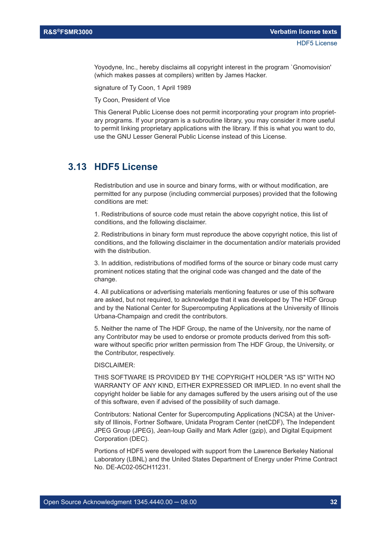<span id="page-31-0"></span>Yoyodyne, Inc., hereby disclaims all copyright interest in the program `Gnomovision' (which makes passes at compilers) written by James Hacker.

signature of Ty Coon, 1 April 1989

Ty Coon, President of Vice

This General Public License does not permit incorporating your program into proprietary programs. If your program is a subroutine library, you may consider it more useful to permit linking proprietary applications with the library. If this is what you want to do, use the GNU Lesser General Public License instead of this License.

## **3.13 HDF5 License**

Redistribution and use in source and binary forms, with or without modification, are permitted for any purpose (including commercial purposes) provided that the following conditions are met:

1. Redistributions of source code must retain the above copyright notice, this list of conditions, and the following disclaimer.

2. Redistributions in binary form must reproduce the above copyright notice, this list of conditions, and the following disclaimer in the documentation and/or materials provided with the distribution.

3. In addition, redistributions of modified forms of the source or binary code must carry prominent notices stating that the original code was changed and the date of the change.

4. All publications or advertising materials mentioning features or use of this software are asked, but not required, to acknowledge that it was developed by The HDF Group and by the National Center for Supercomputing Applications at the University of Illinois Urbana-Champaign and credit the contributors.

5. Neither the name of The HDF Group, the name of the University, nor the name of any Contributor may be used to endorse or promote products derived from this software without specific prior written permission from The HDF Group, the University, or the Contributor, respectively.

#### DISCLAIMER:

THIS SOFTWARE IS PROVIDED BY THE COPYRIGHT HOLDER "AS IS" WITH NO WARRANTY OF ANY KIND, EITHER EXPRESSED OR IMPLIED. In no event shall the copyright holder be liable for any damages suffered by the users arising out of the use of this software, even if advised of the possibility of such damage.

Contributors: National Center for Supercomputing Applications (NCSA) at the University of Illinois, Fortner Software, Unidata Program Center (netCDF), The Independent JPEG Group (JPEG), Jean-loup Gailly and Mark Adler (gzip), and Digital Equipment Corporation (DEC).

Portions of HDF5 were developed with support from the Lawrence Berkeley National Laboratory (LBNL) and the United States Department of Energy under Prime Contract No. DE-AC02-05CH11231.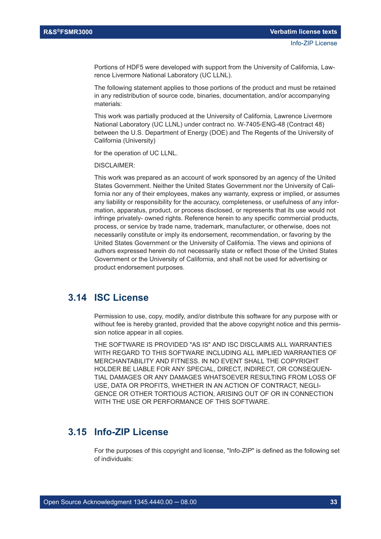<span id="page-32-0"></span>Portions of HDF5 were developed with support from the University of California, Lawrence Livermore National Laboratory (UC LLNL).

The following statement applies to those portions of the product and must be retained in any redistribution of source code, binaries, documentation, and/or accompanying materials:

This work was partially produced at the University of California, Lawrence Livermore National Laboratory (UC LLNL) under contract no. W-7405-ENG-48 (Contract 48) between the U.S. Department of Energy (DOE) and The Regents of the University of California (University)

for the operation of UC LLNL.

DISCLAIMER:

This work was prepared as an account of work sponsored by an agency of the United States Government. Neither the United States Government nor the University of California nor any of their employees, makes any warranty, express or implied, or assumes any liability or responsibility for the accuracy, completeness, or usefulness of any information, apparatus, product, or process disclosed, or represents that its use would not infringe privately- owned rights. Reference herein to any specific commercial products, process, or service by trade name, trademark, manufacturer, or otherwise, does not necessarily constitute or imply its endorsement, recommendation, or favoring by the United States Government or the University of California. The views and opinions of authors expressed herein do not necessarily state or reflect those of the United States Government or the University of California, and shall not be used for advertising or product endorsement purposes.

## **3.14 ISC License**

Permission to use, copy, modify, and/or distribute this software for any purpose with or without fee is hereby granted, provided that the above copyright notice and this permission notice appear in all copies.

THE SOFTWARE IS PROVIDED "AS IS" AND ISC DISCLAIMS ALL WARRANTIES WITH REGARD TO THIS SOFTWARE INCLUDING ALL IMPLIED WARRANTIES OF MERCHANTABILITY AND FITNESS. IN NO EVENT SHALL THE COPYRIGHT HOLDER BE LIABLE FOR ANY SPECIAL, DIRECT, INDIRECT, OR CONSEQUEN-TIAL DAMAGES OR ANY DAMAGES WHATSOEVER RESULTING FROM LOSS OF USE, DATA OR PROFITS, WHETHER IN AN ACTION OF CONTRACT, NEGLI-GENCE OR OTHER TORTIOUS ACTION, ARISING OUT OF OR IN CONNECTION WITH THE USE OR PERFORMANCE OF THIS SOFTWARE.

## **3.15 Info-ZIP License**

For the purposes of this copyright and license, "Info-ZIP" is defined as the following set of individuals: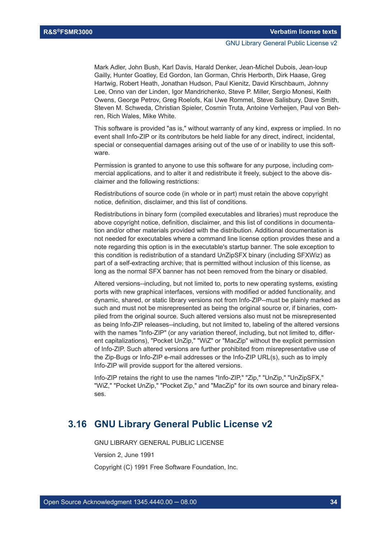<span id="page-33-0"></span>Mark Adler, John Bush, Karl Davis, Harald Denker, Jean-Michel Dubois, Jean-loup Gailly, Hunter Goatley, Ed Gordon, Ian Gorman, Chris Herborth, Dirk Haase, Greg Hartwig, Robert Heath, Jonathan Hudson, Paul Kienitz, David Kirschbaum, Johnny Lee, Onno van der Linden, Igor Mandrichenko, Steve P. Miller, Sergio Monesi, Keith Owens, George Petrov, Greg Roelofs, Kai Uwe Rommel, Steve Salisbury, Dave Smith, Steven M. Schweda, Christian Spieler, Cosmin Truta, Antoine Verheijen, Paul von Behren, Rich Wales, Mike White.

This software is provided "as is," without warranty of any kind, express or implied. In no event shall Info-ZIP or its contributors be held liable for any direct, indirect, incidental, special or consequential damages arising out of the use of or inability to use this software.

Permission is granted to anyone to use this software for any purpose, including commercial applications, and to alter it and redistribute it freely, subject to the above disclaimer and the following restrictions:

Redistributions of source code (in whole or in part) must retain the above copyright notice, definition, disclaimer, and this list of conditions.

Redistributions in binary form (compiled executables and libraries) must reproduce the above copyright notice, definition, disclaimer, and this list of conditions in documentation and/or other materials provided with the distribution. Additional documentation is not needed for executables where a command line license option provides these and a note regarding this option is in the executable's startup banner. The sole exception to this condition is redistribution of a standard UnZipSFX binary (including SFXWiz) as part of a self-extracting archive; that is permitted without inclusion of this license, as long as the normal SFX banner has not been removed from the binary or disabled.

Altered versions--including, but not limited to, ports to new operating systems, existing ports with new graphical interfaces, versions with modified or added functionality, and dynamic, shared, or static library versions not from Info-ZIP--must be plainly marked as such and must not be misrepresented as being the original source or, if binaries, compiled from the original source. Such altered versions also must not be misrepresented as being Info-ZIP releases--including, but not limited to, labeling of the altered versions with the names "Info-ZIP" (or any variation thereof, including, but not limited to, different capitalizations), "Pocket UnZip," "WiZ" or "MacZip" without the explicit permission of Info-ZIP. Such altered versions are further prohibited from misrepresentative use of the Zip-Bugs or Info-ZIP e-mail addresses or the Info-ZIP URL(s), such as to imply Info-ZIP will provide support for the altered versions.

Info-ZIP retains the right to use the names "Info-ZIP," "Zip," "UnZip," "UnZipSFX," "WiZ," "Pocket UnZip," "Pocket Zip," and "MacZip" for its own source and binary releases.

## **3.16 GNU Library General Public License v2**

GNU LIBRARY GENERAL PUBLIC LICENSE Version 2, June 1991 Copyright (C) 1991 Free Software Foundation, Inc.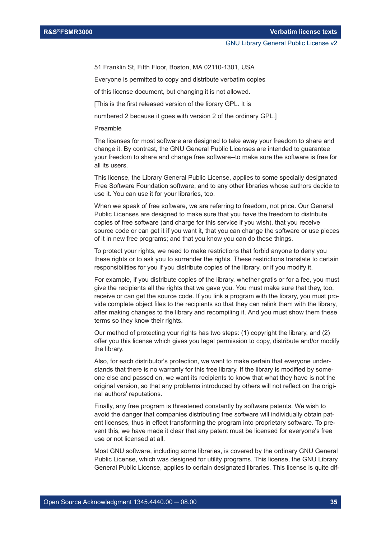#### GNU Library General Public License v2

51 Franklin St, Fifth Floor, Boston, MA 02110-1301, USA

Everyone is permitted to copy and distribute verbatim copies

of this license document, but changing it is not allowed.

[This is the first released version of the library GPL. It is

numbered 2 because it goes with version 2 of the ordinary GPL.]

#### Preamble

The licenses for most software are designed to take away your freedom to share and change it. By contrast, the GNU General Public Licenses are intended to guarantee your freedom to share and change free software--to make sure the software is free for all its users.

This license, the Library General Public License, applies to some specially designated Free Software Foundation software, and to any other libraries whose authors decide to use it. You can use it for your libraries, too.

When we speak of free software, we are referring to freedom, not price. Our General Public Licenses are designed to make sure that you have the freedom to distribute copies of free software (and charge for this service if you wish), that you receive source code or can get it if you want it, that you can change the software or use pieces of it in new free programs; and that you know you can do these things.

To protect your rights, we need to make restrictions that forbid anyone to deny you these rights or to ask you to surrender the rights. These restrictions translate to certain responsibilities for you if you distribute copies of the library, or if you modify it.

For example, if you distribute copies of the library, whether gratis or for a fee, you must give the recipients all the rights that we gave you. You must make sure that they, too, receive or can get the source code. If you link a program with the library, you must provide complete object files to the recipients so that they can relink them with the library, after making changes to the library and recompiling it. And you must show them these terms so they know their rights.

Our method of protecting your rights has two steps: (1) copyright the library, and (2) offer you this license which gives you legal permission to copy, distribute and/or modify the library.

Also, for each distributor's protection, we want to make certain that everyone understands that there is no warranty for this free library. If the library is modified by someone else and passed on, we want its recipients to know that what they have is not the original version, so that any problems introduced by others will not reflect on the original authors' reputations.

Finally, any free program is threatened constantly by software patents. We wish to avoid the danger that companies distributing free software will individually obtain patent licenses, thus in effect transforming the program into proprietary software. To prevent this, we have made it clear that any patent must be licensed for everyone's free use or not licensed at all.

Most GNU software, including some libraries, is covered by the ordinary GNU General Public License, which was designed for utility programs. This license, the GNU Library General Public License, applies to certain designated libraries. This license is quite dif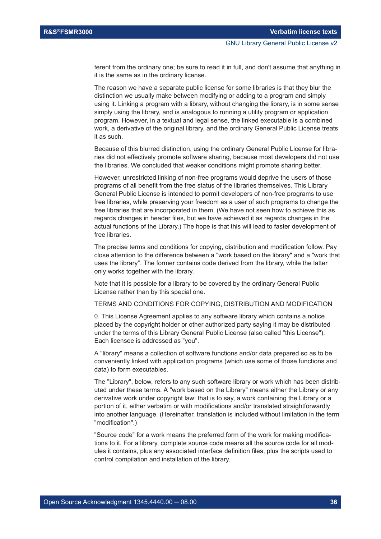ferent from the ordinary one; be sure to read it in full, and don't assume that anything in it is the same as in the ordinary license.

The reason we have a separate public license for some libraries is that they blur the distinction we usually make between modifying or adding to a program and simply using it. Linking a program with a library, without changing the library, is in some sense simply using the library, and is analogous to running a utility program or application program. However, in a textual and legal sense, the linked executable is a combined work, a derivative of the original library, and the ordinary General Public License treats it as such.

Because of this blurred distinction, using the ordinary General Public License for libraries did not effectively promote software sharing, because most developers did not use the libraries. We concluded that weaker conditions might promote sharing better.

However, unrestricted linking of non-free programs would deprive the users of those programs of all benefit from the free status of the libraries themselves. This Library General Public License is intended to permit developers of non-free programs to use free libraries, while preserving your freedom as a user of such programs to change the free libraries that are incorporated in them. (We have not seen how to achieve this as regards changes in header files, but we have achieved it as regards changes in the actual functions of the Library.) The hope is that this will lead to faster development of free libraries.

The precise terms and conditions for copying, distribution and modification follow. Pay close attention to the difference between a "work based on the library" and a "work that uses the library". The former contains code derived from the library, while the latter only works together with the library.

Note that it is possible for a library to be covered by the ordinary General Public License rather than by this special one.

TERMS AND CONDITIONS FOR COPYING, DISTRIBUTION AND MODIFICATION

0. This License Agreement applies to any software library which contains a notice placed by the copyright holder or other authorized party saying it may be distributed under the terms of this Library General Public License (also called "this License"). Each licensee is addressed as "you".

A "library" means a collection of software functions and/or data prepared so as to be conveniently linked with application programs (which use some of those functions and data) to form executables.

The "Library", below, refers to any such software library or work which has been distributed under these terms. A "work based on the Library" means either the Library or any derivative work under copyright law: that is to say, a work containing the Library or a portion of it, either verbatim or with modifications and/or translated straightforwardly into another language. (Hereinafter, translation is included without limitation in the term "modification".)

"Source code" for a work means the preferred form of the work for making modifications to it. For a library, complete source code means all the source code for all modules it contains, plus any associated interface definition files, plus the scripts used to control compilation and installation of the library.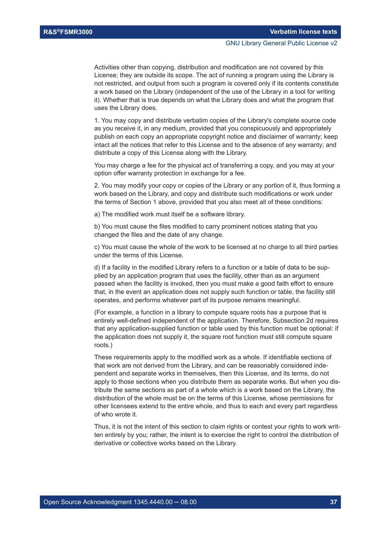Activities other than copying, distribution and modification are not covered by this License; they are outside its scope. The act of running a program using the Library is not restricted, and output from such a program is covered only if its contents constitute a work based on the Library (independent of the use of the Library in a tool for writing it). Whether that is true depends on what the Library does and what the program that uses the Library does.

1. You may copy and distribute verbatim copies of the Library's complete source code as you receive it, in any medium, provided that you conspicuously and appropriately publish on each copy an appropriate copyright notice and disclaimer of warranty; keep intact all the notices that refer to this License and to the absence of any warranty; and distribute a copy of this License along with the Library.

You may charge a fee for the physical act of transferring a copy, and you may at your option offer warranty protection in exchange for a fee.

2. You may modify your copy or copies of the Library or any portion of it, thus forming a work based on the Library, and copy and distribute such modifications or work under the terms of Section 1 above, provided that you also meet all of these conditions:

a) The modified work must itself be a software library.

b) You must cause the files modified to carry prominent notices stating that you changed the files and the date of any change.

c) You must cause the whole of the work to be licensed at no charge to all third parties under the terms of this License.

d) If a facility in the modified Library refers to a function or a table of data to be supplied by an application program that uses the facility, other than as an argument passed when the facility is invoked, then you must make a good faith effort to ensure that, in the event an application does not supply such function or table, the facility still operates, and performs whatever part of its purpose remains meaningful.

(For example, a function in a library to compute square roots has a purpose that is entirely well-defined independent of the application. Therefore, Subsection 2d requires that any application-supplied function or table used by this function must be optional: if the application does not supply it, the square root function must still compute square roots.)

These requirements apply to the modified work as a whole. If identifiable sections of that work are not derived from the Library, and can be reasonably considered independent and separate works in themselves, then this License, and its terms, do not apply to those sections when you distribute them as separate works. But when you distribute the same sections as part of a whole which is a work based on the Library, the distribution of the whole must be on the terms of this License, whose permissions for other licensees extend to the entire whole, and thus to each and every part regardless of who wrote it.

Thus, it is not the intent of this section to claim rights or contest your rights to work written entirely by you; rather, the intent is to exercise the right to control the distribution of derivative or collective works based on the Library.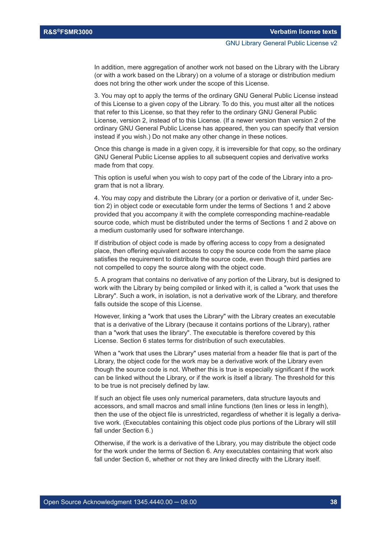In addition, mere aggregation of another work not based on the Library with the Library (or with a work based on the Library) on a volume of a storage or distribution medium does not bring the other work under the scope of this License.

3. You may opt to apply the terms of the ordinary GNU General Public License instead of this License to a given copy of the Library. To do this, you must alter all the notices that refer to this License, so that they refer to the ordinary GNU General Public License, version 2, instead of to this License. (If a newer version than version 2 of the ordinary GNU General Public License has appeared, then you can specify that version instead if you wish.) Do not make any other change in these notices.

Once this change is made in a given copy, it is irreversible for that copy, so the ordinary GNU General Public License applies to all subsequent copies and derivative works made from that copy.

This option is useful when you wish to copy part of the code of the Library into a program that is not a library.

4. You may copy and distribute the Library (or a portion or derivative of it, under Section 2) in object code or executable form under the terms of Sections 1 and 2 above provided that you accompany it with the complete corresponding machine-readable source code, which must be distributed under the terms of Sections 1 and 2 above on a medium customarily used for software interchange.

If distribution of object code is made by offering access to copy from a designated place, then offering equivalent access to copy the source code from the same place satisfies the requirement to distribute the source code, even though third parties are not compelled to copy the source along with the object code.

5. A program that contains no derivative of any portion of the Library, but is designed to work with the Library by being compiled or linked with it, is called a "work that uses the Library". Such a work, in isolation, is not a derivative work of the Library, and therefore falls outside the scope of this License.

However, linking a "work that uses the Library" with the Library creates an executable that is a derivative of the Library (because it contains portions of the Library), rather than a "work that uses the library". The executable is therefore covered by this License. Section 6 states terms for distribution of such executables.

When a "work that uses the Library" uses material from a header file that is part of the Library, the object code for the work may be a derivative work of the Library even though the source code is not. Whether this is true is especially significant if the work can be linked without the Library, or if the work is itself a library. The threshold for this to be true is not precisely defined by law.

If such an object file uses only numerical parameters, data structure layouts and accessors, and small macros and small inline functions (ten lines or less in length), then the use of the object file is unrestricted, regardless of whether it is legally a derivative work. (Executables containing this object code plus portions of the Library will still fall under Section 6.)

Otherwise, if the work is a derivative of the Library, you may distribute the object code for the work under the terms of Section 6. Any executables containing that work also fall under Section 6, whether or not they are linked directly with the Library itself.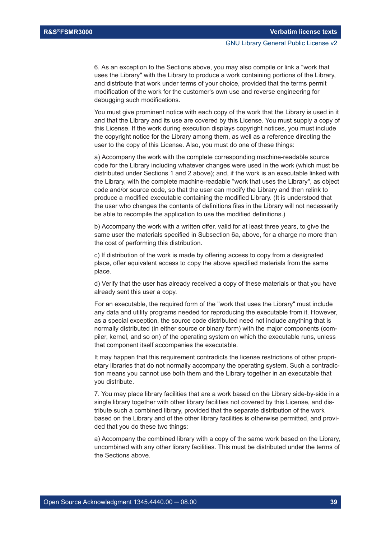6. As an exception to the Sections above, you may also compile or link a "work that uses the Library" with the Library to produce a work containing portions of the Library, and distribute that work under terms of your choice, provided that the terms permit modification of the work for the customer's own use and reverse engineering for debugging such modifications.

You must give prominent notice with each copy of the work that the Library is used in it and that the Library and its use are covered by this License. You must supply a copy of this License. If the work during execution displays copyright notices, you must include the copyright notice for the Library among them, as well as a reference directing the user to the copy of this License. Also, you must do one of these things:

a) Accompany the work with the complete corresponding machine-readable source code for the Library including whatever changes were used in the work (which must be distributed under Sections 1 and 2 above); and, if the work is an executable linked with the Library, with the complete machine-readable "work that uses the Library", as object code and/or source code, so that the user can modify the Library and then relink to produce a modified executable containing the modified Library. (It is understood that the user who changes the contents of definitions files in the Library will not necessarily be able to recompile the application to use the modified definitions.)

b) Accompany the work with a written offer, valid for at least three years, to give the same user the materials specified in Subsection 6a, above, for a charge no more than the cost of performing this distribution.

c) If distribution of the work is made by offering access to copy from a designated place, offer equivalent access to copy the above specified materials from the same place.

d) Verify that the user has already received a copy of these materials or that you have already sent this user a copy.

For an executable, the required form of the "work that uses the Library" must include any data and utility programs needed for reproducing the executable from it. However, as a special exception, the source code distributed need not include anything that is normally distributed (in either source or binary form) with the major components (compiler, kernel, and so on) of the operating system on which the executable runs, unless that component itself accompanies the executable.

It may happen that this requirement contradicts the license restrictions of other proprietary libraries that do not normally accompany the operating system. Such a contradiction means you cannot use both them and the Library together in an executable that you distribute.

7. You may place library facilities that are a work based on the Library side-by-side in a single library together with other library facilities not covered by this License, and distribute such a combined library, provided that the separate distribution of the work based on the Library and of the other library facilities is otherwise permitted, and provided that you do these two things:

a) Accompany the combined library with a copy of the same work based on the Library, uncombined with any other library facilities. This must be distributed under the terms of the Sections above.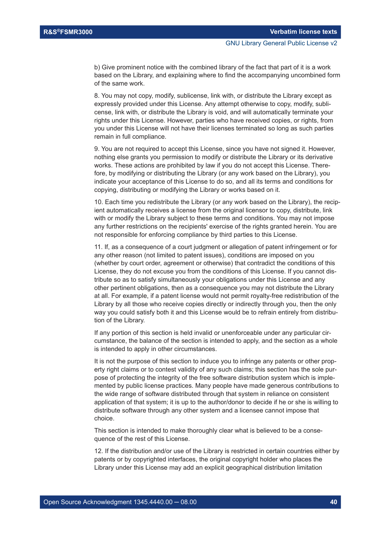b) Give prominent notice with the combined library of the fact that part of it is a work based on the Library, and explaining where to find the accompanying uncombined form of the same work.

8. You may not copy, modify, sublicense, link with, or distribute the Library except as expressly provided under this License. Any attempt otherwise to copy, modify, sublicense, link with, or distribute the Library is void, and will automatically terminate your rights under this License. However, parties who have received copies, or rights, from you under this License will not have their licenses terminated so long as such parties remain in full compliance.

9. You are not required to accept this License, since you have not signed it. However, nothing else grants you permission to modify or distribute the Library or its derivative works. These actions are prohibited by law if you do not accept this License. Therefore, by modifying or distributing the Library (or any work based on the Library), you indicate your acceptance of this License to do so, and all its terms and conditions for copying, distributing or modifying the Library or works based on it.

10. Each time you redistribute the Library (or any work based on the Library), the recipient automatically receives a license from the original licensor to copy, distribute, link with or modify the Library subject to these terms and conditions. You may not impose any further restrictions on the recipients' exercise of the rights granted herein. You are not responsible for enforcing compliance by third parties to this License.

11. If, as a consequence of a court judgment or allegation of patent infringement or for any other reason (not limited to patent issues), conditions are imposed on you (whether by court order, agreement or otherwise) that contradict the conditions of this License, they do not excuse you from the conditions of this License. If you cannot distribute so as to satisfy simultaneously your obligations under this License and any other pertinent obligations, then as a consequence you may not distribute the Library at all. For example, if a patent license would not permit royalty-free redistribution of the Library by all those who receive copies directly or indirectly through you, then the only way you could satisfy both it and this License would be to refrain entirely from distribution of the Library.

If any portion of this section is held invalid or unenforceable under any particular circumstance, the balance of the section is intended to apply, and the section as a whole is intended to apply in other circumstances.

It is not the purpose of this section to induce you to infringe any patents or other property right claims or to contest validity of any such claims; this section has the sole purpose of protecting the integrity of the free software distribution system which is implemented by public license practices. Many people have made generous contributions to the wide range of software distributed through that system in reliance on consistent application of that system; it is up to the author/donor to decide if he or she is willing to distribute software through any other system and a licensee cannot impose that choice.

This section is intended to make thoroughly clear what is believed to be a consequence of the rest of this License.

12. If the distribution and/or use of the Library is restricted in certain countries either by patents or by copyrighted interfaces, the original copyright holder who places the Library under this License may add an explicit geographical distribution limitation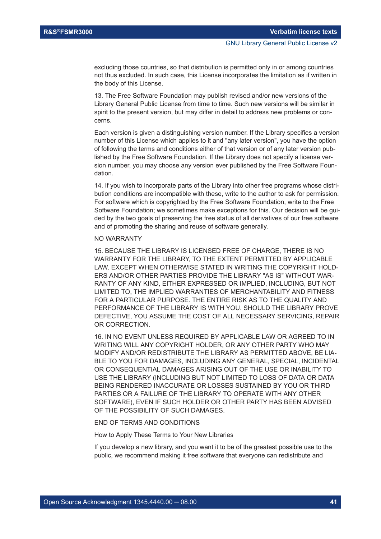excluding those countries, so that distribution is permitted only in or among countries not thus excluded. In such case, this License incorporates the limitation as if written in the body of this License.

13. The Free Software Foundation may publish revised and/or new versions of the Library General Public License from time to time. Such new versions will be similar in spirit to the present version, but may differ in detail to address new problems or concerns.

Each version is given a distinguishing version number. If the Library specifies a version number of this License which applies to it and "any later version", you have the option of following the terms and conditions either of that version or of any later version published by the Free Software Foundation. If the Library does not specify a license version number, you may choose any version ever published by the Free Software Foundation.

14. If you wish to incorporate parts of the Library into other free programs whose distribution conditions are incompatible with these, write to the author to ask for permission. For software which is copyrighted by the Free Software Foundation, write to the Free Software Foundation; we sometimes make exceptions for this. Our decision will be guided by the two goals of preserving the free status of all derivatives of our free software and of promoting the sharing and reuse of software generally.

### NO WARRANTY

15. BECAUSE THE LIBRARY IS LICENSED FREE OF CHARGE, THERE IS NO WARRANTY FOR THE LIBRARY, TO THE EXTENT PERMITTED BY APPLICABLE LAW. EXCEPT WHEN OTHERWISE STATED IN WRITING THE COPYRIGHT HOLD-ERS AND/OR OTHER PARTIES PROVIDE THE LIBRARY "AS IS" WITHOUT WAR-RANTY OF ANY KIND, EITHER EXPRESSED OR IMPLIED, INCLUDING, BUT NOT LIMITED TO, THE IMPLIED WARRANTIES OF MERCHANTABILITY AND FITNESS FOR A PARTICULAR PURPOSE. THE ENTIRE RISK AS TO THE QUALITY AND PERFORMANCE OF THE LIBRARY IS WITH YOU. SHOULD THE LIBRARY PROVE DEFECTIVE, YOU ASSUME THE COST OF ALL NECESSARY SERVICING, REPAIR OR CORRECTION.

16. IN NO EVENT UNLESS REQUIRED BY APPLICABLE LAW OR AGREED TO IN WRITING WILL ANY COPYRIGHT HOLDER, OR ANY OTHER PARTY WHO MAY MODIFY AND/OR REDISTRIBUTE THE LIBRARY AS PERMITTED ABOVE, BE LIA-BLE TO YOU FOR DAMAGES, INCLUDING ANY GENERAL, SPECIAL, INCIDENTAL OR CONSEQUENTIAL DAMAGES ARISING OUT OF THE USE OR INABILITY TO USE THE LIBRARY (INCLUDING BUT NOT LIMITED TO LOSS OF DATA OR DATA BEING RENDERED INACCURATE OR LOSSES SUSTAINED BY YOU OR THIRD PARTIES OR A FAILURE OF THE LIBRARY TO OPERATE WITH ANY OTHER SOFTWARE), EVEN IF SUCH HOLDER OR OTHER PARTY HAS BEEN ADVISED OF THE POSSIBILITY OF SUCH DAMAGES.

### END OF TERMS AND CONDITIONS

How to Apply These Terms to Your New Libraries

If you develop a new library, and you want it to be of the greatest possible use to the public, we recommend making it free software that everyone can redistribute and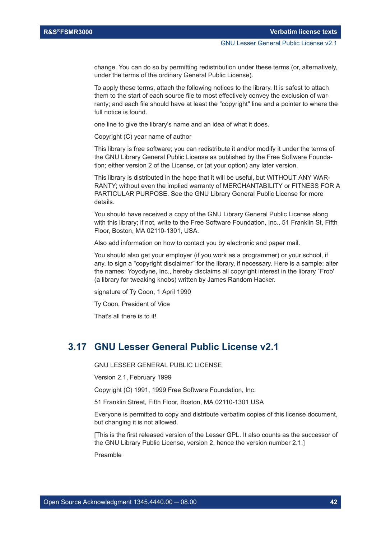change. You can do so by permitting redistribution under these terms (or, alternatively, under the terms of the ordinary General Public License).

To apply these terms, attach the following notices to the library. It is safest to attach them to the start of each source file to most effectively convey the exclusion of warranty; and each file should have at least the "copyright" line and a pointer to where the full notice is found.

one line to give the library's name and an idea of what it does.

Copyright (C) year name of author

This library is free software; you can redistribute it and/or modify it under the terms of the GNU Library General Public License as published by the Free Software Foundation; either version 2 of the License, or (at your option) any later version.

This library is distributed in the hope that it will be useful, but WITHOUT ANY WAR-RANTY; without even the implied warranty of MERCHANTABILITY or FITNESS FOR A PARTICULAR PURPOSE. See the GNU Library General Public License for more details.

You should have received a copy of the GNU Library General Public License along with this library; if not, write to the Free Software Foundation, Inc., 51 Franklin St, Fifth Floor, Boston, MA 02110-1301, USA.

Also add information on how to contact you by electronic and paper mail.

You should also get your employer (if you work as a programmer) or your school, if any, to sign a "copyright disclaimer" for the library, if necessary. Here is a sample; alter the names: Yoyodyne, Inc., hereby disclaims all copyright interest in the library `Frob' (a library for tweaking knobs) written by James Random Hacker.

signature of Ty Coon, 1 April 1990

Ty Coon, President of Vice

That's all there is to it!

### **3.17 GNU Lesser General Public License v2.1**

GNU LESSER GENERAL PUBLIC LICENSE

Version 2.1, February 1999

Copyright (C) 1991, 1999 Free Software Foundation, Inc.

51 Franklin Street, Fifth Floor, Boston, MA 02110-1301 USA

Everyone is permitted to copy and distribute verbatim copies of this license document, but changing it is not allowed.

[This is the first released version of the Lesser GPL. It also counts as the successor of the GNU Library Public License, version 2, hence the version number 2.1.]

Preamble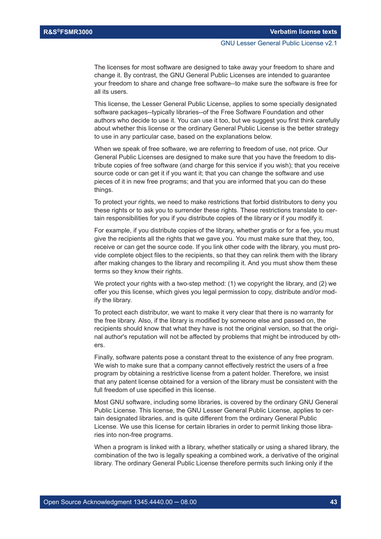The licenses for most software are designed to take away your freedom to share and change it. By contrast, the GNU General Public Licenses are intended to guarantee your freedom to share and change free software--to make sure the software is free for all its users.

This license, the Lesser General Public License, applies to some specially designated software packages--typically libraries--of the Free Software Foundation and other authors who decide to use it. You can use it too, but we suggest you first think carefully about whether this license or the ordinary General Public License is the better strategy to use in any particular case, based on the explanations below.

When we speak of free software, we are referring to freedom of use, not price. Our General Public Licenses are designed to make sure that you have the freedom to distribute copies of free software (and charge for this service if you wish); that you receive source code or can get it if you want it; that you can change the software and use pieces of it in new free programs; and that you are informed that you can do these things.

To protect your rights, we need to make restrictions that forbid distributors to deny you these rights or to ask you to surrender these rights. These restrictions translate to certain responsibilities for you if you distribute copies of the library or if you modify it.

For example, if you distribute copies of the library, whether gratis or for a fee, you must give the recipients all the rights that we gave you. You must make sure that they, too, receive or can get the source code. If you link other code with the library, you must provide complete object files to the recipients, so that they can relink them with the library after making changes to the library and recompiling it. And you must show them these terms so they know their rights.

We protect your rights with a two-step method: (1) we copyright the library, and (2) we offer you this license, which gives you legal permission to copy, distribute and/or modify the library.

To protect each distributor, we want to make it very clear that there is no warranty for the free library. Also, if the library is modified by someone else and passed on, the recipients should know that what they have is not the original version, so that the original author's reputation will not be affected by problems that might be introduced by others.

Finally, software patents pose a constant threat to the existence of any free program. We wish to make sure that a company cannot effectively restrict the users of a free program by obtaining a restrictive license from a patent holder. Therefore, we insist that any patent license obtained for a version of the library must be consistent with the full freedom of use specified in this license.

Most GNU software, including some libraries, is covered by the ordinary GNU General Public License. This license, the GNU Lesser General Public License, applies to certain designated libraries, and is quite different from the ordinary General Public License. We use this license for certain libraries in order to permit linking those libraries into non-free programs.

When a program is linked with a library, whether statically or using a shared library, the combination of the two is legally speaking a combined work, a derivative of the original library. The ordinary General Public License therefore permits such linking only if the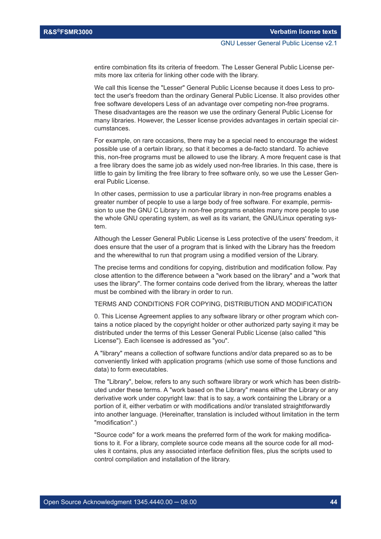entire combination fits its criteria of freedom. The Lesser General Public License permits more lax criteria for linking other code with the library.

We call this license the "Lesser" General Public License because it does Less to protect the user's freedom than the ordinary General Public License. It also provides other free software developers Less of an advantage over competing non-free programs. These disadvantages are the reason we use the ordinary General Public License for many libraries. However, the Lesser license provides advantages in certain special circumstances.

For example, on rare occasions, there may be a special need to encourage the widest possible use of a certain library, so that it becomes a de-facto standard. To achieve this, non-free programs must be allowed to use the library. A more frequent case is that a free library does the same job as widely used non-free libraries. In this case, there is little to gain by limiting the free library to free software only, so we use the Lesser General Public License.

In other cases, permission to use a particular library in non-free programs enables a greater number of people to use a large body of free software. For example, permission to use the GNU C Library in non-free programs enables many more people to use the whole GNU operating system, as well as its variant, the GNU/Linux operating system.

Although the Lesser General Public License is Less protective of the users' freedom, it does ensure that the user of a program that is linked with the Library has the freedom and the wherewithal to run that program using a modified version of the Library.

The precise terms and conditions for copying, distribution and modification follow. Pay close attention to the difference between a "work based on the library" and a "work that uses the library". The former contains code derived from the library, whereas the latter must be combined with the library in order to run.

TERMS AND CONDITIONS FOR COPYING, DISTRIBUTION AND MODIFICATION

0. This License Agreement applies to any software library or other program which contains a notice placed by the copyright holder or other authorized party saying it may be distributed under the terms of this Lesser General Public License (also called "this License"). Each licensee is addressed as "you".

A "library" means a collection of software functions and/or data prepared so as to be conveniently linked with application programs (which use some of those functions and data) to form executables.

The "Library", below, refers to any such software library or work which has been distributed under these terms. A "work based on the Library" means either the Library or any derivative work under copyright law: that is to say, a work containing the Library or a portion of it, either verbatim or with modifications and/or translated straightforwardly into another language. (Hereinafter, translation is included without limitation in the term "modification".)

"Source code" for a work means the preferred form of the work for making modifications to it. For a library, complete source code means all the source code for all modules it contains, plus any associated interface definition files, plus the scripts used to control compilation and installation of the library.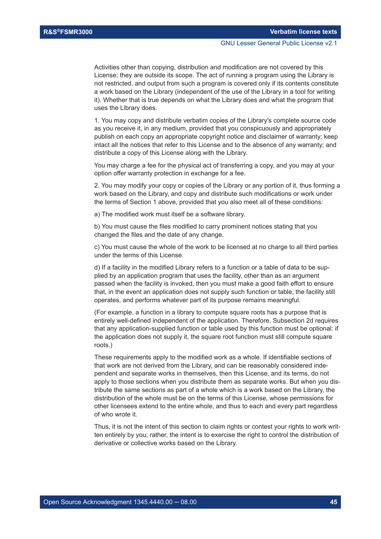Activities other than copying, distribution and modification are not covered by this License; they are outside its scope. The act of running a program using the Library is not restricted, and output from such a program is covered only if its contents constitute a work based on the Library (independent of the use of the Library in a tool for writing it). Whether that is true depends on what the Library does and what the program that uses the Library does.

1. You may copy and distribute verbatim copies of the Library's complete source code as you receive it, in any medium, provided that you conspicuously and appropriately publish on each copy an appropriate copyright notice and disclaimer of warranty; keep intact all the notices that refer to this License and to the absence of any warranty; and distribute a copy of this License along with the Library.

You may charge a fee for the physical act of transferring a copy, and you may at your option offer warranty protection in exchange for a fee.

2. You may modify your copy or copies of the Library or any portion of it, thus forming a work based on the Library, and copy and distribute such modifications or work under the terms of Section 1 above, provided that you also meet all of these conditions:

a) The modified work must itself be a software library.

b) You must cause the files modified to carry prominent notices stating that you changed the files and the date of any change.

c) You must cause the whole of the work to be licensed at no charge to all third parties under the terms of this License.

d) If a facility in the modified Library refers to a function or a table of data to be supplied by an application program that uses the facility, other than as an argument passed when the facility is invoked, then you must make a good faith effort to ensure that, in the event an application does not supply such function or table, the facility still operates, and performs whatever part of its purpose remains meaningful.

(For example, a function in a library to compute square roots has a purpose that is entirely well-defined independent of the application. Therefore, Subsection 2d requires that any application-supplied function or table used by this function must be optional: if the application does not supply it, the square root function must still compute square roots.)

These requirements apply to the modified work as a whole. If identifiable sections of that work are not derived from the Library, and can be reasonably considered independent and separate works in themselves, then this License, and its terms, do not apply to those sections when you distribute them as separate works. But when you distribute the same sections as part of a whole which is a work based on the Library, the distribution of the whole must be on the terms of this License, whose permissions for other licensees extend to the entire whole, and thus to each and every part regardless of who wrote it.

Thus, it is not the intent of this section to claim rights or contest your rights to work written entirely by you; rather, the intent is to exercise the right to control the distribution of derivative or collective works based on the Library.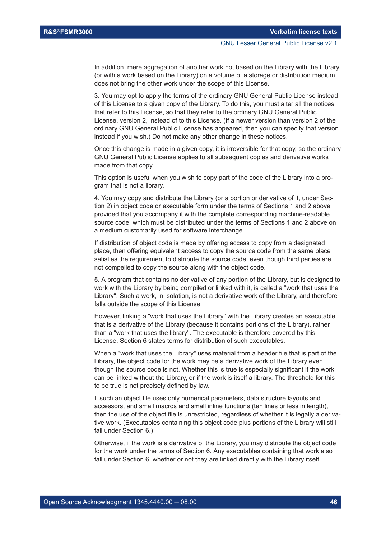In addition, mere aggregation of another work not based on the Library with the Library (or with a work based on the Library) on a volume of a storage or distribution medium does not bring the other work under the scope of this License.

3. You may opt to apply the terms of the ordinary GNU General Public License instead of this License to a given copy of the Library. To do this, you must alter all the notices that refer to this License, so that they refer to the ordinary GNU General Public License, version 2, instead of to this License. (If a newer version than version 2 of the ordinary GNU General Public License has appeared, then you can specify that version instead if you wish.) Do not make any other change in these notices.

Once this change is made in a given copy, it is irreversible for that copy, so the ordinary GNU General Public License applies to all subsequent copies and derivative works made from that copy.

This option is useful when you wish to copy part of the code of the Library into a program that is not a library.

4. You may copy and distribute the Library (or a portion or derivative of it, under Section 2) in object code or executable form under the terms of Sections 1 and 2 above provided that you accompany it with the complete corresponding machine-readable source code, which must be distributed under the terms of Sections 1 and 2 above on a medium customarily used for software interchange.

If distribution of object code is made by offering access to copy from a designated place, then offering equivalent access to copy the source code from the same place satisfies the requirement to distribute the source code, even though third parties are not compelled to copy the source along with the object code.

5. A program that contains no derivative of any portion of the Library, but is designed to work with the Library by being compiled or linked with it, is called a "work that uses the Library". Such a work, in isolation, is not a derivative work of the Library, and therefore falls outside the scope of this License.

However, linking a "work that uses the Library" with the Library creates an executable that is a derivative of the Library (because it contains portions of the Library), rather than a "work that uses the library". The executable is therefore covered by this License. Section 6 states terms for distribution of such executables.

When a "work that uses the Library" uses material from a header file that is part of the Library, the object code for the work may be a derivative work of the Library even though the source code is not. Whether this is true is especially significant if the work can be linked without the Library, or if the work is itself a library. The threshold for this to be true is not precisely defined by law.

If such an object file uses only numerical parameters, data structure layouts and accessors, and small macros and small inline functions (ten lines or less in length), then the use of the object file is unrestricted, regardless of whether it is legally a derivative work. (Executables containing this object code plus portions of the Library will still fall under Section 6.)

Otherwise, if the work is a derivative of the Library, you may distribute the object code for the work under the terms of Section 6. Any executables containing that work also fall under Section 6, whether or not they are linked directly with the Library itself.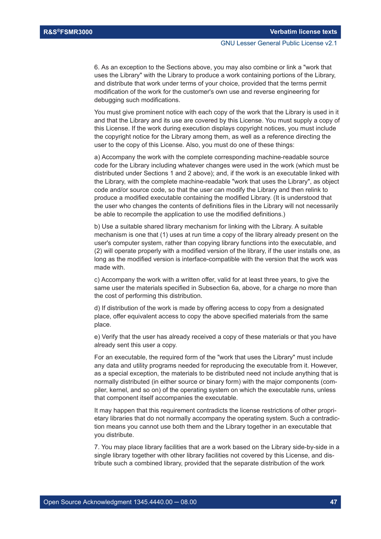6. As an exception to the Sections above, you may also combine or link a "work that uses the Library" with the Library to produce a work containing portions of the Library, and distribute that work under terms of your choice, provided that the terms permit modification of the work for the customer's own use and reverse engineering for debugging such modifications.

You must give prominent notice with each copy of the work that the Library is used in it and that the Library and its use are covered by this License. You must supply a copy of this License. If the work during execution displays copyright notices, you must include the copyright notice for the Library among them, as well as a reference directing the user to the copy of this License. Also, you must do one of these things:

a) Accompany the work with the complete corresponding machine-readable source code for the Library including whatever changes were used in the work (which must be distributed under Sections 1 and 2 above); and, if the work is an executable linked with the Library, with the complete machine-readable "work that uses the Library", as object code and/or source code, so that the user can modify the Library and then relink to produce a modified executable containing the modified Library. (It is understood that the user who changes the contents of definitions files in the Library will not necessarily be able to recompile the application to use the modified definitions.)

b) Use a suitable shared library mechanism for linking with the Library. A suitable mechanism is one that (1) uses at run time a copy of the library already present on the user's computer system, rather than copying library functions into the executable, and (2) will operate properly with a modified version of the library, if the user installs one, as long as the modified version is interface-compatible with the version that the work was made with.

c) Accompany the work with a written offer, valid for at least three years, to give the same user the materials specified in Subsection 6a, above, for a charge no more than the cost of performing this distribution.

d) If distribution of the work is made by offering access to copy from a designated place, offer equivalent access to copy the above specified materials from the same place.

e) Verify that the user has already received a copy of these materials or that you have already sent this user a copy.

For an executable, the required form of the "work that uses the Library" must include any data and utility programs needed for reproducing the executable from it. However, as a special exception, the materials to be distributed need not include anything that is normally distributed (in either source or binary form) with the major components (compiler, kernel, and so on) of the operating system on which the executable runs, unless that component itself accompanies the executable.

It may happen that this requirement contradicts the license restrictions of other proprietary libraries that do not normally accompany the operating system. Such a contradiction means you cannot use both them and the Library together in an executable that you distribute.

7. You may place library facilities that are a work based on the Library side-by-side in a single library together with other library facilities not covered by this License, and distribute such a combined library, provided that the separate distribution of the work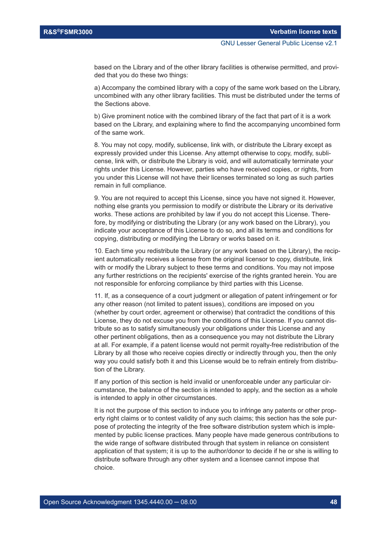based on the Library and of the other library facilities is otherwise permitted, and provided that you do these two things:

a) Accompany the combined library with a copy of the same work based on the Library, uncombined with any other library facilities. This must be distributed under the terms of the Sections above.

b) Give prominent notice with the combined library of the fact that part of it is a work based on the Library, and explaining where to find the accompanying uncombined form of the same work.

8. You may not copy, modify, sublicense, link with, or distribute the Library except as expressly provided under this License. Any attempt otherwise to copy, modify, sublicense, link with, or distribute the Library is void, and will automatically terminate your rights under this License. However, parties who have received copies, or rights, from you under this License will not have their licenses terminated so long as such parties remain in full compliance.

9. You are not required to accept this License, since you have not signed it. However, nothing else grants you permission to modify or distribute the Library or its derivative works. These actions are prohibited by law if you do not accept this License. Therefore, by modifying or distributing the Library (or any work based on the Library), you indicate your acceptance of this License to do so, and all its terms and conditions for copying, distributing or modifying the Library or works based on it.

10. Each time you redistribute the Library (or any work based on the Library), the recipient automatically receives a license from the original licensor to copy, distribute, link with or modify the Library subject to these terms and conditions. You may not impose any further restrictions on the recipients' exercise of the rights granted herein. You are not responsible for enforcing compliance by third parties with this License.

11. If, as a consequence of a court judgment or allegation of patent infringement or for any other reason (not limited to patent issues), conditions are imposed on you (whether by court order, agreement or otherwise) that contradict the conditions of this License, they do not excuse you from the conditions of this License. If you cannot distribute so as to satisfy simultaneously your obligations under this License and any other pertinent obligations, then as a consequence you may not distribute the Library at all. For example, if a patent license would not permit royalty-free redistribution of the Library by all those who receive copies directly or indirectly through you, then the only way you could satisfy both it and this License would be to refrain entirely from distribution of the Library.

If any portion of this section is held invalid or unenforceable under any particular circumstance, the balance of the section is intended to apply, and the section as a whole is intended to apply in other circumstances.

It is not the purpose of this section to induce you to infringe any patents or other property right claims or to contest validity of any such claims; this section has the sole purpose of protecting the integrity of the free software distribution system which is implemented by public license practices. Many people have made generous contributions to the wide range of software distributed through that system in reliance on consistent application of that system; it is up to the author/donor to decide if he or she is willing to distribute software through any other system and a licensee cannot impose that choice.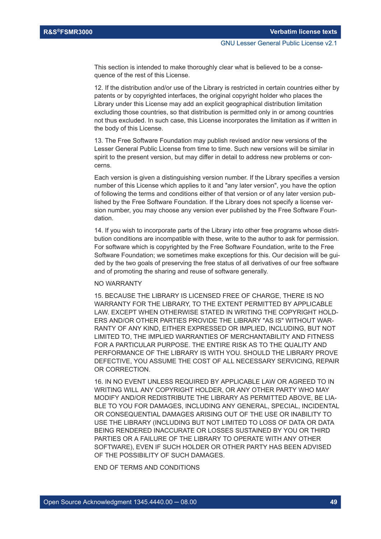This section is intended to make thoroughly clear what is believed to be a consequence of the rest of this License.

12. If the distribution and/or use of the Library is restricted in certain countries either by patents or by copyrighted interfaces, the original copyright holder who places the Library under this License may add an explicit geographical distribution limitation excluding those countries, so that distribution is permitted only in or among countries not thus excluded. In such case, this License incorporates the limitation as if written in the body of this License.

13. The Free Software Foundation may publish revised and/or new versions of the Lesser General Public License from time to time. Such new versions will be similar in spirit to the present version, but may differ in detail to address new problems or concerns.

Each version is given a distinguishing version number. If the Library specifies a version number of this License which applies to it and "any later version", you have the option of following the terms and conditions either of that version or of any later version published by the Free Software Foundation. If the Library does not specify a license version number, you may choose any version ever published by the Free Software Foundation.

14. If you wish to incorporate parts of the Library into other free programs whose distribution conditions are incompatible with these, write to the author to ask for permission. For software which is copyrighted by the Free Software Foundation, write to the Free Software Foundation; we sometimes make exceptions for this. Our decision will be guided by the two goals of preserving the free status of all derivatives of our free software and of promoting the sharing and reuse of software generally.

#### NO WARRANTY

15. BECAUSE THE LIBRARY IS LICENSED FREE OF CHARGE, THERE IS NO WARRANTY FOR THE LIBRARY, TO THE EXTENT PERMITTED BY APPLICABLE LAW. EXCEPT WHEN OTHERWISE STATED IN WRITING THE COPYRIGHT HOLD-ERS AND/OR OTHER PARTIES PROVIDE THE LIBRARY "AS IS" WITHOUT WAR-RANTY OF ANY KIND, EITHER EXPRESSED OR IMPLIED, INCLUDING, BUT NOT LIMITED TO, THE IMPLIED WARRANTIES OF MERCHANTABILITY AND FITNESS FOR A PARTICULAR PURPOSE. THE ENTIRE RISK AS TO THE QUALITY AND PERFORMANCE OF THE LIBRARY IS WITH YOU. SHOULD THE LIBRARY PROVE DEFECTIVE, YOU ASSUME THE COST OF ALL NECESSARY SERVICING, REPAIR OR CORRECTION.

16. IN NO EVENT UNLESS REQUIRED BY APPLICABLE LAW OR AGREED TO IN WRITING WILL ANY COPYRIGHT HOLDER, OR ANY OTHER PARTY WHO MAY MODIFY AND/OR REDISTRIBUTE THE LIBRARY AS PERMITTED ABOVE, BE LIA-BLE TO YOU FOR DAMAGES, INCLUDING ANY GENERAL, SPECIAL, INCIDENTAL OR CONSEQUENTIAL DAMAGES ARISING OUT OF THE USE OR INABILITY TO USE THE LIBRARY (INCLUDING BUT NOT LIMITED TO LOSS OF DATA OR DATA BEING RENDERED INACCURATE OR LOSSES SUSTAINED BY YOU OR THIRD PARTIES OR A FAILURE OF THE LIBRARY TO OPERATE WITH ANY OTHER SOFTWARE), EVEN IF SUCH HOLDER OR OTHER PARTY HAS BEEN ADVISED OF THE POSSIBILITY OF SUCH DAMAGES.

END OF TERMS AND CONDITIONS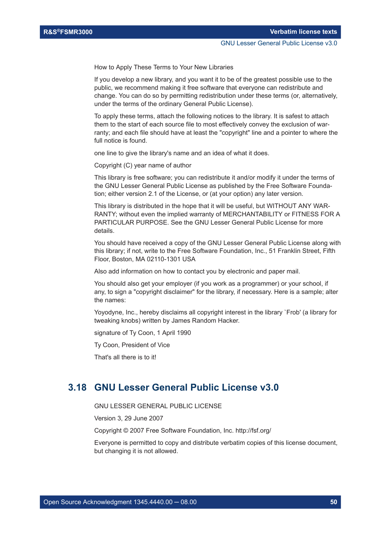How to Apply These Terms to Your New Libraries

If you develop a new library, and you want it to be of the greatest possible use to the public, we recommend making it free software that everyone can redistribute and change. You can do so by permitting redistribution under these terms (or, alternatively, under the terms of the ordinary General Public License).

To apply these terms, attach the following notices to the library. It is safest to attach them to the start of each source file to most effectively convey the exclusion of warranty; and each file should have at least the "copyright" line and a pointer to where the full notice is found.

one line to give the library's name and an idea of what it does.

Copyright (C) year name of author

This library is free software; you can redistribute it and/or modify it under the terms of the GNU Lesser General Public License as published by the Free Software Foundation; either version 2.1 of the License, or (at your option) any later version.

This library is distributed in the hope that it will be useful, but WITHOUT ANY WAR-RANTY; without even the implied warranty of MERCHANTABILITY or FITNESS FOR A PARTICULAR PURPOSE. See the GNU Lesser General Public License for more details.

You should have received a copy of the GNU Lesser General Public License along with this library; if not, write to the Free Software Foundation, Inc., 51 Franklin Street, Fifth Floor, Boston, MA 02110-1301 USA

Also add information on how to contact you by electronic and paper mail.

You should also get your employer (if you work as a programmer) or your school, if any, to sign a "copyright disclaimer" for the library, if necessary. Here is a sample; alter the names:

Yoyodyne, Inc., hereby disclaims all copyright interest in the library `Frob' (a library for tweaking knobs) written by James Random Hacker.

signature of Ty Coon, 1 April 1990

Ty Coon, President of Vice

That's all there is to it!

# **3.18 GNU Lesser General Public License v3.0**

GNU LESSER GENERAL PUBLIC LICENSE

Version 3, 29 June 2007

Copyright © 2007 Free Software Foundation, Inc. http://fsf.org/

Everyone is permitted to copy and distribute verbatim copies of this license document, but changing it is not allowed.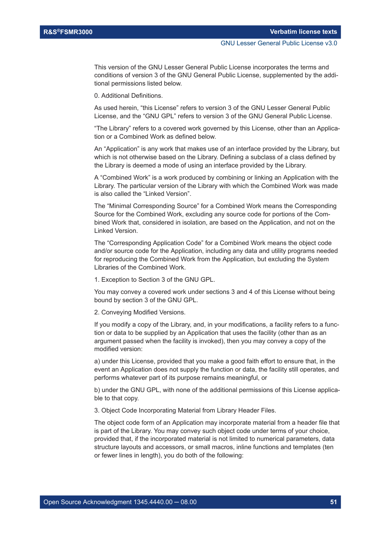This version of the GNU Lesser General Public License incorporates the terms and conditions of version 3 of the GNU General Public License, supplemented by the additional permissions listed below.

0. Additional Definitions.

As used herein, "this License" refers to version 3 of the GNU Lesser General Public License, and the "GNU GPL" refers to version 3 of the GNU General Public License.

"The Library" refers to a covered work governed by this License, other than an Application or a Combined Work as defined below.

An "Application" is any work that makes use of an interface provided by the Library, but which is not otherwise based on the Library. Defining a subclass of a class defined by the Library is deemed a mode of using an interface provided by the Library.

A "Combined Work" is a work produced by combining or linking an Application with the Library. The particular version of the Library with which the Combined Work was made is also called the "Linked Version".

The "Minimal Corresponding Source" for a Combined Work means the Corresponding Source for the Combined Work, excluding any source code for portions of the Combined Work that, considered in isolation, are based on the Application, and not on the Linked Version.

The "Corresponding Application Code" for a Combined Work means the object code and/or source code for the Application, including any data and utility programs needed for reproducing the Combined Work from the Application, but excluding the System Libraries of the Combined Work.

1. Exception to Section 3 of the GNU GPL.

You may convey a covered work under sections 3 and 4 of this License without being bound by section 3 of the GNU GPL.

2. Conveying Modified Versions.

If you modify a copy of the Library, and, in your modifications, a facility refers to a function or data to be supplied by an Application that uses the facility (other than as an argument passed when the facility is invoked), then you may convey a copy of the modified version:

a) under this License, provided that you make a good faith effort to ensure that, in the event an Application does not supply the function or data, the facility still operates, and performs whatever part of its purpose remains meaningful, or

b) under the GNU GPL, with none of the additional permissions of this License applicable to that copy.

3. Object Code Incorporating Material from Library Header Files.

The object code form of an Application may incorporate material from a header file that is part of the Library. You may convey such object code under terms of your choice, provided that, if the incorporated material is not limited to numerical parameters, data structure layouts and accessors, or small macros, inline functions and templates (ten or fewer lines in length), you do both of the following: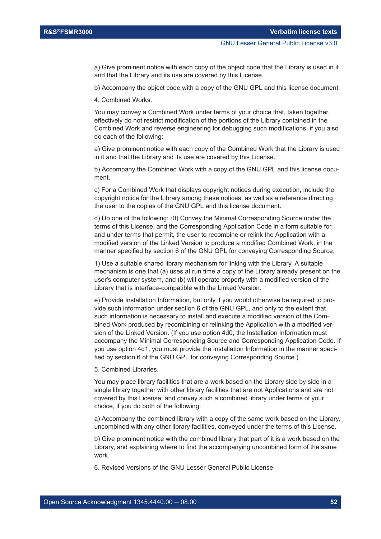a) Give prominent notice with each copy of the object code that the Library is used in it and that the Library and its use are covered by this License.

b) Accompany the object code with a copy of the GNU GPL and this license document.

4. Combined Works.

You may convey a Combined Work under terms of your choice that, taken together, effectively do not restrict modification of the portions of the Library contained in the Combined Work and reverse engineering for debugging such modifications, if you also do each of the following:

a) Give prominent notice with each copy of the Combined Work that the Library is used in it and that the Library and its use are covered by this License.

b) Accompany the Combined Work with a copy of the GNU GPL and this license document.

c) For a Combined Work that displays copyright notices during execution, include the copyright notice for the Library among these notices, as well as a reference directing the user to the copies of the GNU GPL and this license document.

d) Do one of the following: ◦0) Convey the Minimal Corresponding Source under the terms of this License, and the Corresponding Application Code in a form suitable for, and under terms that permit, the user to recombine or relink the Application with a modified version of the Linked Version to produce a modified Combined Work, in the manner specified by section 6 of the GNU GPL for conveying Corresponding Source.

1) Use a suitable shared library mechanism for linking with the Library. A suitable mechanism is one that (a) uses at run time a copy of the Library already present on the user's computer system, and (b) will operate properly with a modified version of the Library that is interface-compatible with the Linked Version.

e) Provide Installation Information, but only if you would otherwise be required to provide such information under section 6 of the GNU GPL, and only to the extent that such information is necessary to install and execute a modified version of the Combined Work produced by recombining or relinking the Application with a modified version of the Linked Version. (If you use option 4d0, the Installation Information must accompany the Minimal Corresponding Source and Corresponding Application Code. If you use option 4d1, you must provide the Installation Information in the manner specified by section 6 of the GNU GPL for conveying Corresponding Source.)

5. Combined Libraries.

You may place library facilities that are a work based on the Library side by side in a single library together with other library facilities that are not Applications and are not covered by this License, and convey such a combined library under terms of your choice, if you do both of the following:

a) Accompany the combined library with a copy of the same work based on the Library, uncombined with any other library facilities, conveyed under the terms of this License.

b) Give prominent notice with the combined library that part of it is a work based on the Library, and explaining where to find the accompanying uncombined form of the same work.

6. Revised Versions of the GNU Lesser General Public License.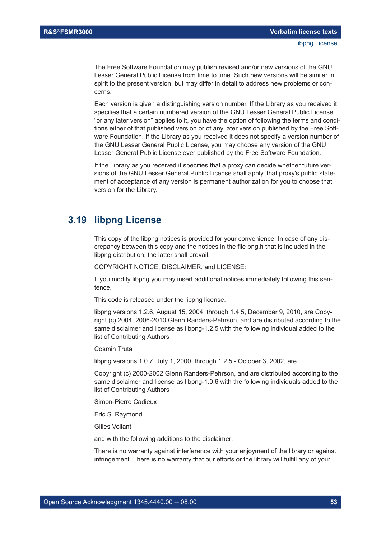The Free Software Foundation may publish revised and/or new versions of the GNU Lesser General Public License from time to time. Such new versions will be similar in spirit to the present version, but may differ in detail to address new problems or concerns.

Each version is given a distinguishing version number. If the Library as you received it specifies that a certain numbered version of the GNU Lesser General Public License "or any later version" applies to it, you have the option of following the terms and conditions either of that published version or of any later version published by the Free Software Foundation. If the Library as you received it does not specify a version number of the GNU Lesser General Public License, you may choose any version of the GNU Lesser General Public License ever published by the Free Software Foundation.

If the Library as you received it specifies that a proxy can decide whether future versions of the GNU Lesser General Public License shall apply, that proxy's public statement of acceptance of any version is permanent authorization for you to choose that version for the Library.

# **3.19 libpng License**

This copy of the libpng notices is provided for your convenience. In case of any discrepancy between this copy and the notices in the file png.h that is included in the libpng distribution, the latter shall prevail.

COPYRIGHT NOTICE, DISCLAIMER, and LICENSE:

If you modify libpng you may insert additional notices immediately following this sentence.

This code is released under the libpng license.

libpng versions 1.2.6, August 15, 2004, through 1.4.5, December 9, 2010, are Copyright (c) 2004, 2006-2010 Glenn Randers-Pehrson, and are distributed according to the same disclaimer and license as libpng-1.2.5 with the following individual added to the list of Contributing Authors

Cosmin Truta

libpng versions 1.0.7, July 1, 2000, through 1.2.5 - October 3, 2002, are

Copyright (c) 2000-2002 Glenn Randers-Pehrson, and are distributed according to the same disclaimer and license as libpng-1.0.6 with the following individuals added to the list of Contributing Authors

Simon-Pierre Cadieux

Eric S. Raymond

Gilles Vollant

and with the following additions to the disclaimer:

There is no warranty against interference with your enjoyment of the library or against infringement. There is no warranty that our efforts or the library will fulfill any of your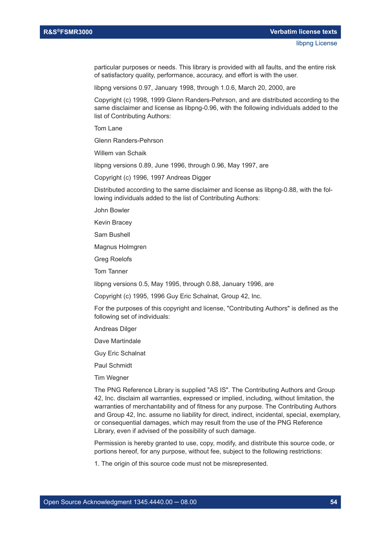particular purposes or needs. This library is provided with all faults, and the entire risk of satisfactory quality, performance, accuracy, and effort is with the user.

libpng versions 0.97, January 1998, through 1.0.6, March 20, 2000, are

Copyright (c) 1998, 1999 Glenn Randers-Pehrson, and are distributed according to the same disclaimer and license as libpng-0.96, with the following individuals added to the list of Contributing Authors:

Tom Lane

Glenn Randers-Pehrson

Willem van Schaik

libpng versions 0.89, June 1996, through 0.96, May 1997, are

Copyright (c) 1996, 1997 Andreas Digger

Distributed according to the same disclaimer and license as libpng-0.88, with the following individuals added to the list of Contributing Authors:

John Bowler

Kevin Bracey

Sam Bushell

Magnus Holmgren

Greg Roelofs

Tom Tanner

libpng versions 0.5, May 1995, through 0.88, January 1996, are

Copyright (c) 1995, 1996 Guy Eric Schalnat, Group 42, Inc.

For the purposes of this copyright and license, "Contributing Authors" is defined as the following set of individuals:

Andreas Dilger

Dave Martindale

Guy Eric Schalnat

Paul Schmidt

Tim Wegner

The PNG Reference Library is supplied "AS IS". The Contributing Authors and Group 42, Inc. disclaim all warranties, expressed or implied, including, without limitation, the warranties of merchantability and of fitness for any purpose. The Contributing Authors and Group 42, Inc. assume no liability for direct, indirect, incidental, special, exemplary, or consequential damages, which may result from the use of the PNG Reference Library, even if advised of the possibility of such damage.

Permission is hereby granted to use, copy, modify, and distribute this source code, or portions hereof, for any purpose, without fee, subject to the following restrictions:

1. The origin of this source code must not be misrepresented.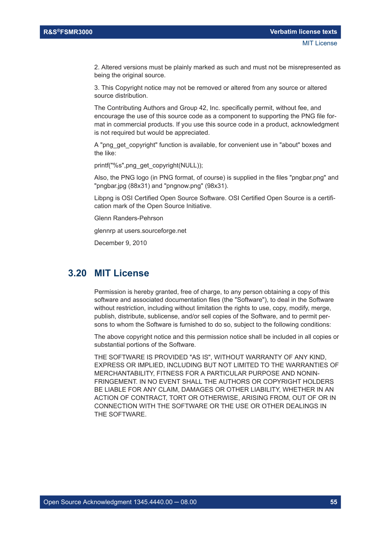2. Altered versions must be plainly marked as such and must not be misrepresented as being the original source.

3. This Copyright notice may not be removed or altered from any source or altered source distribution.

The Contributing Authors and Group 42, Inc. specifically permit, without fee, and encourage the use of this source code as a component to supporting the PNG file format in commercial products. If you use this source code in a product, acknowledgment is not required but would be appreciated.

A "png get copyright" function is available, for convenient use in "about" boxes and the like:

printf("%s",png\_get\_copyright(NULL));

Also, the PNG logo (in PNG format, of course) is supplied in the files "pngbar.png" and "pngbar.jpg (88x31) and "pngnow.png" (98x31).

Libpng is OSI Certified Open Source Software. OSI Certified Open Source is a certification mark of the Open Source Initiative.

Glenn Randers-Pehrson

glennrp at users.sourceforge.net

December 9, 2010

# **3.20 MIT License**

Permission is hereby granted, free of charge, to any person obtaining a copy of this software and associated documentation files (the "Software"), to deal in the Software without restriction, including without limitation the rights to use, copy, modify, merge, publish, distribute, sublicense, and/or sell copies of the Software, and to permit persons to whom the Software is furnished to do so, subject to the following conditions:

The above copyright notice and this permission notice shall be included in all copies or substantial portions of the Software.

THE SOFTWARE IS PROVIDED "AS IS", WITHOUT WARRANTY OF ANY KIND, EXPRESS OR IMPLIED, INCLUDING BUT NOT LIMITED TO THE WARRANTIES OF MERCHANTABILITY, FITNESS FOR A PARTICULAR PURPOSE AND NONIN-FRINGEMENT. IN NO EVENT SHALL THE AUTHORS OR COPYRIGHT HOLDERS BE LIABLE FOR ANY CLAIM, DAMAGES OR OTHER LIABILITY, WHETHER IN AN ACTION OF CONTRACT, TORT OR OTHERWISE, ARISING FROM, OUT OF OR IN CONNECTION WITH THE SOFTWARE OR THE USE OR OTHER DEALINGS IN THE SOFTWARE.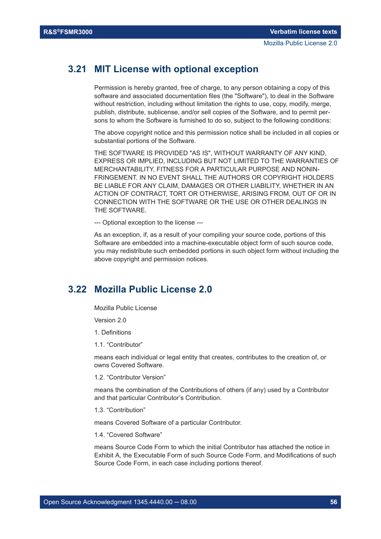# **3.21 MIT License with optional exception**

Permission is hereby granted, free of charge, to any person obtaining a copy of this software and associated documentation files (the "Software"), to deal in the Software without restriction, including without limitation the rights to use, copy, modify, merge, publish, distribute, sublicense, and/or sell copies of the Software, and to permit persons to whom the Software is furnished to do so, subject to the following conditions:

The above copyright notice and this permission notice shall be included in all copies or substantial portions of the Software.

THE SOFTWARE IS PROVIDED "AS IS", WITHOUT WARRANTY OF ANY KIND, EXPRESS OR IMPLIED, INCLUDING BUT NOT LIMITED TO THE WARRANTIES OF MERCHANTABILITY, FITNESS FOR A PARTICULAR PURPOSE AND NONIN-FRINGEMENT. IN NO EVENT SHALL THE AUTHORS OR COPYRIGHT HOLDERS BE LIABLE FOR ANY CLAIM, DAMAGES OR OTHER LIABILITY, WHETHER IN AN ACTION OF CONTRACT, TORT OR OTHERWISE, ARISING FROM, OUT OF OR IN CONNECTION WITH THE SOFTWARE OR THE USE OR OTHER DEALINGS IN THE SOFTWARE.

--- Optional exception to the license ---

As an exception, if, as a result of your compiling your source code, portions of this Software are embedded into a machine-executable object form of such source code, you may redistribute such embedded portions in such object form without including the above copyright and permission notices.

# **3.22 Mozilla Public License 2.0**

Mozilla Public License

Version 2.0

1. Definitions

1.1. "Contributor"

means each individual or legal entity that creates, contributes to the creation of, or owns Covered Software.

1.2. "Contributor Version"

means the combination of the Contributions of others (if any) used by a Contributor and that particular Contributor's Contribution.

1.3. "Contribution"

means Covered Software of a particular Contributor.

1.4. "Covered Software"

means Source Code Form to which the initial Contributor has attached the notice in Exhibit A, the Executable Form of such Source Code Form, and Modifications of such Source Code Form, in each case including portions thereof.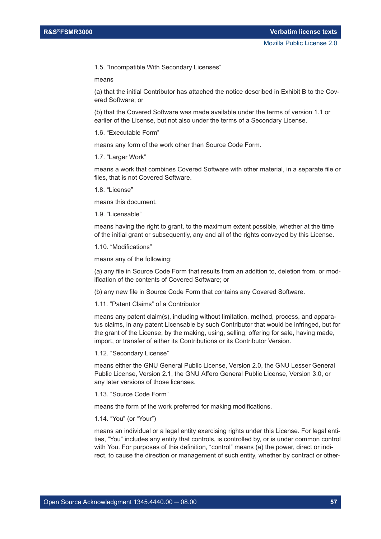1.5. "Incompatible With Secondary Licenses"

means

(a) that the initial Contributor has attached the notice described in Exhibit B to the Covered Software; or

(b) that the Covered Software was made available under the terms of version 1.1 or earlier of the License, but not also under the terms of a Secondary License.

1.6. "Executable Form"

means any form of the work other than Source Code Form.

1.7. "Larger Work"

means a work that combines Covered Software with other material, in a separate file or files, that is not Covered Software.

1.8. "License"

means this document.

1.9. "Licensable"

means having the right to grant, to the maximum extent possible, whether at the time of the initial grant or subsequently, any and all of the rights conveyed by this License.

1.10. "Modifications"

means any of the following:

(a) any file in Source Code Form that results from an addition to, deletion from, or modification of the contents of Covered Software; or

(b) any new file in Source Code Form that contains any Covered Software.

1.11. "Patent Claims" of a Contributor

means any patent claim(s), including without limitation, method, process, and apparatus claims, in any patent Licensable by such Contributor that would be infringed, but for the grant of the License, by the making, using, selling, offering for sale, having made, import, or transfer of either its Contributions or its Contributor Version.

1.12. "Secondary License"

means either the GNU General Public License, Version 2.0, the GNU Lesser General Public License, Version 2.1, the GNU Affero General Public License, Version 3.0, or any later versions of those licenses.

1.13. "Source Code Form"

means the form of the work preferred for making modifications.

1.14. "You" (or "Your")

means an individual or a legal entity exercising rights under this License. For legal entities, "You" includes any entity that controls, is controlled by, or is under common control with You. For purposes of this definition, "control" means (a) the power, direct or indirect, to cause the direction or management of such entity, whether by contract or other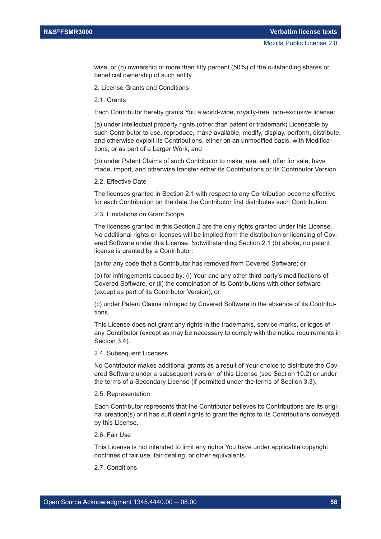wise, or (b) ownership of more than fifty percent (50%) of the outstanding shares or beneficial ownership of such entity.

- 2. License Grants and Conditions
- 2.1. Grants

Each Contributor hereby grants You a world-wide, royalty-free, non-exclusive license:

(a) under intellectual property rights (other than patent or trademark) Licensable by such Contributor to use, reproduce, make available, modify, display, perform, distribute, and otherwise exploit its Contributions, either on an unmodified basis, with Modifications, or as part of a Larger Work; and

(b) under Patent Claims of such Contributor to make, use, sell, offer for sale, have made, import, and otherwise transfer either its Contributions or its Contributor Version.

2.2. Effective Date

The licenses granted in Section 2.1 with respect to any Contribution become effective for each Contribution on the date the Contributor first distributes such Contribution.

2.3. Limitations on Grant Scope

The licenses granted in this Section 2 are the only rights granted under this License. No additional rights or licenses will be implied from the distribution or licensing of Covered Software under this License. Notwithstanding Section 2.1 (b) above, no patent license is granted by a Contributor:

(a) for any code that a Contributor has removed from Covered Software; or

(b) for infringements caused by: (i) Your and any other third party's modifications of Covered Software, or (ii) the combination of its Contributions with other software (except as part of its Contributor Version); or

(c) under Patent Claims infringed by Covered Software in the absence of its Contributions.

This License does not grant any rights in the trademarks, service marks, or logos of any Contributor (except as may be necessary to comply with the notice requirements in Section 3.4).

#### 2.4. Subsequent Licenses

No Contributor makes additional grants as a result of Your choice to distribute the Covered Software under a subsequent version of this License (see Section 10.2) or under the terms of a Secondary License (if permitted under the terms of Section 3.3).

#### 2.5. Representation

Each Contributor represents that the Contributor believes its Contributions are its original creation(s) or it has sufficient rights to grant the rights to its Contributions conveyed by this License.

### 2.6. Fair Use

This License is not intended to limit any rights You have under applicable copyright doctrines of fair use, fair dealing, or other equivalents.

### 2.7. Conditions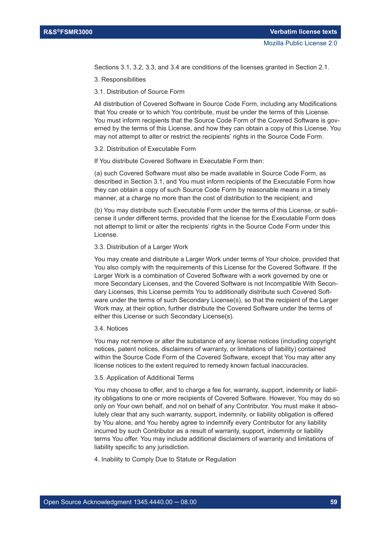Sections 3.1, 3.2, 3.3, and 3.4 are conditions of the licenses granted in Section 2.1.

3. Responsibilities

### 3.1. Distribution of Source Form

All distribution of Covered Software in Source Code Form, including any Modifications that You create or to which You contribute, must be under the terms of this License. You must inform recipients that the Source Code Form of the Covered Software is governed by the terms of this License, and how they can obtain a copy of this License. You may not attempt to alter or restrict the recipients' rights in the Source Code Form.

#### 3.2. Distribution of Executable Form

#### If You distribute Covered Software in Executable Form then:

(a) such Covered Software must also be made available in Source Code Form, as described in Section 3.1, and You must inform recipients of the Executable Form how they can obtain a copy of such Source Code Form by reasonable means in a timely manner, at a charge no more than the cost of distribution to the recipient; and

(b) You may distribute such Executable Form under the terms of this License, or sublicense it under different terms, provided that the license for the Executable Form does not attempt to limit or alter the recipients' rights in the Source Code Form under this License.

#### 3.3. Distribution of a Larger Work

You may create and distribute a Larger Work under terms of Your choice, provided that You also comply with the requirements of this License for the Covered Software. If the Larger Work is a combination of Covered Software with a work governed by one or more Secondary Licenses, and the Covered Software is not Incompatible With Secondary Licenses, this License permits You to additionally distribute such Covered Software under the terms of such Secondary License(s), so that the recipient of the Larger Work may, at their option, further distribute the Covered Software under the terms of either this License or such Secondary License(s).

#### 3.4. Notices

You may not remove or alter the substance of any license notices (including copyright notices, patent notices, disclaimers of warranty, or limitations of liability) contained within the Source Code Form of the Covered Software, except that You may alter any license notices to the extent required to remedy known factual inaccuracies.

### 3.5. Application of Additional Terms

You may choose to offer, and to charge a fee for, warranty, support, indemnity or liability obligations to one or more recipients of Covered Software. However, You may do so only on Your own behalf, and not on behalf of any Contributor. You must make it absolutely clear that any such warranty, support, indemnity, or liability obligation is offered by You alone, and You hereby agree to indemnify every Contributor for any liability incurred by such Contributor as a result of warranty, support, indemnity or liability terms You offer. You may include additional disclaimers of warranty and limitations of liability specific to any jurisdiction.

4. Inability to Comply Due to Statute or Regulation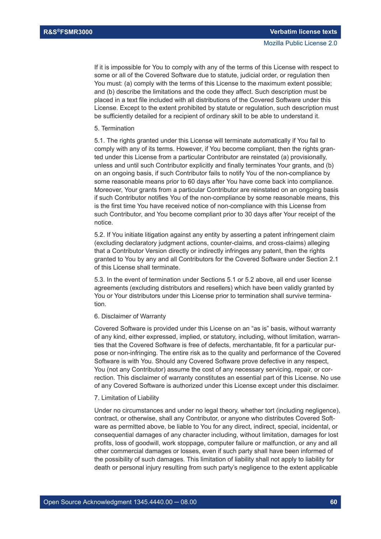If it is impossible for You to comply with any of the terms of this License with respect to some or all of the Covered Software due to statute, judicial order, or regulation then You must: (a) comply with the terms of this License to the maximum extent possible; and (b) describe the limitations and the code they affect. Such description must be placed in a text file included with all distributions of the Covered Software under this License. Except to the extent prohibited by statute or regulation, such description must be sufficiently detailed for a recipient of ordinary skill to be able to understand it.

#### 5. Termination

5.1. The rights granted under this License will terminate automatically if You fail to comply with any of its terms. However, if You become compliant, then the rights granted under this License from a particular Contributor are reinstated (a) provisionally, unless and until such Contributor explicitly and finally terminates Your grants, and (b) on an ongoing basis, if such Contributor fails to notify You of the non-compliance by some reasonable means prior to 60 days after You have come back into compliance. Moreover, Your grants from a particular Contributor are reinstated on an ongoing basis if such Contributor notifies You of the non-compliance by some reasonable means, this is the first time You have received notice of non-compliance with this License from such Contributor, and You become compliant prior to 30 days after Your receipt of the notice.

5.2. If You initiate litigation against any entity by asserting a patent infringement claim (excluding declaratory judgment actions, counter-claims, and cross-claims) alleging that a Contributor Version directly or indirectly infringes any patent, then the rights granted to You by any and all Contributors for the Covered Software under Section 2.1 of this License shall terminate.

5.3. In the event of termination under Sections 5.1 or 5.2 above, all end user license agreements (excluding distributors and resellers) which have been validly granted by You or Your distributors under this License prior to termination shall survive termination.

#### 6. Disclaimer of Warranty

Covered Software is provided under this License on an "as is" basis, without warranty of any kind, either expressed, implied, or statutory, including, without limitation, warranties that the Covered Software is free of defects, merchantable, fit for a particular purpose or non-infringing. The entire risk as to the quality and performance of the Covered Software is with You. Should any Covered Software prove defective in any respect, You (not any Contributor) assume the cost of any necessary servicing, repair, or correction. This disclaimer of warranty constitutes an essential part of this License. No use of any Covered Software is authorized under this License except under this disclaimer.

#### 7. Limitation of Liability

Under no circumstances and under no legal theory, whether tort (including negligence), contract, or otherwise, shall any Contributor, or anyone who distributes Covered Software as permitted above, be liable to You for any direct, indirect, special, incidental, or consequential damages of any character including, without limitation, damages for lost profits, loss of goodwill, work stoppage, computer failure or malfunction, or any and all other commercial damages or losses, even if such party shall have been informed of the possibility of such damages. This limitation of liability shall not apply to liability for death or personal injury resulting from such party's negligence to the extent applicable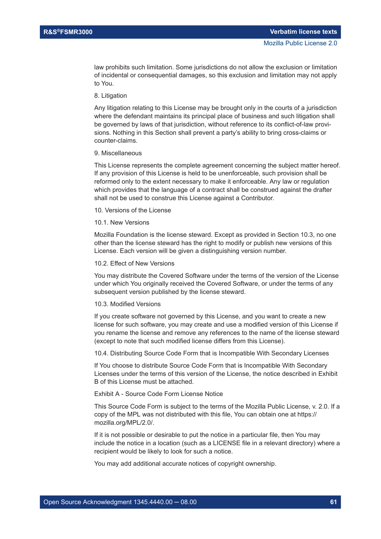law prohibits such limitation. Some jurisdictions do not allow the exclusion or limitation of incidental or consequential damages, so this exclusion and limitation may not apply to You.

8. Litigation

Any litigation relating to this License may be brought only in the courts of a jurisdiction where the defendant maintains its principal place of business and such litigation shall be governed by laws of that jurisdiction, without reference to its conflict-of-law provisions. Nothing in this Section shall prevent a party's ability to bring cross-claims or counter-claims.

### 9. Miscellaneous

This License represents the complete agreement concerning the subject matter hereof. If any provision of this License is held to be unenforceable, such provision shall be reformed only to the extent necessary to make it enforceable. Any law or regulation which provides that the language of a contract shall be construed against the drafter shall not be used to construe this License against a Contributor.

10. Versions of the License

### 10.1. New Versions

Mozilla Foundation is the license steward. Except as provided in Section 10.3, no one other than the license steward has the right to modify or publish new versions of this License. Each version will be given a distinguishing version number.

### 10.2. Effect of New Versions

You may distribute the Covered Software under the terms of the version of the License under which You originally received the Covered Software, or under the terms of any subsequent version published by the license steward.

#### 10.3. Modified Versions

If you create software not governed by this License, and you want to create a new license for such software, you may create and use a modified version of this License if you rename the license and remove any references to the name of the license steward (except to note that such modified license differs from this License).

10.4. Distributing Source Code Form that is Incompatible With Secondary Licenses

If You choose to distribute Source Code Form that is Incompatible With Secondary Licenses under the terms of this version of the License, the notice described in Exhibit B of this License must be attached.

### Exhibit A - Source Code Form License Notice

This Source Code Form is subject to the terms of the Mozilla Public License, v. 2.0. If a copy of the MPL was not distributed with this file, You can obtain one at https:// mozilla.org/MPL/2.0/.

If it is not possible or desirable to put the notice in a particular file, then You may include the notice in a location (such as a LICENSE file in a relevant directory) where a recipient would be likely to look for such a notice.

You may add additional accurate notices of copyright ownership.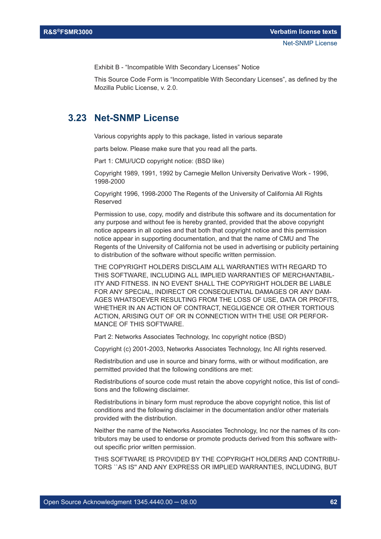Exhibit B - "Incompatible With Secondary Licenses" Notice

This Source Code Form is "Incompatible With Secondary Licenses", as defined by the Mozilla Public License, v. 2.0.

# **3.23 Net-SNMP License**

Various copyrights apply to this package, listed in various separate

parts below. Please make sure that you read all the parts.

Part 1: CMU/UCD copyright notice: (BSD like)

Copyright 1989, 1991, 1992 by Carnegie Mellon University Derivative Work - 1996, 1998-2000

Copyright 1996, 1998-2000 The Regents of the University of California All Rights Reserved

Permission to use, copy, modify and distribute this software and its documentation for any purpose and without fee is hereby granted, provided that the above copyright notice appears in all copies and that both that copyright notice and this permission notice appear in supporting documentation, and that the name of CMU and The Regents of the University of California not be used in advertising or publicity pertaining to distribution of the software without specific written permission.

THE COPYRIGHT HOLDERS DISCLAIM ALL WARRANTIES WITH REGARD TO THIS SOFTWARE, INCLUDING ALL IMPLIED WARRANTIES OF MERCHANTABIL-ITY AND FITNESS. IN NO EVENT SHALL THE COPYRIGHT HOLDER BE LIABLE FOR ANY SPECIAL, INDIRECT OR CONSEQUENTIAL DAMAGES OR ANY DAM-AGES WHATSOEVER RESULTING FROM THE LOSS OF USE, DATA OR PROFITS, WHETHER IN AN ACTION OF CONTRACT, NEGLIGENCE OR OTHER TORTIOUS ACTION, ARISING OUT OF OR IN CONNECTION WITH THE USE OR PERFOR-MANCE OF THIS SOFTWARE.

Part 2: Networks Associates Technology, Inc copyright notice (BSD)

Copyright (c) 2001-2003, Networks Associates Technology, Inc All rights reserved.

Redistribution and use in source and binary forms, with or without modification, are permitted provided that the following conditions are met:

Redistributions of source code must retain the above copyright notice, this list of conditions and the following disclaimer.

Redistributions in binary form must reproduce the above copyright notice, this list of conditions and the following disclaimer in the documentation and/or other materials provided with the distribution.

Neither the name of the Networks Associates Technology, Inc nor the names of its contributors may be used to endorse or promote products derived from this software without specific prior written permission.

THIS SOFTWARE IS PROVIDED BY THE COPYRIGHT HOLDERS AND CONTRIBU-TORS ``AS IS'' AND ANY EXPRESS OR IMPLIED WARRANTIES, INCLUDING, BUT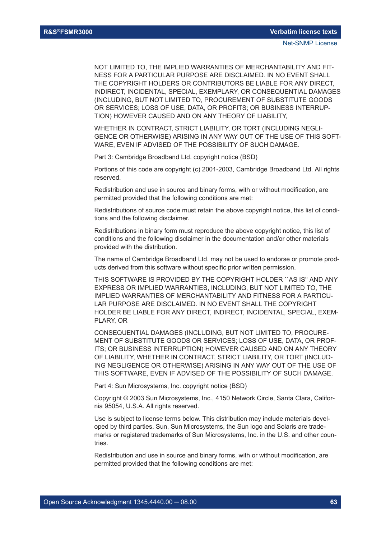NOT LIMITED TO, THE IMPLIED WARRANTIES OF MERCHANTABILITY AND FIT-NESS FOR A PARTICULAR PURPOSE ARE DISCLAIMED. IN NO EVENT SHALL THE COPYRIGHT HOLDERS OR CONTRIBUTORS BE LIABLE FOR ANY DIRECT, INDIRECT, INCIDENTAL, SPECIAL, EXEMPLARY, OR CONSEQUENTIAL DAMAGES (INCLUDING, BUT NOT LIMITED TO, PROCUREMENT OF SUBSTITUTE GOODS OR SERVICES; LOSS OF USE, DATA, OR PROFITS; OR BUSINESS INTERRUP-TION) HOWEVER CAUSED AND ON ANY THEORY OF LIABILITY,

WHETHER IN CONTRACT, STRICT LIABILITY, OR TORT (INCLUDING NEGLI-GENCE OR OTHERWISE) ARISING IN ANY WAY OUT OF THE USE OF THIS SOFT-WARE, EVEN IF ADVISED OF THE POSSIBILITY OF SUCH DAMAGE.

Part 3: Cambridge Broadband Ltd. copyright notice (BSD)

Portions of this code are copyright (c) 2001-2003, Cambridge Broadband Ltd. All rights reserved.

Redistribution and use in source and binary forms, with or without modification, are permitted provided that the following conditions are met:

Redistributions of source code must retain the above copyright notice, this list of conditions and the following disclaimer.

Redistributions in binary form must reproduce the above copyright notice, this list of conditions and the following disclaimer in the documentation and/or other materials provided with the distribution.

The name of Cambridge Broadband Ltd. may not be used to endorse or promote products derived from this software without specific prior written permission.

THIS SOFTWARE IS PROVIDED BY THE COPYRIGHT HOLDER ``AS IS'' AND ANY EXPRESS OR IMPLIED WARRANTIES, INCLUDING, BUT NOT LIMITED TO, THE IMPLIED WARRANTIES OF MERCHANTABILITY AND FITNESS FOR A PARTICU-LAR PURPOSE ARE DISCLAIMED. IN NO EVENT SHALL THE COPYRIGHT HOLDER BE LIABLE FOR ANY DIRECT, INDIRECT, INCIDENTAL, SPECIAL, EXEM-PLARY, OR

CONSEQUENTIAL DAMAGES (INCLUDING, BUT NOT LIMITED TO, PROCURE-MENT OF SUBSTITUTE GOODS OR SERVICES; LOSS OF USE, DATA, OR PROF-ITS; OR BUSINESS INTERRUPTION) HOWEVER CAUSED AND ON ANY THEORY OF LIABILITY, WHETHER IN CONTRACT, STRICT LIABILITY, OR TORT (INCLUD-ING NEGLIGENCE OR OTHERWISE) ARISING IN ANY WAY OUT OF THE USE OF THIS SOFTWARE, EVEN IF ADVISED OF THE POSSIBILITY OF SUCH DAMAGE.

Part 4: Sun Microsystems, Inc. copyright notice (BSD)

Copyright © 2003 Sun Microsystems, Inc., 4150 Network Circle, Santa Clara, California 95054, U.S.A. All rights reserved.

Use is subject to license terms below. This distribution may include materials developed by third parties. Sun, Sun Microsystems, the Sun logo and Solaris are trademarks or registered trademarks of Sun Microsystems, Inc. in the U.S. and other countries.

Redistribution and use in source and binary forms, with or without modification, are permitted provided that the following conditions are met: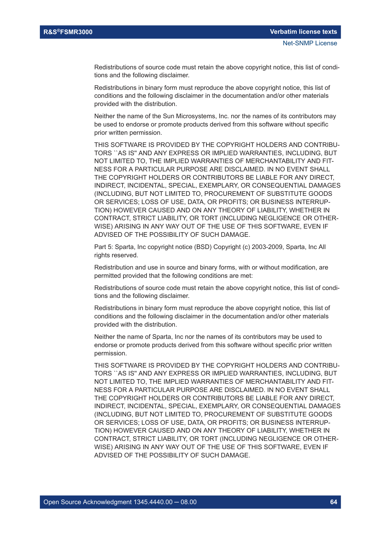Redistributions of source code must retain the above copyright notice, this list of conditions and the following disclaimer.

Redistributions in binary form must reproduce the above copyright notice, this list of conditions and the following disclaimer in the documentation and/or other materials provided with the distribution.

Neither the name of the Sun Microsystems, Inc. nor the names of its contributors may be used to endorse or promote products derived from this software without specific prior written permission.

THIS SOFTWARE IS PROVIDED BY THE COPYRIGHT HOLDERS AND CONTRIBU-TORS ``AS IS'' AND ANY EXPRESS OR IMPLIED WARRANTIES, INCLUDING, BUT NOT LIMITED TO, THE IMPLIED WARRANTIES OF MERCHANTABILITY AND FIT-NESS FOR A PARTICULAR PURPOSE ARE DISCLAIMED. IN NO EVENT SHALL THE COPYRIGHT HOLDERS OR CONTRIBUTORS BE LIABLE FOR ANY DIRECT, INDIRECT, INCIDENTAL, SPECIAL, EXEMPLARY, OR CONSEQUENTIAL DAMAGES (INCLUDING, BUT NOT LIMITED TO, PROCUREMENT OF SUBSTITUTE GOODS OR SERVICES; LOSS OF USE, DATA, OR PROFITS; OR BUSINESS INTERRUP-TION) HOWEVER CAUSED AND ON ANY THEORY OF LIABILITY, WHETHER IN CONTRACT, STRICT LIABILITY, OR TORT (INCLUDING NEGLIGENCE OR OTHER-WISE) ARISING IN ANY WAY OUT OF THE USE OF THIS SOFTWARE, EVEN IF ADVISED OF THE POSSIBILITY OF SUCH DAMAGE.

Part 5: Sparta, Inc copyright notice (BSD) Copyright (c) 2003-2009, Sparta, Inc All rights reserved.

Redistribution and use in source and binary forms, with or without modification, are permitted provided that the following conditions are met:

Redistributions of source code must retain the above copyright notice, this list of conditions and the following disclaimer.

Redistributions in binary form must reproduce the above copyright notice, this list of conditions and the following disclaimer in the documentation and/or other materials provided with the distribution.

Neither the name of Sparta, Inc nor the names of its contributors may be used to endorse or promote products derived from this software without specific prior written permission.

THIS SOFTWARE IS PROVIDED BY THE COPYRIGHT HOLDERS AND CONTRIBU-TORS ``AS IS'' AND ANY EXPRESS OR IMPLIED WARRANTIES, INCLUDING, BUT NOT LIMITED TO, THE IMPLIED WARRANTIES OF MERCHANTABILITY AND FIT-NESS FOR A PARTICULAR PURPOSE ARE DISCLAIMED. IN NO EVENT SHALL THE COPYRIGHT HOLDERS OR CONTRIBUTORS BE LIABLE FOR ANY DIRECT, INDIRECT, INCIDENTAL, SPECIAL, EXEMPLARY, OR CONSEQUENTIAL DAMAGES (INCLUDING, BUT NOT LIMITED TO, PROCUREMENT OF SUBSTITUTE GOODS OR SERVICES; LOSS OF USE, DATA, OR PROFITS; OR BUSINESS INTERRUP-TION) HOWEVER CAUSED AND ON ANY THEORY OF LIABILITY, WHETHER IN CONTRACT, STRICT LIABILITY, OR TORT (INCLUDING NEGLIGENCE OR OTHER-WISE) ARISING IN ANY WAY OUT OF THE USE OF THIS SOFTWARE, EVEN IF ADVISED OF THE POSSIBILITY OF SUCH DAMAGE.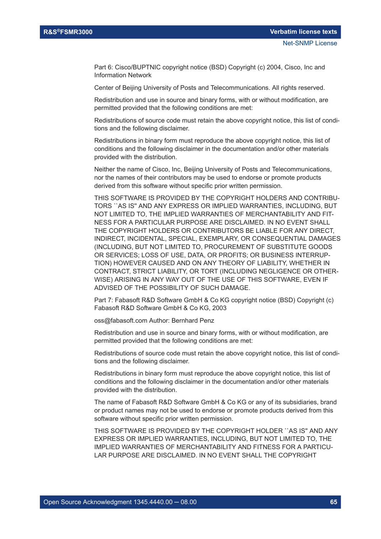Part 6: Cisco/BUPTNIC copyright notice (BSD) Copyright (c) 2004, Cisco, Inc and Information Network

Center of Beijing University of Posts and Telecommunications. All rights reserved.

Redistribution and use in source and binary forms, with or without modification, are permitted provided that the following conditions are met:

Redistributions of source code must retain the above copyright notice, this list of conditions and the following disclaimer.

Redistributions in binary form must reproduce the above copyright notice, this list of conditions and the following disclaimer in the documentation and/or other materials provided with the distribution.

Neither the name of Cisco, Inc, Beijing University of Posts and Telecommunications, nor the names of their contributors may be used to endorse or promote products derived from this software without specific prior written permission.

THIS SOFTWARE IS PROVIDED BY THE COPYRIGHT HOLDERS AND CONTRIBU-TORS ``AS IS'' AND ANY EXPRESS OR IMPLIED WARRANTIES, INCLUDING, BUT NOT LIMITED TO, THE IMPLIED WARRANTIES OF MERCHANTABILITY AND FIT-NESS FOR A PARTICULAR PURPOSE ARE DISCLAIMED. IN NO EVENT SHALL THE COPYRIGHT HOLDERS OR CONTRIBUTORS BE LIABLE FOR ANY DIRECT, INDIRECT, INCIDENTAL, SPECIAL, EXEMPLARY, OR CONSEQUENTIAL DAMAGES (INCLUDING, BUT NOT LIMITED TO, PROCUREMENT OF SUBSTITUTE GOODS OR SERVICES; LOSS OF USE, DATA, OR PROFITS; OR BUSINESS INTERRUP-TION) HOWEVER CAUSED AND ON ANY THEORY OF LIABILITY, WHETHER IN CONTRACT, STRICT LIABILITY, OR TORT (INCLUDING NEGLIGENCE OR OTHER-WISE) ARISING IN ANY WAY OUT OF THE USE OF THIS SOFTWARE, EVEN IF ADVISED OF THE POSSIBILITY OF SUCH DAMAGE.

Part 7: Fabasoft R&D Software GmbH & Co KG copyright notice (BSD) Copyright (c) Fabasoft R&D Software GmbH & Co KG, 2003

oss@fabasoft.com Author: Bernhard Penz

Redistribution and use in source and binary forms, with or without modification, are permitted provided that the following conditions are met:

Redistributions of source code must retain the above copyright notice, this list of conditions and the following disclaimer.

Redistributions in binary form must reproduce the above copyright notice, this list of conditions and the following disclaimer in the documentation and/or other materials provided with the distribution.

The name of Fabasoft R&D Software GmbH & Co KG or any of its subsidiaries, brand or product names may not be used to endorse or promote products derived from this software without specific prior written permission.

THIS SOFTWARE IS PROVIDED BY THE COPYRIGHT HOLDER ``AS IS'' AND ANY EXPRESS OR IMPLIED WARRANTIES, INCLUDING, BUT NOT LIMITED TO, THE IMPLIED WARRANTIES OF MERCHANTABILITY AND FITNESS FOR A PARTICU-LAR PURPOSE ARE DISCLAIMED. IN NO EVENT SHALL THE COPYRIGHT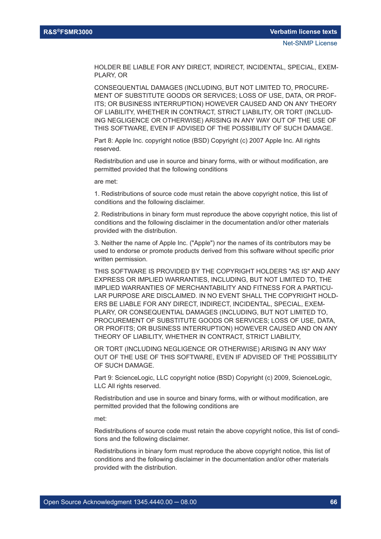HOLDER BE LIABLE FOR ANY DIRECT, INDIRECT, INCIDENTAL, SPECIAL, EXEM-PLARY, OR

CONSEQUENTIAL DAMAGES (INCLUDING, BUT NOT LIMITED TO, PROCURE-MENT OF SUBSTITUTE GOODS OR SERVICES; LOSS OF USE, DATA, OR PROF-ITS; OR BUSINESS INTERRUPTION) HOWEVER CAUSED AND ON ANY THEORY OF LIABILITY, WHETHER IN CONTRACT, STRICT LIABILITY, OR TORT (INCLUD-ING NEGLIGENCE OR OTHERWISE) ARISING IN ANY WAY OUT OF THE USE OF THIS SOFTWARE, EVEN IF ADVISED OF THE POSSIBILITY OF SUCH DAMAGE.

Part 8: Apple Inc. copyright notice (BSD) Copyright (c) 2007 Apple Inc. All rights reserved.

Redistribution and use in source and binary forms, with or without modification, are permitted provided that the following conditions

are met:

1. Redistributions of source code must retain the above copyright notice, this list of conditions and the following disclaimer.

2. Redistributions in binary form must reproduce the above copyright notice, this list of conditions and the following disclaimer in the documentation and/or other materials provided with the distribution.

3. Neither the name of Apple Inc. ("Apple") nor the names of its contributors may be used to endorse or promote products derived from this software without specific prior written permission.

THIS SOFTWARE IS PROVIDED BY THE COPYRIGHT HOLDERS "AS IS" AND ANY EXPRESS OR IMPLIED WARRANTIES, INCLUDING, BUT NOT LIMITED TO, THE IMPLIED WARRANTIES OF MERCHANTABILITY AND FITNESS FOR A PARTICU-LAR PURPOSE ARE DISCLAIMED. IN NO EVENT SHALL THE COPYRIGHT HOLD-ERS BE LIABLE FOR ANY DIRECT, INDIRECT, INCIDENTAL, SPECIAL, EXEM-PLARY, OR CONSEQUENTIAL DAMAGES (INCLUDING, BUT NOT LIMITED TO, PROCUREMENT OF SUBSTITUTE GOODS OR SERVICES; LOSS OF USE, DATA, OR PROFITS; OR BUSINESS INTERRUPTION) HOWEVER CAUSED AND ON ANY THEORY OF LIABILITY, WHETHER IN CONTRACT, STRICT LIABILITY,

OR TORT (INCLUDING NEGLIGENCE OR OTHERWISE) ARISING IN ANY WAY OUT OF THE USE OF THIS SOFTWARE, EVEN IF ADVISED OF THE POSSIBILITY OF SUCH DAMAGE.

Part 9: ScienceLogic, LLC copyright notice (BSD) Copyright (c) 2009, ScienceLogic, LLC All rights reserved.

Redistribution and use in source and binary forms, with or without modification, are permitted provided that the following conditions are

met:

Redistributions of source code must retain the above copyright notice, this list of conditions and the following disclaimer.

Redistributions in binary form must reproduce the above copyright notice, this list of conditions and the following disclaimer in the documentation and/or other materials provided with the distribution.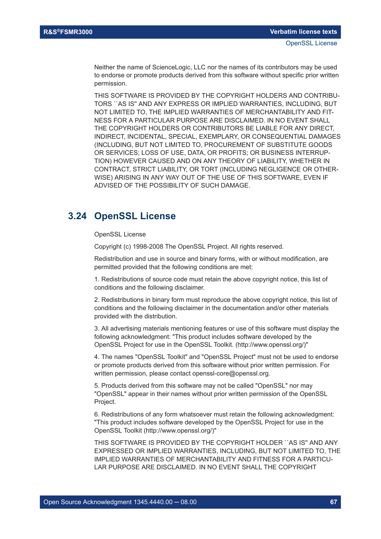Neither the name of ScienceLogic, LLC nor the names of its contributors may be used to endorse or promote products derived from this software without specific prior written permission.

THIS SOFTWARE IS PROVIDED BY THE COPYRIGHT HOLDERS AND CONTRIBU-TORS ``AS IS'' AND ANY EXPRESS OR IMPLIED WARRANTIES, INCLUDING, BUT NOT LIMITED TO, THE IMPLIED WARRANTIES OF MERCHANTABILITY AND FIT-NESS FOR A PARTICULAR PURPOSE ARE DISCLAIMED. IN NO EVENT SHALL THE COPYRIGHT HOLDERS OR CONTRIBUTORS BE LIABLE FOR ANY DIRECT, INDIRECT, INCIDENTAL, SPECIAL, EXEMPLARY, OR CONSEQUENTIAL DAMAGES (INCLUDING, BUT NOT LIMITED TO, PROCUREMENT OF SUBSTITUTE GOODS OR SERVICES; LOSS OF USE, DATA, OR PROFITS; OR BUSINESS INTERRUP-TION) HOWEVER CAUSED AND ON ANY THEORY OF LIABILITY, WHETHER IN CONTRACT, STRICT LIABILITY, OR TORT (INCLUDING NEGLIGENCE OR OTHER-WISE) ARISING IN ANY WAY OUT OF THE USE OF THIS SOFTWARE, EVEN IF ADVISED OF THE POSSIBILITY OF SUCH DAMAGE.

# **3.24 OpenSSL License**

OpenSSL License

Copyright (c) 1998-2008 The OpenSSL Project. All rights reserved.

Redistribution and use in source and binary forms, with or without modification, are permitted provided that the following conditions are met:

1. Redistributions of source code must retain the above copyright notice, this list of conditions and the following disclaimer.

2. Redistributions in binary form must reproduce the above copyright notice, this list of conditions and the following disclaimer in the documentation and/or other materials provided with the distribution.

3. All advertising materials mentioning features or use of this software must display the following acknowledgment: "This product includes software developed by the OpenSSL Project for use in the OpenSSL Toolkit. (http://www.openssl.org/)"

4. The names "OpenSSL Toolkit" and "OpenSSL Project" must not be used to endorse or promote products derived from this software without prior written permission. For written permission, please contact openssl-core@openssl.org.

5. Products derived from this software may not be called "OpenSSL" nor may "OpenSSL" appear in their names without prior written permission of the OpenSSL Project.

6. Redistributions of any form whatsoever must retain the following acknowledgment: "This product includes software developed by the OpenSSL Project for use in the OpenSSL Toolkit (http://www.openssl.org/)"

THIS SOFTWARE IS PROVIDED BY THE COPYRIGHT HOLDER ``AS IS'' AND ANY EXPRESSED OR IMPLIED WARRANTIES, INCLUDING, BUT NOT LIMITED TO, THE IMPLIED WARRANTIES OF MERCHANTABILITY AND FITNESS FOR A PARTICU-LAR PURPOSE ARE DISCLAIMED. IN NO EVENT SHALL THE COPYRIGHT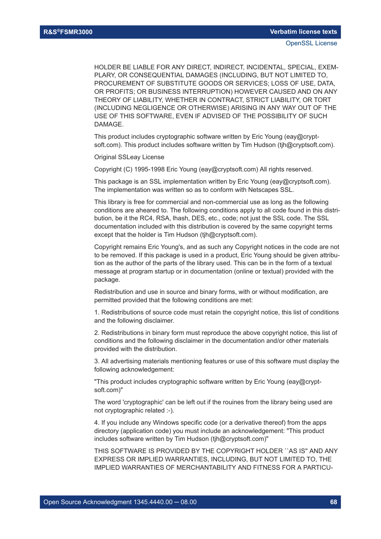HOLDER BE LIABLE FOR ANY DIRECT, INDIRECT, INCIDENTAL, SPECIAL, EXEM-PLARY, OR CONSEQUENTIAL DAMAGES (INCLUDING, BUT NOT LIMITED TO, PROCUREMENT OF SUBSTITUTE GOODS OR SERVICES; LOSS OF USE, DATA, OR PROFITS; OR BUSINESS INTERRUPTION) HOWEVER CAUSED AND ON ANY THEORY OF LIABILITY, WHETHER IN CONTRACT, STRICT LIABILITY, OR TORT (INCLUDING NEGLIGENCE OR OTHERWISE) ARISING IN ANY WAY OUT OF THE USE OF THIS SOFTWARE, EVEN IF ADVISED OF THE POSSIBILITY OF SUCH DAMAGE.

This product includes cryptographic software written by Eric Young (eay@cryptsoft.com). This product includes software written by Tim Hudson (tjh@cryptsoft.com).

Original SSLeay License

Copyright (C) 1995-1998 Eric Young (eay@cryptsoft.com) All rights reserved.

This package is an SSL implementation written by Eric Young (eay@cryptsoft.com). The implementation was written so as to conform with Netscapes SSL.

This library is free for commercial and non-commercial use as long as the following conditions are aheared to. The following conditions apply to all code found in this distribution, be it the RC4, RSA, lhash, DES, etc., code; not just the SSL code. The SSL documentation included with this distribution is covered by the same copyright terms except that the holder is Tim Hudson (tjh@cryptsoft.com).

Copyright remains Eric Young's, and as such any Copyright notices in the code are not to be removed. If this package is used in a product, Eric Young should be given attribution as the author of the parts of the library used. This can be in the form of a textual message at program startup or in documentation (online or textual) provided with the package.

Redistribution and use in source and binary forms, with or without modification, are permitted provided that the following conditions are met:

1. Redistributions of source code must retain the copyright notice, this list of conditions and the following disclaimer.

2. Redistributions in binary form must reproduce the above copyright notice, this list of conditions and the following disclaimer in the documentation and/or other materials provided with the distribution.

3. All advertising materials mentioning features or use of this software must display the following acknowledgement:

"This product includes cryptographic software written by Eric Young (eay@cryptsoft.com)"

The word 'cryptographic' can be left out if the rouines from the library being used are not cryptographic related :-).

4. If you include any Windows specific code (or a derivative thereof) from the apps directory (application code) you must include an acknowledgement: "This product includes software written by Tim Hudson (tjh@cryptsoft.com)"

THIS SOFTWARE IS PROVIDED BY THE COPYRIGHT HOLDER ``AS IS'' AND ANY EXPRESS OR IMPLIED WARRANTIES, INCLUDING, BUT NOT LIMITED TO, THE IMPLIED WARRANTIES OF MERCHANTABILITY AND FITNESS FOR A PARTICU-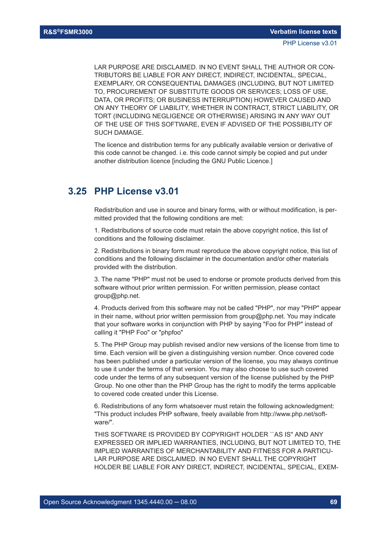LAR PURPOSE ARE DISCLAIMED. IN NO EVENT SHALL THE AUTHOR OR CON-TRIBUTORS BE LIABLE FOR ANY DIRECT, INDIRECT, INCIDENTAL, SPECIAL, EXEMPLARY, OR CONSEQUENTIAL DAMAGES (INCLUDING, BUT NOT LIMITED TO, PROCUREMENT OF SUBSTITUTE GOODS OR SERVICES; LOSS OF USE, DATA, OR PROFITS; OR BUSINESS INTERRUPTION) HOWEVER CAUSED AND ON ANY THEORY OF LIABILITY, WHETHER IN CONTRACT, STRICT LIABILITY, OR TORT (INCLUDING NEGLIGENCE OR OTHERWISE) ARISING IN ANY WAY OUT OF THE USE OF THIS SOFTWARE, EVEN IF ADVISED OF THE POSSIBILITY OF SUCH DAMAGE.

The licence and distribution terms for any publically available version or derivative of this code cannot be changed. i.e. this code cannot simply be copied and put under another distribution licence [including the GNU Public Licence.]

# **3.25 PHP License v3.01**

Redistribution and use in source and binary forms, with or without modification, is permitted provided that the following conditions are met:

1. Redistributions of source code must retain the above copyright notice, this list of conditions and the following disclaimer.

2. Redistributions in binary form must reproduce the above copyright notice, this list of conditions and the following disclaimer in the documentation and/or other materials provided with the distribution.

3. The name "PHP" must not be used to endorse or promote products derived from this software without prior written permission. For written permission, please contact group@php.net.

4. Products derived from this software may not be called "PHP", nor may "PHP" appear in their name, without prior written permission from group@php.net. You may indicate that your software works in conjunction with PHP by saying "Foo for PHP" instead of calling it "PHP Foo" or "phpfoo"

5. The PHP Group may publish revised and/or new versions of the license from time to time. Each version will be given a distinguishing version number. Once covered code has been published under a particular version of the license, you may always continue to use it under the terms of that version. You may also choose to use such covered code under the terms of any subsequent version of the license published by the PHP Group. No one other than the PHP Group has the right to modify the terms applicable to covered code created under this License.

6. Redistributions of any form whatsoever must retain the following acknowledgment: "This product includes PHP software, freely available from http://www.php.net/software/".

THIS SOFTWARE IS PROVIDED BY COPYRIGHT HOLDER ``AS IS'' AND ANY EXPRESSED OR IMPLIED WARRANTIES, INCLUDING, BUT NOT LIMITED TO, THE IMPLIED WARRANTIES OF MERCHANTABILITY AND FITNESS FOR A PARTICU-LAR PURPOSE ARE DISCLAIMED. IN NO EVENT SHALL THE COPYRIGHT HOLDER BE LIABLE FOR ANY DIRECT, INDIRECT, INCIDENTAL, SPECIAL, EXEM-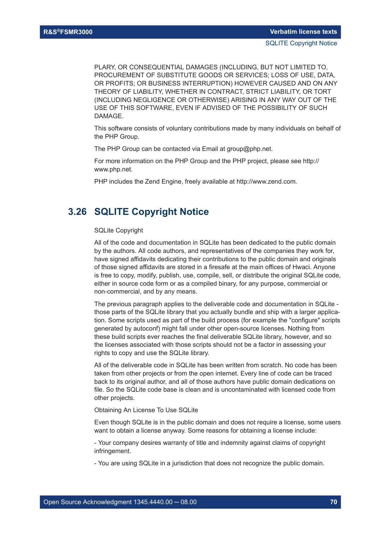PLARY, OR CONSEQUENTIAL DAMAGES (INCLUDING, BUT NOT LIMITED TO, PROCUREMENT OF SUBSTITUTE GOODS OR SERVICES; LOSS OF USE, DATA, OR PROFITS; OR BUSINESS INTERRUPTION) HOWEVER CAUSED AND ON ANY THEORY OF LIABILITY, WHETHER IN CONTRACT, STRICT LIABILITY, OR TORT (INCLUDING NEGLIGENCE OR OTHERWISE) ARISING IN ANY WAY OUT OF THE USE OF THIS SOFTWARE, EVEN IF ADVISED OF THE POSSIBILITY OF SUCH **DAMAGE** 

This software consists of voluntary contributions made by many individuals on behalf of the PHP Group.

The PHP Group can be contacted via Email at group@php.net.

For more information on the PHP Group and the PHP project, please see http:// www.php.net.

PHP includes the Zend Engine, freely available at http://www.zend.com.

# **3.26 SQLITE Copyright Notice**

### SQLite Copyright

All of the code and documentation in SQLite has been dedicated to the public domain by the authors. All code authors, and representatives of the companies they work for, have signed affidavits dedicating their contributions to the public domain and originals of those signed affidavits are stored in a firesafe at the main offices of Hwaci. Anyone is free to copy, modify, publish, use, compile, sell, or distribute the original SQLite code, either in source code form or as a compiled binary, for any purpose, commercial or non-commercial, and by any means.

The previous paragraph applies to the deliverable code and documentation in SQLite those parts of the SQLite library that you actually bundle and ship with a larger application. Some scripts used as part of the build process (for example the "configure" scripts generated by autoconf) might fall under other open-source licenses. Nothing from these build scripts ever reaches the final deliverable SQLite library, however, and so the licenses associated with those scripts should not be a factor in assessing your rights to copy and use the SQLite library.

All of the deliverable code in SQLite has been written from scratch. No code has been taken from other projects or from the open internet. Every line of code can be traced back to its original author, and all of those authors have public domain dedications on file. So the SQLite code base is clean and is uncontaminated with licensed code from other projects.

Obtaining An License To Use SQLite

Even though SQLite is in the public domain and does not require a license, some users want to obtain a license anyway. Some reasons for obtaining a license include:

- Your company desires warranty of title and indemnity against claims of copyright infringement.

- You are using SQLite in a jurisdiction that does not recognize the public domain.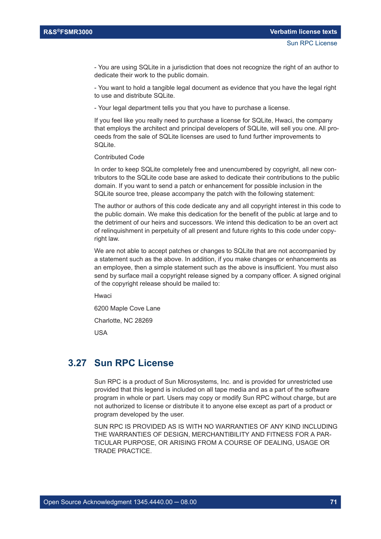- You are using SQLite in a jurisdiction that does not recognize the right of an author to dedicate their work to the public domain.

- You want to hold a tangible legal document as evidence that you have the legal right to use and distribute SQLite.

- Your legal department tells you that you have to purchase a license.

If you feel like you really need to purchase a license for SQLite, Hwaci, the company that employs the architect and principal developers of SQLite, will sell you one. All proceeds from the sale of SQLite licenses are used to fund further improvements to SQLite.

Contributed Code

In order to keep SQLite completely free and unencumbered by copyright, all new contributors to the SQLite code base are asked to dedicate their contributions to the public domain. If you want to send a patch or enhancement for possible inclusion in the SQLite source tree, please accompany the patch with the following statement:

The author or authors of this code dedicate any and all copyright interest in this code to the public domain. We make this dedication for the benefit of the public at large and to the detriment of our heirs and successors. We intend this dedication to be an overt act of relinquishment in perpetuity of all present and future rights to this code under copyright law.

We are not able to accept patches or changes to SQLite that are not accompanied by a statement such as the above. In addition, if you make changes or enhancements as an employee, then a simple statement such as the above is insufficient. You must also send by surface mail a copyright release signed by a company officer. A signed original of the copyright release should be mailed to:

Hwaci

6200 Maple Cove Lane

Charlotte, NC 28269

USA

# **3.27 Sun RPC License**

Sun RPC is a product of Sun Microsystems, Inc. and is provided for unrestricted use provided that this legend is included on all tape media and as a part of the software program in whole or part. Users may copy or modify Sun RPC without charge, but are not authorized to license or distribute it to anyone else except as part of a product or program developed by the user.

SUN RPC IS PROVIDED AS IS WITH NO WARRANTIES OF ANY KIND INCLUDING THE WARRANTIES OF DESIGN, MERCHANTIBILITY AND FITNESS FOR A PAR-TICULAR PURPOSE, OR ARISING FROM A COURSE OF DEALING, USAGE OR TRADE PRACTICE.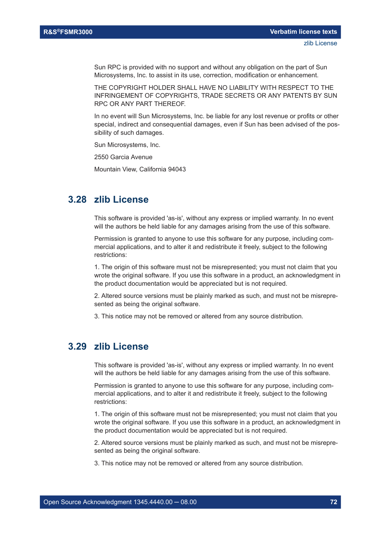Sun RPC is provided with no support and without any obligation on the part of Sun Microsystems, Inc. to assist in its use, correction, modification or enhancement.

THE COPYRIGHT HOLDER SHALL HAVE NO LIABILITY WITH RESPECT TO THE INFRINGEMENT OF COPYRIGHTS, TRADE SECRETS OR ANY PATENTS BY SUN RPC OR ANY PART THEREOF.

In no event will Sun Microsystems, Inc. be liable for any lost revenue or profits or other special, indirect and consequential damages, even if Sun has been advised of the possibility of such damages.

Sun Microsystems, Inc.

2550 Garcia Avenue

Mountain View, California 94043

# **3.28 zlib License**

This software is provided 'as-is', without any express or implied warranty. In no event will the authors be held liable for any damages arising from the use of this software.

Permission is granted to anyone to use this software for any purpose, including commercial applications, and to alter it and redistribute it freely, subject to the following restrictions:

1. The origin of this software must not be misrepresented; you must not claim that you wrote the original software. If you use this software in a product, an acknowledgment in the product documentation would be appreciated but is not required.

2. Altered source versions must be plainly marked as such, and must not be misrepresented as being the original software.

3. This notice may not be removed or altered from any source distribution.

# **3.29 zlib License**

This software is provided 'as-is', without any express or implied warranty. In no event will the authors be held liable for any damages arising from the use of this software.

Permission is granted to anyone to use this software for any purpose, including commercial applications, and to alter it and redistribute it freely, subject to the following restrictions:

1. The origin of this software must not be misrepresented; you must not claim that you wrote the original software. If you use this software in a product, an acknowledgment in the product documentation would be appreciated but is not required.

2. Altered source versions must be plainly marked as such, and must not be misrepresented as being the original software.

3. This notice may not be removed or altered from any source distribution.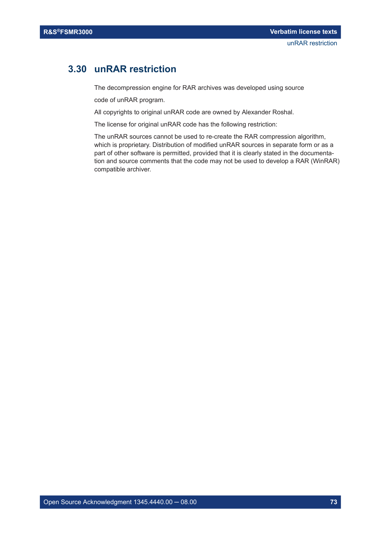## **3.30 unRAR restriction**

The decompression engine for RAR archives was developed using source

code of unRAR program.

All copyrights to original unRAR code are owned by Alexander Roshal.

The license for original unRAR code has the following restriction:

The unRAR sources cannot be used to re-create the RAR compression algorithm, which is proprietary. Distribution of modified unRAR sources in separate form or as a part of other software is permitted, provided that it is clearly stated in the documentation and source comments that the code may not be used to develop a RAR (WinRAR) compatible archiver.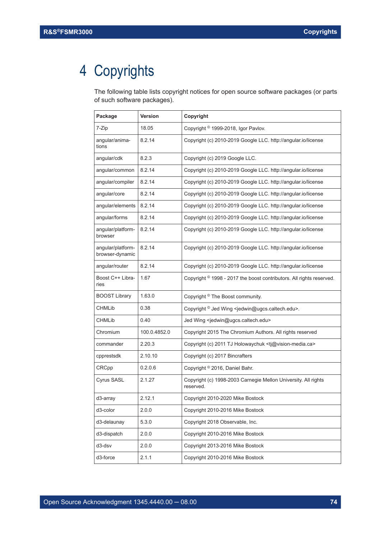## 4 Copyrights

The following table lists copyright notices for open source software packages (or parts of such software packages).

| Package                              | <b>Version</b> | Copyright                                                                       |
|--------------------------------------|----------------|---------------------------------------------------------------------------------|
| 7-Zip                                | 18.05          | Copyright <sup>©</sup> 1999-2018, Igor Pavlov.                                  |
| angular/anima-<br>tions              | 8.2.14         | Copyright (c) 2010-2019 Google LLC. http://angular.io/license                   |
| angular/cdk                          | 8.2.3          | Copyright (c) 2019 Google LLC.                                                  |
| angular/common                       | 8.2.14         | Copyright (c) 2010-2019 Google LLC. http://angular.io/license                   |
| angular/compiler                     | 8.2.14         | Copyright (c) 2010-2019 Google LLC. http://angular.io/license                   |
| angular/core                         | 8.2.14         | Copyright (c) 2010-2019 Google LLC. http://angular.io/license                   |
| angular/elements                     | 8.2.14         | Copyright (c) 2010-2019 Google LLC. http://angular.io/license                   |
| angular/forms                        | 8.2.14         | Copyright (c) 2010-2019 Google LLC. http://angular.io/license                   |
| angular/platform-<br>browser         | 8.2.14         | Copyright (c) 2010-2019 Google LLC. http://angular.io/license                   |
| angular/platform-<br>browser-dynamic | 8.2.14         | Copyright (c) 2010-2019 Google LLC. http://angular.io/license                   |
| angular/router                       | 8.2.14         | Copyright (c) 2010-2019 Google LLC. http://angular.io/license                   |
| Boost C++ Libra-<br>ries             | 1.67           | Copyright <sup>©</sup> 1998 - 2017 the boost contributors. All rights reserved. |
| <b>BOOST Library</b>                 | 1.63.0         | Copyright <sup>©</sup> The Boost community.                                     |
| <b>CHMLib</b>                        | 0.38           | Copyright © Jed Wing <jedwin@ugcs.caltech.edu>.</jedwin@ugcs.caltech.edu>       |
| <b>CHMLib</b>                        | 0.40           | Jed Wing <jedwin@ugcs.caltech.edu></jedwin@ugcs.caltech.edu>                    |
| Chromium                             | 100.0.4852.0   | Copyright 2015 The Chromium Authors. All rights reserved                        |
| commander                            | 2.20.3         | Copyright (c) 2011 TJ Holowaychuk <tj@vision-media.ca></tj@vision-media.ca>     |
| cpprestsdk                           | 2.10.10        | Copyright (c) 2017 Bincrafters                                                  |
| <b>CRCpp</b>                         | 0.2.0.6        | Copyright <sup>©</sup> 2016, Daniel Bahr.                                       |
| <b>Cyrus SASL</b>                    | 2.1.27         | Copyright (c) 1998-2003 Carnegie Mellon University. All rights<br>reserved.     |
| d3-array                             | 2.12.1         | Copyright 2010-2020 Mike Bostock                                                |
| d3-color                             | 2.0.0          | Copyright 2010-2016 Mike Bostock                                                |
| d3-delaunay                          | 5.3.0          | Copyright 2018 Observable, Inc.                                                 |
| d3-dispatch                          | 2.0.0          | Copyright 2010-2016 Mike Bostock                                                |
| d3-dsv                               | 2.0.0          | Copyright 2013-2016 Mike Bostock                                                |
| d3-force                             | 2.1.1          | Copyright 2010-2016 Mike Bostock                                                |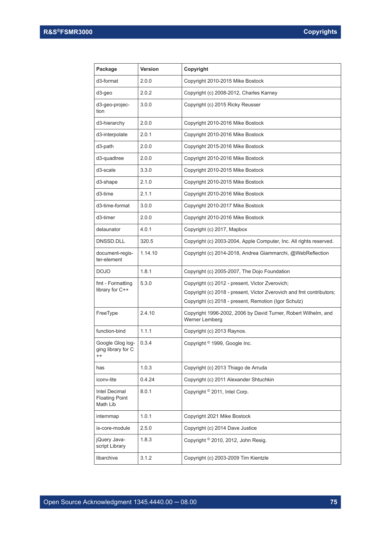| Package                                            | <b>Version</b> | Copyright                                                                                                                                                                       |
|----------------------------------------------------|----------------|---------------------------------------------------------------------------------------------------------------------------------------------------------------------------------|
| d3-format                                          | 2.0.0          | Copyright 2010-2015 Mike Bostock                                                                                                                                                |
| d3-geo                                             | 2.0.2          | Copyright (c) 2008-2012, Charles Karney                                                                                                                                         |
| d3-geo-projec-<br>tion                             | 3.0.0          | Copyright (c) 2015 Ricky Reusser                                                                                                                                                |
| d3-hierarchy                                       | 2.0.0          | Copyright 2010-2016 Mike Bostock                                                                                                                                                |
| d3-interpolate                                     | 2.0.1          | Copyright 2010-2016 Mike Bostock                                                                                                                                                |
| d3-path                                            | 2.0.0          | Copyright 2015-2016 Mike Bostock                                                                                                                                                |
| d3-quadtree                                        | 2.0.0          | Copyright 2010-2016 Mike Bostock                                                                                                                                                |
| d3-scale                                           | 3.3.0          | Copyright 2010-2015 Mike Bostock                                                                                                                                                |
| d3-shape                                           | 2.1.0          | Copyright 2010-2015 Mike Bostock                                                                                                                                                |
| d3-time                                            | 2.1.1          | Copyright 2010-2016 Mike Bostock                                                                                                                                                |
| d3-time-format                                     | 3.0.0          | Copyright 2010-2017 Mike Bostock                                                                                                                                                |
| d3-timer                                           | 2.0.0          | Copyright 2010-2016 Mike Bostock                                                                                                                                                |
| delaunator                                         | 4.0.1          | Copyright (c) 2017, Mapbox                                                                                                                                                      |
| DNSSD.DLL                                          | 320.5          | Copyright (c) 2003-2004, Apple Computer, Inc. All rights reserved.                                                                                                              |
| document-regis-<br>ter-element                     | 1.14.10        | Copyright (c) 2014-2018, Andrea Giammarchi, @WebReflection                                                                                                                      |
| <b>DOJO</b>                                        | 1.8.1          | Copyright (c) 2005-2007, The Dojo Foundation                                                                                                                                    |
| fmt - Formatting<br>library for C++                | 5.3.0          | Copyright (c) 2012 - present, Victor Zverovich;<br>Copyright (c) 2018 - present, Victor Zverovich and fmt contributors;<br>Copyright (c) 2018 - present, Remotion (Igor Schulz) |
| FreeType                                           | 2.4.10         | Copyright 1996-2002, 2006 by David Turner, Robert Wilhelm, and<br>Werner Lemberg                                                                                                |
| function-bind                                      | 1.1.1          | Copyright (c) 2013 Raynos.                                                                                                                                                      |
| Google Glog log-<br>ging library for C<br>$^{++}$  | 0.3.4          | Copyright <sup>©</sup> 1999, Google Inc.                                                                                                                                        |
| has                                                | 1.0.3          | Copyright (c) 2013 Thiago de Arruda                                                                                                                                             |
| iconv-lite                                         | 0.4.24         | Copyright (c) 2011 Alexander Shtuchkin                                                                                                                                          |
| Intel Decimal<br><b>Floating Point</b><br>Math Lib | 8.0.1          | Copyright <sup>©</sup> 2011, Intel Corp.                                                                                                                                        |
| internmap                                          | 1.0.1          | Copyright 2021 Mike Bostock                                                                                                                                                     |
| is-core-module                                     | 2.5.0          | Copyright (c) 2014 Dave Justice                                                                                                                                                 |
| jQuery Java-<br>script Library                     | 1.8.3          | Copyright <sup>©</sup> 2010, 2012, John Resig.                                                                                                                                  |
| libarchive                                         | 3.1.2          | Copyright (c) 2003-2009 Tim Kientzle                                                                                                                                            |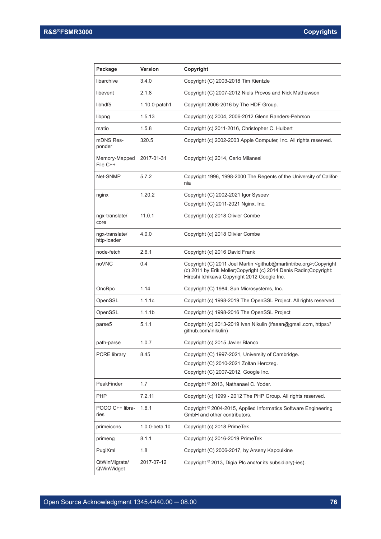| Package                       | Version            | Copyright                                                                                                                                                                                                           |
|-------------------------------|--------------------|---------------------------------------------------------------------------------------------------------------------------------------------------------------------------------------------------------------------|
| libarchive                    | 3.4.0              | Copyright (C) 2003-2018 Tim Kientzle                                                                                                                                                                                |
| libevent                      | 2.1.8              | Copyright (C) 2007-2012 Niels Provos and Nick Mathewson                                                                                                                                                             |
| libhdf <sub>5</sub>           | 1.10.0-patch1      | Copyright 2006-2016 by The HDF Group.                                                                                                                                                                               |
| libpng                        | 1.5.13             | Copyright (c) 2004, 2006-2012 Glenn Randers-Pehrson                                                                                                                                                                 |
| matio                         | 1.5.8              | Copyright (c) 2011-2016, Christopher C. Hulbert                                                                                                                                                                     |
| mDNS Res-<br>ponder           | 320.5              | Copyright (c) 2002-2003 Apple Computer, Inc. All rights reserved.                                                                                                                                                   |
| Memory-Mapped<br>File C++     | 2017-01-31         | Copyright (c) 2014, Carlo Milanesi                                                                                                                                                                                  |
| Net-SNMP                      | 5.7.2              | Copyright 1996, 1998-2000 The Regents of the University of Califor-<br>nia                                                                                                                                          |
| nginx                         | 1.20.2             | Copyright (C) 2002-2021 Igor Sysoev                                                                                                                                                                                 |
|                               |                    | Copyright (C) 2011-2021 Nginx, Inc.                                                                                                                                                                                 |
| ngx-translate/<br>core        | 11.0.1             | Copyright (c) 2018 Olivier Combe                                                                                                                                                                                    |
| ngx-translate/<br>http-loader | 4.0.0              | Copyright (c) 2018 Olivier Combe                                                                                                                                                                                    |
| node-fetch                    | 2.6.1              | Copyright (c) 2016 David Frank                                                                                                                                                                                      |
| noVNC                         | 0.4                | Copyright (C) 2011 Joel Martin <github@martintribe.org>;Copyright<br/>(c) 2011 by Erik Moller; Copyright (c) 2014 Denis Radin; Copyright:<br/>Hiroshi Ichikawa; Copyright 2012 Google Inc.</github@martintribe.org> |
| OncRpc                        | 1.14               | Copyright (C) 1984, Sun Microsystems, Inc.                                                                                                                                                                          |
| OpenSSL                       | 1.1.1c             | Copyright (c) 1998-2019 The OpenSSL Project. All rights reserved.                                                                                                                                                   |
| OpenSSL                       | 1.1.1 <sub>b</sub> | Copyright (c) 1998-2016 The OpenSSL Project                                                                                                                                                                         |
| parse5                        | 5.1.1              | Copyright (c) 2013-2019 Ivan Nikulin (ifaaan@gmail.com, https://<br>github.com/inikulin)                                                                                                                            |
| path-parse                    | 1.0.7              | Copyright (c) 2015 Javier Blanco                                                                                                                                                                                    |
| PCRE library                  | 8.45               | Copyright (C) 1997-2021, University of Cambridge.                                                                                                                                                                   |
|                               |                    | Copyright (C) 2010-2021 Zoltan Herczeg.                                                                                                                                                                             |
|                               |                    | Copyright (C) 2007-2012, Google Inc.                                                                                                                                                                                |
| PeakFinder                    | 1.7                | Copyright <sup>©</sup> 2013, Nathanael C. Yoder.                                                                                                                                                                    |
| <b>PHP</b>                    | 7.2.11             | Copyright (c) 1999 - 2012 The PHP Group. All rights reserved.                                                                                                                                                       |
| POCO C++ libra-<br>ries       | 1.6.1              | Copyright <sup>©</sup> 2004-2015, Applied Informatics Software Engineering<br>GmbH and other contributors.                                                                                                          |
| primeicons                    | 1.0.0-beta.10      | Copyright (c) 2018 PrimeTek                                                                                                                                                                                         |
| primeng                       | 8.1.1              | Copyright (c) 2016-2019 PrimeTek                                                                                                                                                                                    |
| PugiXml                       | 1.8                | Copyright (C) 2006-2017, by Arseny Kapoulkine                                                                                                                                                                       |
| QtWinMigrate/<br>QWinWidget   | 2017-07-12         | Copyright <sup>©</sup> 2013, Digia Plc and/or its subsidiary(-ies).                                                                                                                                                 |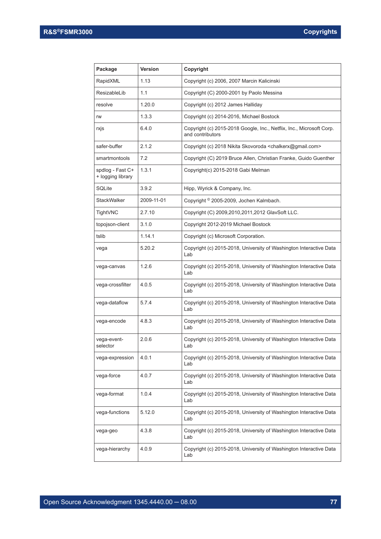| Package                               | Version    | Copyright                                                                                |
|---------------------------------------|------------|------------------------------------------------------------------------------------------|
| RapidXML                              | 1.13       | Copyright (c) 2006, 2007 Marcin Kalicinski                                               |
| ResizableLib                          | 1.1        | Copyright (C) 2000-2001 by Paolo Messina                                                 |
| resolve                               | 1.20.0     | Copyright (c) 2012 James Halliday                                                        |
| rw                                    | 1.3.3      | Copyright (c) 2014-2016, Michael Bostock                                                 |
| rxjs                                  | 6.4.0      | Copyright (c) 2015-2018 Google, Inc., Netflix, Inc., Microsoft Corp.<br>and contributors |
| safer-buffer                          | 2.1.2      | Copyright (c) 2018 Nikita Skovoroda <chalkerx@gmail.com></chalkerx@gmail.com>            |
| smartmontools                         | 7.2        | Copyright (C) 2019 Bruce Allen, Christian Franke, Guido Guenther                         |
| spdlog - Fast C+<br>+ logging library | 1.3.1      | Copyright(c) 2015-2018 Gabi Melman                                                       |
| SQLite                                | 3.9.2      | Hipp, Wyrick & Company, Inc.                                                             |
| <b>StackWalker</b>                    | 2009-11-01 | Copyright © 2005-2009, Jochen Kalmbach.                                                  |
| <b>TightVNC</b>                       | 2.7.10     | Copyright (C) 2009,2010,2011,2012 GlavSoft LLC.                                          |
| topojson-client                       | 3.1.0      | Copyright 2012-2019 Michael Bostock                                                      |
| tslib                                 | 1.14.1     | Copyright (c) Microsoft Corporation.                                                     |
| vega                                  | 5.20.2     | Copyright (c) 2015-2018, University of Washington Interactive Data<br>Lab                |
| vega-canvas                           | 1.2.6      | Copyright (c) 2015-2018, University of Washington Interactive Data<br>Lab                |
| vega-crossfilter                      | 4.0.5      | Copyright (c) 2015-2018, University of Washington Interactive Data<br>Lab                |
| vega-dataflow                         | 5.7.4      | Copyright (c) 2015-2018, University of Washington Interactive Data<br>Lab                |
| vega-encode                           | 4.8.3      | Copyright (c) 2015-2018, University of Washington Interactive Data<br>Lab                |
| vega-event-<br>selector               | 2.0.6      | Copyright (c) 2015-2018, University of Washington Interactive Data<br>Lab                |
| vega-expression                       | 4.0.1      | Copyright (c) 2015-2018, University of Washington Interactive Data<br>Lab                |
| vega-force                            | 4.0.7      | Copyright (c) 2015-2018, University of Washington Interactive Data<br>Lab                |
| vega-format                           | 1.0.4      | Copyright (c) 2015-2018, University of Washington Interactive Data<br>Lab                |
| vega-functions                        | 5.12.0     | Copyright (c) 2015-2018, University of Washington Interactive Data<br>Lab                |
| vega-geo                              | 4.3.8      | Copyright (c) 2015-2018, University of Washington Interactive Data<br>Lab                |
| vega-hierarchy                        | 4.0.9      | Copyright (c) 2015-2018, University of Washington Interactive Data<br>Lab                |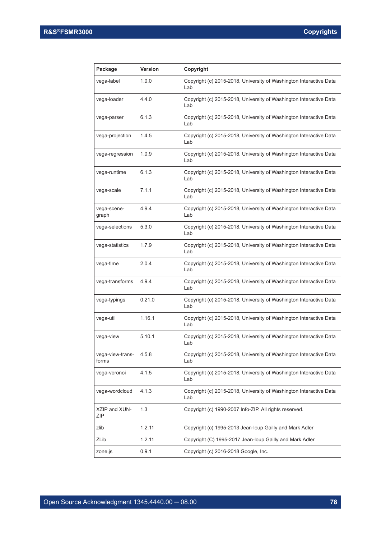| Package                   | Version | Copyright                                                                 |
|---------------------------|---------|---------------------------------------------------------------------------|
| vega-label                | 1.0.0   | Copyright (c) 2015-2018, University of Washington Interactive Data<br>Lab |
| vega-loader               | 4.4.0   | Copyright (c) 2015-2018, University of Washington Interactive Data<br>Lab |
| vega-parser               | 6.1.3   | Copyright (c) 2015-2018, University of Washington Interactive Data<br>Lab |
| vega-projection           | 1.4.5   | Copyright (c) 2015-2018, University of Washington Interactive Data<br>Lab |
| vega-regression           | 1.0.9   | Copyright (c) 2015-2018, University of Washington Interactive Data<br>Lab |
| vega-runtime              | 6.1.3   | Copyright (c) 2015-2018, University of Washington Interactive Data<br>Lab |
| vega-scale                | 7.1.1   | Copyright (c) 2015-2018, University of Washington Interactive Data<br>Lab |
| vega-scene-<br>graph      | 4.9.4   | Copyright (c) 2015-2018, University of Washington Interactive Data<br>Lab |
| vega-selections           | 5.3.0   | Copyright (c) 2015-2018, University of Washington Interactive Data<br>Lab |
| vega-statistics           | 1.7.9   | Copyright (c) 2015-2018, University of Washington Interactive Data<br>Lab |
| vega-time                 | 2.0.4   | Copyright (c) 2015-2018, University of Washington Interactive Data<br>Lab |
| vega-transforms           | 4.9.4   | Copyright (c) 2015-2018, University of Washington Interactive Data<br>Lab |
| vega-typings              | 0.21.0  | Copyright (c) 2015-2018, University of Washington Interactive Data<br>Lab |
| vega-util                 | 1.16.1  | Copyright (c) 2015-2018, University of Washington Interactive Data<br>Lab |
| vega-view                 | 5.10.1  | Copyright (c) 2015-2018, University of Washington Interactive Data<br>Lab |
| vega-view-trans-<br>forms | 4.5.8   | Copyright (c) 2015-2018, University of Washington Interactive Data<br>Lab |
| vega-voronoi              | 4.1.5   | Copyright (c) 2015-2018, University of Washington Interactive Data<br>Lab |
| vega-wordcloud            | 4.1.3   | Copyright (c) 2015-2018, University of Washington Interactive Data<br>Lab |
| XZIP and XUN-<br>ZIP      | 1.3     | Copyright (c) 1990-2007 Info-ZIP. All rights reserved.                    |
| zlib                      | 1.2.11  | Copyright (c) 1995-2013 Jean-loup Gailly and Mark Adler                   |
| ZLib                      | 1.2.11  | Copyright (C) 1995-2017 Jean-loup Gailly and Mark Adler                   |
| zone.js                   | 0.9.1   | Copyright (c) 2016-2018 Google, Inc.                                      |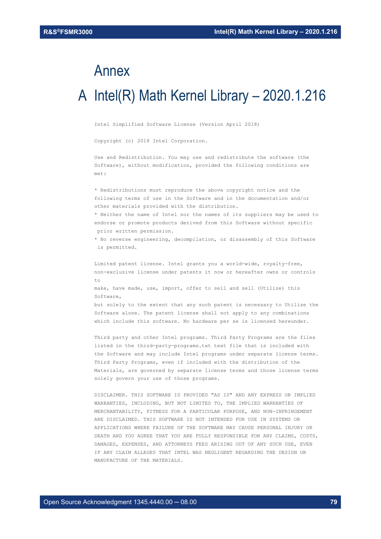## Annex A Intel(R) Math Kernel Library – 2020.1.216

Intel Simplified Software License (Version April 2018)

Copyright (c) 2018 Intel Corporation.

Use and Redistribution. You may use and redistribute the software (the Software), without modification, provided the following conditions are  $m \ominus t$ .

\* Redistributions must reproduce the above copyright notice and the following terms of use in the Software and in the documentation and/or other materials provided with the distribution.

\* Neither the name of Intel nor the names of its suppliers may be used to endorse or promote products derived from this Software without specific prior written permission.

\* No reverse engineering, decompilation, or disassembly of this Software is permitted.

Limited patent license. Intel grants you a world-wide, royalty-free, non-exclusive license under patents it now or hereafter owns or controls to

make, have made, use, import, offer to sell and sell (Utilize) this Software,

but solely to the extent that any such patent is necessary to Utilize the Software alone. The patent license shall not apply to any combinations which include this software. No hardware per se is licensed hereunder.

Third party and other Intel programs. Third Party Programs are the files listed in the third-party-programs.txt text file that is included with the Software and may include Intel programs under separate license terms. Third Party Programs, even if included with the distribution of the Materials, are governed by separate license terms and those license terms solely govern your use of those programs.

DISCLAIMER. THIS SOFTWARE IS PROVIDED "AS IS" AND ANY EXPRESS OR IMPLIED WARRANTIES, INCLUDING, BUT NOT LIMITED TO, THE IMPLIED WARRANTIES OF MERCHANTABILITY, FITNESS FOR A PARTICULAR PURPOSE, AND NON-INFRINGEMENT ARE DISCLAIMED. THIS SOFTWARE IS NOT INTENDED FOR USE IN SYSTEMS OR APPLICATIONS WHERE FAILURE OF THE SOFTWARE MAY CAUSE PERSONAL INJURY OR DEATH AND YOU AGREE THAT YOU ARE FULLY RESPONSIBLE FOR ANY CLAIMS, COSTS, DAMAGES, EXPENSES, AND ATTORNEYS FEES ARISING OUT OF ANY SUCH USE, EVEN IF ANY CLAIM ALLEGES THAT INTEL WAS NEGLIGENT REGARDING THE DESIGN OR MANUFACTURE OF THE MATERIALS.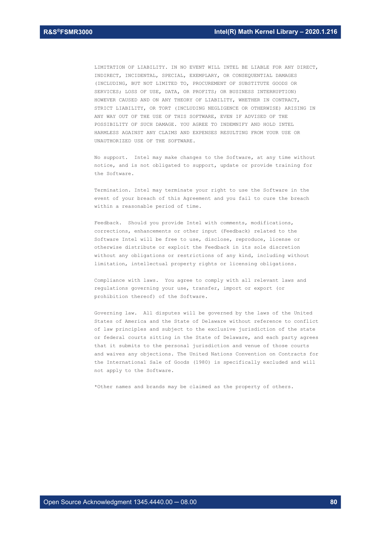LIMITATION OF LIABILITY. IN NO EVENT WILL INTEL BE LIABLE FOR ANY DIRECT, INDIRECT, INCIDENTAL, SPECIAL, EXEMPLARY, OR CONSEQUENTIAL DAMAGES (INCLUDING, BUT NOT LIMITED TO, PROCUREMENT OF SUBSTITUTE GOODS OR SERVICES; LOSS OF USE, DATA, OR PROFITS; OR BUSINESS INTERRUPTION) HOWEVER CAUSED AND ON ANY THEORY OF LIABILITY, WHETHER IN CONTRACT, STRICT LIABILITY, OR TORT (INCLUDING NEGLIGENCE OR OTHERWISE) ARISING IN ANY WAY OUT OF THE USE OF THIS SOFTWARE, EVEN IF ADVISED OF THE POSSIBILITY OF SUCH DAMAGE. YOU AGREE TO INDEMNIFY AND HOLD INTEL HARMLESS AGAINST ANY CLAIMS AND EXPENSES RESULTING FROM YOUR USE OR UNAUTHORIZED USE OF THE SOFTWARE.

No support. Intel may make changes to the Software, at any time without notice, and is not obligated to support, update or provide training for the Software.

Termination. Intel may terminate your right to use the Software in the event of your breach of this Agreement and you fail to cure the breach within a reasonable period of time.

Feedback. Should you provide Intel with comments, modifications, corrections, enhancements or other input (Feedback) related to the Software Intel will be free to use, disclose, reproduce, license or otherwise distribute or exploit the Feedback in its sole discretion without any obligations or restrictions of any kind, including without limitation, intellectual property rights or licensing obligations.

Compliance with laws. You agree to comply with all relevant laws and regulations governing your use, transfer, import or export (or prohibition thereof) of the Software.

Governing law. All disputes will be governed by the laws of the United States of America and the State of Delaware without reference to conflict of law principles and subject to the exclusive jurisdiction of the state or federal courts sitting in the State of Delaware, and each party agrees that it submits to the personal jurisdiction and venue of those courts and waives any objections. The United Nations Convention on Contracts for the International Sale of Goods (1980) is specifically excluded and will not apply to the Software.

\*Other names and brands may be claimed as the property of others.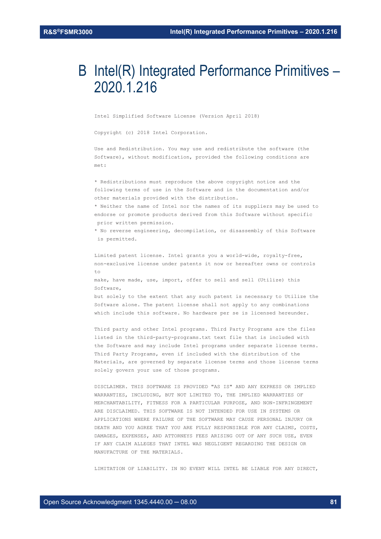## B Intel(R) Integrated Performance Primitives – 2020.1.216

Intel Simplified Software License (Version April 2018)

Copyright (c) 2018 Intel Corporation.

Use and Redistribution. You may use and redistribute the software (the Software), without modification, provided the following conditions are met:

\* Redistributions must reproduce the above copyright notice and the following terms of use in the Software and in the documentation and/or other materials provided with the distribution.

\* Neither the name of Intel nor the names of its suppliers may be used to endorse or promote products derived from this Software without specific prior written permission.

\* No reverse engineering, decompilation, or disassembly of this Software is permitted.

Limited patent license. Intel grants you a world-wide, royalty-free, non-exclusive license under patents it now or hereafter owns or controls  $t \circ$ 

make, have made, use, import, offer to sell and sell (Utilize) this Software,

but solely to the extent that any such patent is necessary to Utilize the Software alone. The patent license shall not apply to any combinations which include this software. No hardware per se is licensed hereunder.

Third party and other Intel programs. Third Party Programs are the files listed in the third-party-programs.txt text file that is included with the Software and may include Intel programs under separate license terms. Third Party Programs, even if included with the distribution of the Materials, are governed by separate license terms and those license terms solely govern your use of those programs.

DISCLAIMER. THIS SOFTWARE IS PROVIDED "AS IS" AND ANY EXPRESS OR IMPLIED WARRANTIES, INCLUDING, BUT NOT LIMITED TO, THE IMPLIED WARRANTIES OF MERCHANTABILITY, FITNESS FOR A PARTICULAR PURPOSE, AND NON-INFRINGEMENT ARE DISCLAIMED. THIS SOFTWARE IS NOT INTENDED FOR USE IN SYSTEMS OR APPLICATIONS WHERE FAILURE OF THE SOFTWARE MAY CAUSE PERSONAL INJURY OR DEATH AND YOU AGREE THAT YOU ARE FULLY RESPONSIBLE FOR ANY CLAIMS, COSTS, DAMAGES, EXPENSES, AND ATTORNEYS FEES ARISING OUT OF ANY SUCH USE, EVEN IF ANY CLAIM ALLEGES THAT INTEL WAS NEGLIGENT REGARDING THE DESIGN OR MANUFACTURE OF THE MATERIALS.

LIMITATION OF LIABILITY. IN NO EVENT WILL INTEL BE LIABLE FOR ANY DIRECT,